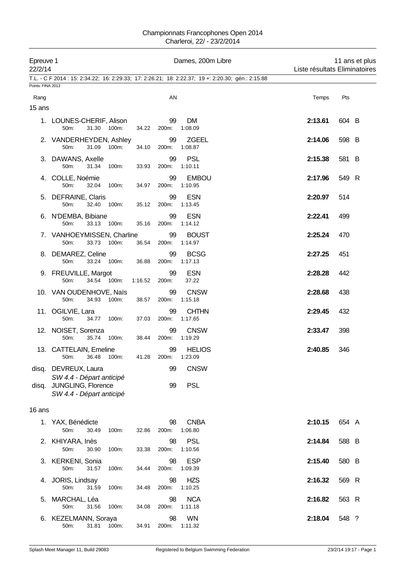| 22/2/14           | Epreuve 1                                         |         |             | Dames, 200m Libre                                                                                  |         | 11 ans et plus<br>Liste résultats Eliminatoires |
|-------------------|---------------------------------------------------|---------|-------------|----------------------------------------------------------------------------------------------------|---------|-------------------------------------------------|
| Points: FINA 2013 |                                                   |         |             | T.L. - C F 2014 : 15: 2:34.22; 16: 2:29.33; 17: 2:26.21; 18: 2:22.37; 19 +: 2:20.30; gén.: 2:15.88 |         |                                                 |
| Rang              |                                                   |         | AN          |                                                                                                    | Temps   | Pts                                             |
| 15 ans            |                                                   |         |             |                                                                                                    |         |                                                 |
|                   | 1. LOUNES-CHERIF, Alison<br>31.30 100m:<br>50m:   | 34.22   | 99<br>200m: | DM.<br>1:08.09                                                                                     | 2:13.61 | 604 B                                           |
|                   | 2. VANDERHEYDEN, Ashley<br>50m:<br>31.09<br>100m: | 34.10   | 99<br>200m: | <b>ZGEEL</b><br>1:08.87                                                                            | 2:14.06 | 598 B                                           |
|                   | 3. DAWANS, Axelle<br>50m:<br>31.34<br>100m:       | 33.93   | 99<br>200m: | <b>PSL</b><br>1:10.11                                                                              | 2:15.38 | 581 B                                           |
|                   | 4. COLLE, Noémie<br>50m:<br>32.04<br>100m:        | 34.97   | 99<br>200m: | <b>EMBOU</b><br>1:10.95                                                                            | 2:17.96 | 549 R                                           |
|                   | 5. DEFRAINE, Claris<br>50m:<br>32.40<br>100m:     | 35.12   | 99<br>200m: | <b>ESN</b><br>1:13.45                                                                              | 2:20.97 | 514                                             |
|                   | 6. N'DEMBA, Bibiane<br>50m:<br>33.13<br>100m:     | 35.16   | 99<br>200m: | <b>ESN</b><br>1:14.12                                                                              | 2:22.41 | 499                                             |
|                   | 7. VANHOEYMISSEN, Charline<br>33.73 100m:<br>50m: | 36.54   | 99<br>200m: | <b>BOUST</b><br>1:14.97                                                                            | 2:25.24 | 470                                             |
|                   | 8. DEMAREZ, Celine<br>50m:<br>33.24 100m:         | 36.88   | 99<br>200m: | <b>BCSG</b><br>1:17.13                                                                             | 2:27.25 | 451                                             |
|                   | 9. FREUVILLE, Margot<br>34.54 100m:<br>50m:       | 1:16.52 | 99<br>200m: | <b>ESN</b><br>37.22                                                                                | 2:28.28 | 442                                             |
|                   | 10. VAN OUDENHOVE, Naïs<br>34.93 100m:<br>50m:    | 38.57   | 99<br>200m: | <b>CNSW</b><br>1:15.18                                                                             | 2:28.68 | 438                                             |
|                   | 11. OGILVIE, Lara<br>50m:<br>34.77 100m:          | 37.03   | 99<br>200m: | <b>CHTHN</b><br>1:17.65                                                                            | 2:29.45 | 432                                             |
|                   | 12. NOISET, Sorenza<br>50m:<br>35.74<br>100m:     | 38.44   | 99<br>200m: | <b>CNSW</b><br>1:19.29                                                                             | 2:33.47 | 398                                             |
|                   | 13. CATTELAIN, Emeline<br>36.48<br>100m:<br>50m:  | 41.28   | 99<br>200m: | <b>HELIOS</b><br>1:23.09                                                                           | 2:40.85 | 346                                             |
| disq.             | DEVREUX, Laura<br>SW 4.4 - Départ anticipé        |         | 99          | <b>CNSW</b>                                                                                        |         |                                                 |
| disq.             | JUNGLING, Florence<br>SW 4.4 - Départ anticipé    |         | 99          | <b>PSL</b>                                                                                         |         |                                                 |
| 16 ans            |                                                   |         |             |                                                                                                    |         |                                                 |
|                   | 1. YAX, Bénédicte<br>50m:<br>30.49<br>100m:       | 32.86   | 98<br>200m: | <b>CNBA</b><br>1:06.80                                                                             | 2:10.15 | 654 A                                           |
| 2.                | KHIYARA, Inès<br>50m:<br>30.90<br>100m:           | 33.38   | 98<br>200m: | <b>PSL</b><br>1:10.56                                                                              | 2:14.84 | 588 B                                           |
| З.                | KERKENI, Sonia<br>50m:<br>31.57<br>100m:          | 34.44   | 98<br>200m: | <b>ESP</b><br>1:09.39                                                                              | 2:15.40 | 580 B                                           |
| 4.                | JORIS, Lindsay<br>50m:<br>31.59<br>100m:          | 34.48   | 98<br>200m: | <b>HZS</b><br>1:10.25                                                                              | 2:16.32 | 569 R                                           |
| 5.                | MARCHAL, Léa<br>50m:<br>31.56<br>100m:            | 34.08   | 98<br>200m: | <b>NCA</b><br>1:11.18                                                                              | 2:16.82 | 563 R                                           |
|                   | 6. KEZELMANN, Soraya<br>31.81<br>50m:<br>100m:    | 34.91   | 98<br>200m: | <b>WN</b><br>1:11.32                                                                               | 2:18.04 | 548 ?                                           |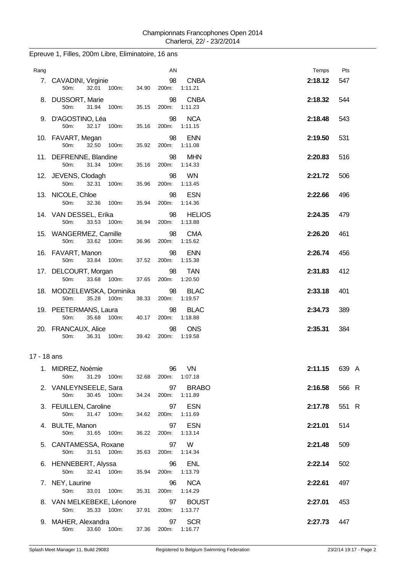| Rang        |                                                             | AN                | Temps                               | Pts           |
|-------------|-------------------------------------------------------------|-------------------|-------------------------------------|---------------|
|             | 7. CAVADINI, Virginie<br>100m:<br>50m:<br>32.01<br>34.90    | 98<br>200m:       | <b>CNBA</b><br>2:18.12<br>1:11.21   | 547           |
|             | 8. DUSSORT, Marie<br>50m:<br>31.94<br>100m:<br>35.15        | 98<br>200m:       | <b>CNBA</b><br>2:18.32<br>1:11.23   | 544           |
|             | 9. D'AGOSTINO, Léa<br>50m:<br>32.17 100m:<br>35.16          | 98<br>200m:       | <b>NCA</b><br>2:18.48<br>1:11.15    | 543           |
|             | 10. FAVART, Megan<br>50m:<br>32.50<br>100m:<br>35.92        | 98<br>200m:       | <b>ENN</b><br>2:19.50<br>1:11.08    | 531           |
|             | 11. DEFRENNE, Blandine<br>50m:<br>31.34<br>100m:<br>35.16   | 98<br>200m:       | <b>MHN</b><br>2:20.83<br>1:14.33    | 516           |
|             | 12. JEVENS, Clodagh<br>50m:<br>32.31 100m:<br>35.96         | 98<br>200m:       | <b>WN</b><br>2:21.72<br>1:13.45     | 506           |
|             | 13. NICOLE, Chloe<br>50m:<br>32.36 100m:<br>35.94           | 98<br>200m:       | <b>ESN</b><br>2:22.66<br>1:14.36    | 496           |
|             | 14. VAN DESSEL, Erika<br>33.53<br>50m:<br>100m:<br>36.94    | 98<br>200m:       | <b>HELIOS</b><br>2:24.35<br>1:13.88 | 479           |
|             | 15. WANGERMEZ, Camille<br>50m:<br>33.62 100m:<br>36.96      | 98<br>200m:       | <b>CMA</b><br>2:26.20<br>1:15.62    | 461           |
|             | 16. FAVART, Manon<br>50m:<br>33.84<br>100m:<br>37.52        | 98<br>200m:       | <b>ENN</b><br>2:26.74<br>1:15.38    | 456           |
|             | 17. DELCOURT, Morgan<br>33.68 100m:<br>50m:<br>37.65        | 98<br>200m:       | <b>TAN</b><br>2:31.83<br>1:20.50    | 412           |
|             | 18. MODZELEWSKA, Dominika<br>35.28 100m:<br>38.33<br>50m:   | 98<br>200m:       | <b>BLAC</b><br>2:33.18<br>1:19.57   | 401           |
|             | 19. PEETERMANS, Laura<br>50m:<br>35.68 100m:<br>40.17       | 98<br>200m:       | <b>BLAC</b><br>2:34.73<br>1:18.88   | 389           |
|             | 20. FRANCAUX, Alice<br>36.31 100m:<br>50m:                  | 98<br>39.42 200m: | <b>ONS</b><br>2:35.31<br>1:19.58    | 384           |
| 17 - 18 ans |                                                             |                   |                                     |               |
|             | 1. MIDREZ, Noémie<br>31.29 100m:<br>50m:<br>32.68           | 200m: 1:07.18     | 96 VN                               | 2:11.15 639 A |
|             | 2. VANLEYNSEELE, Sara<br>50m:<br>30.45 100m:<br>34.24       | 97<br>200m:       | <b>BRABO</b><br>2:16.58<br>1:11.89  | 566 R         |
|             | 3. FEUILLEN, Caroline<br>50m:<br>31.47 100m:<br>34.62       | 97<br>200m:       | <b>ESN</b><br>2:17.78<br>1:11.69    | 551 R         |
|             | 4. BULTE, Manon<br>50m:<br>31.65 100m:<br>36.22             | 97<br>200m:       | <b>ESN</b><br>2:21.01<br>1:13.14    | 514           |
|             | 5. CANTAMESSA, Roxane<br>50m:<br>31.51 100m:<br>35.63       | 97<br>200m:       | W<br>2:21.48<br>1:14.34             | 509           |
|             | 6. HENNEBERT, Alyssa<br>50m:<br>32.41<br>100m:<br>35.94     | 96<br>200m:       | <b>ENL</b><br>2:22.14<br>1:13.79    | 502           |
|             | 7. NEY, Laurine<br>50m:<br>33.01 100m:<br>35.31             | 96<br>200m:       | <b>NCA</b><br>2:22.61<br>1:14.29    | 497           |
|             | 8. VAN MELKEBEKE, Léonore<br>50m:<br>35.33 100m:<br>37.91   | 97<br>200m:       | <b>BOUST</b><br>2:27.01<br>1:13.77  | 453           |
|             | 9. MAHER, Alexandra<br>50m: 33.60 100m: 37.36 200m: 1:16.77 | 97                | <b>SCR</b><br>2:27.73               | 447           |

## Epreuve 1, Filles, 200m Libre, Eliminatoire, 16 ans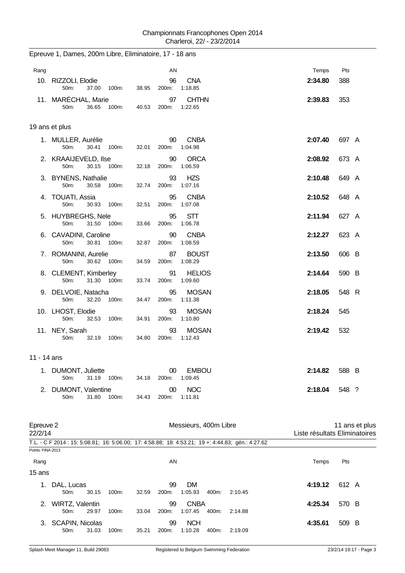| Rang                 |                                                           |       | AN          |                                                                                                    | Temps   | Pts                                             |
|----------------------|-----------------------------------------------------------|-------|-------------|----------------------------------------------------------------------------------------------------|---------|-------------------------------------------------|
|                      | 10. RIZZOLI, Elodie<br>50m:<br>37.00 100m:                | 38.95 | 96<br>200m: | <b>CNA</b><br>1:18.85                                                                              | 2:34.80 | 388                                             |
|                      | 11. MARÉCHAL, Marie<br>50m:<br>36.65 100m:                | 40.53 | 97<br>200m: | <b>CHTHN</b><br>1:22.65                                                                            | 2:39.83 | 353                                             |
|                      | 19 ans et plus                                            |       |             |                                                                                                    |         |                                                 |
|                      | 1. MULLER, Aurélie<br>30.41<br>50m:<br>100m:              | 32.01 | 90<br>200m: | <b>CNBA</b><br>1:04.98                                                                             | 2:07.40 | 697 A                                           |
|                      | 2. KRAAIJEVELD, Ilse<br>50m:<br>30.15 100m:               | 32.18 | 90<br>200m: | <b>ORCA</b><br>1:06.59                                                                             | 2:08.92 | 673 A                                           |
|                      | 3. BYNENS, Nathalie<br>50m:<br>30.58<br>100m:             | 32.74 | 93<br>200m: | <b>HZS</b><br>1:07.16                                                                              | 2:10.48 | 649 A                                           |
|                      | 4. TOUATI, Assia<br>50m:<br>30.93 100m:                   | 32.51 | 95<br>200m: | <b>CNBA</b><br>1:07.08                                                                             | 2:10.52 | 648 A                                           |
|                      | 5. HUYBREGHS, Nele<br>50 <sub>m</sub> :<br>31.50 100m:    | 33.66 | 95<br>200m: | <b>STT</b><br>1:06.78                                                                              | 2:11.94 | 627 A                                           |
|                      | 6. CAVADINI, Caroline<br>30.81 100m:<br>50m:              | 32.87 | 90<br>200m: | <b>CNBA</b><br>1:08.59                                                                             | 2:12.27 | 623 A                                           |
|                      | 7. ROMANINI, Aurelie<br>50m:<br>30.62 100m:               | 34.59 | 87<br>200m: | <b>BOUST</b><br>1:08.29                                                                            | 2:13.50 | 606 B                                           |
|                      | 8. CLEMENT, Kimberley<br>31.30 100m:<br>50 <sub>m</sub> : | 33.74 | 91<br>200m: | <b>HELIOS</b><br>1:09.60                                                                           | 2:14.64 | 590 B                                           |
|                      | 9. DELVOIE, Natacha<br>50m:<br>32.20<br>100m:             | 34.47 | 95<br>200m: | <b>MOSAN</b><br>1:11.38                                                                            | 2:18.05 | 548 R                                           |
|                      | 10. LHOST, Elodie<br>50m:<br>32.53 100m:                  | 34.91 | 93<br>200m: | <b>MOSAN</b><br>1:10.80                                                                            | 2:18.24 | 545                                             |
|                      | 11. NEY, Sarah<br>50m:<br>32.19<br>100m:                  | 34.80 | 93<br>200m: | <b>MOSAN</b><br>1:12.43                                                                            | 2:19.42 | 532                                             |
| 11 - 14 ans          |                                                           |       |             |                                                                                                    |         |                                                 |
|                      | 1. DUMONT, Juliette<br>50m:<br>31.19<br>100m:             | 34.18 | 00<br>200m: | <b>EMBOU</b><br>1:09.45                                                                            | 2:14.82 | 588 B                                           |
| 2.                   | DUMONT, Valentine<br>50m:<br>31.80<br>100m:               | 34.43 | 00<br>200m: | <b>NOC</b><br>1:11.81                                                                              | 2:18.04 | 548 ?                                           |
| Epreuve 2<br>22/2/14 |                                                           |       |             | Messieurs, 400m Libre                                                                              |         | 11 ans et plus<br>Liste résultats Eliminatoires |
| Points: FINA 2013    |                                                           |       |             | T.L. - C F 2014 : 15: 5:08.81; 16: 5:06.00; 17: 4:58.88; 18: 4:53.21; 19 +: 4:44.83; gén.: 4:27.62 |         |                                                 |
| Rang                 |                                                           |       | AN          |                                                                                                    | Temps   | Pts                                             |
| 15 ans               |                                                           |       |             |                                                                                                    |         |                                                 |
|                      | 1. DAL, Lucas<br>50m:<br>30.15<br>100m:                   | 32.59 | 99<br>200m: | DM<br>1:05.93<br>400m:<br>2:10.45                                                                  | 4:19.12 | 612 A                                           |
|                      | 2. WIRTZ, Valentin<br>50m:<br>29.97<br>100m:              | 33.04 | 99<br>200m: | <b>CNBA</b><br>1:07.45<br>400m:<br>2:14.88                                                         | 4:25.34 | 570 B                                           |
|                      | 3. SCAPIN, Nicolas                                        |       | 99          | <b>NCH</b>                                                                                         | 4:35.61 | 509 B                                           |

### Epreuve 1, Dames, 200m Libre, Eliminatoire, 17 - 18 ans

50m: 31.03 100m: 35.21 200m: 1:10.28 400m: 2:19.09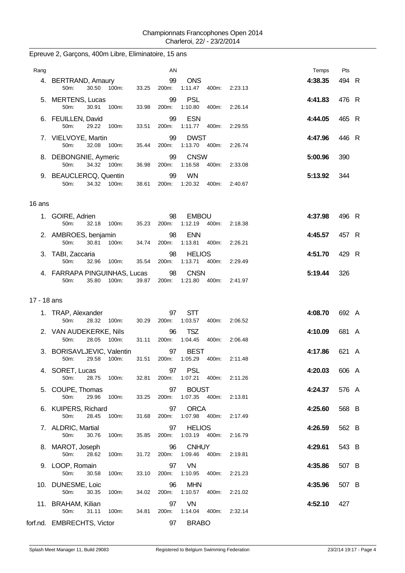| Rang        |                                      |             |       |       | AN                |                                |       |               | Temps   | Pts   |  |
|-------------|--------------------------------------|-------------|-------|-------|-------------------|--------------------------------|-------|---------------|---------|-------|--|
|             | 4. BERTRAND, Amaury<br>50m:          | 30.50 100m: |       | 33.25 | 99<br>200m:       | <b>ONS</b><br>1:11.47          |       | 400m: 2:23.13 | 4:38.35 | 494 R |  |
|             | 5. MERTENS, Lucas<br>50m:            | 30.91       | 100m: | 33.98 | 99<br>200m:       | <b>PSL</b><br>1:10.80          | 400m: | 2:26.14       | 4:41.83 | 476 R |  |
|             | 6. FEUILLEN, David<br>50m:           | 29.22       | 100m: | 33.51 | 99<br>200m:       | <b>ESN</b><br>1:11.77          | 400m: | 2:29.55       | 4:44.05 | 465 R |  |
|             | 7. VIELVOYE, Martin<br>50m:          | 32.08 100m: |       | 35.44 | 99<br>200m:       | <b>DWST</b><br>1:13.70 400m:   |       | 2.26.74       | 4:47.96 | 446 R |  |
|             | 8. DEBONGNIE, Aymeric<br>50m:        | 34.32 100m: |       | 36.98 | 99<br>200m:       | <b>CNSW</b><br>1:16.58         | 400m: | 2:33.08       | 5:00.96 | 390   |  |
|             | 9. BEAUCLERCQ, Quentin<br>50m:       | 34.32 100m: |       | 38.61 | 99<br>200m:       | <b>WN</b><br>1:20.32           | 400m: | 2:40.67       | 5:13.92 | 344   |  |
| 16 ans      |                                      |             |       |       |                   |                                |       |               |         |       |  |
|             | 1. GOIRE, Adrien<br>50m:             | 32.18 100m: |       | 35.23 | 98<br>200m:       | <b>EMBOU</b><br>1:12.19        | 400m: | 2:18.38       | 4:37.98 | 496 R |  |
|             | 2. AMBROES, benjamin<br>50m:         | 30.81 100m: |       |       | 98<br>34.74 200m: | <b>ENN</b><br>1:13.81          | 400m: | 2:26.21       | 4:45.57 | 457 R |  |
|             | 3. TABI, Zaccaria<br>50m:            | 32.96       | 100m: | 35.54 | 98<br>200m:       | <b>HELIOS</b><br>1:13.71       | 400m: | 2.29.49       | 4:51.70 | 429 R |  |
|             | 4. FARRAPA PINGUINHAS, Lucas<br>50m: | 35.80       | 100m: | 39.87 | 98<br>200m:       | <b>CNSN</b><br>1:21.80 400m:   |       | 2:41.97       | 5:19.44 | 326   |  |
| 17 - 18 ans |                                      |             |       |       |                   |                                |       |               |         |       |  |
|             | 1. TRAP, Alexander                   |             |       |       | 97                | <b>STT</b>                     |       |               | 4:08.70 | 692 A |  |
|             | 50m:                                 | 28.32 100m: |       | 30.29 | 200m:             | 1:03.57                        | 400m: | 2:06.52       |         |       |  |
|             | 2. VAN AUDEKERKE, Nils<br>50m:       | 28.05 100m: |       | 31.11 | 96<br>200m:       | <b>TSZ</b><br>1:04.45          | 400m: | 2:06.48       | 4:10.09 | 681 A |  |
|             | 3. BORISAVLJEVIC, Valentin<br>50m:   | 29.58       | 100m: | 31.51 | 97<br>200m:       | <b>BEST</b><br>1:05.29         | 400m: | 2:11.48       | 4:17.86 | 621 A |  |
|             | 4. SORET, Lucas<br>50m:              | 28.75 100m: |       | 32.81 |                   | 97 PSL<br>200m: 1:07.21 400m:  |       | 2:11.26       | 4:20.03 | 606 A |  |
|             | 5. COUPE, Thomas<br>50m:             | 29.96       | 100m: | 33.25 | 97<br>200m:       | <b>BOUST</b><br>1:07.35 400m:  |       | 2:13.81       | 4:24.37 | 576 A |  |
|             | 6. KUIPERS, Richard<br>50m:          | 28.45       | 100m: | 31.68 | 97<br>200m:       | <b>ORCA</b><br>1:07.98         | 400m: | 2:17.49       | 4:25.60 | 568 B |  |
|             | 7. ALDRIC, Martial<br>50m:           | 30.76       | 100m: | 35.85 | 97<br>200m:       | <b>HELIOS</b><br>1:03.19 400m: |       | 2:16.79       | 4:26.59 | 562 B |  |
|             | 8. MAROT, Joseph<br>50m:             | 28.62       | 100m: | 31.72 | 96<br>200m:       | <b>CNHUY</b><br>1:09.46        | 400m: | 2:19.81       | 4:29.61 | 543 B |  |
|             | 9. LOOP, Romain<br>50m:              | 30.58       | 100m: | 33.10 | 97<br>200m:       | VN<br>1:10.95                  | 400m: | 2:21.23       | 4:35.86 | 507 B |  |
|             |                                      |             |       |       |                   |                                |       |               |         |       |  |
|             | 10. DUNESME, Loic<br>50m:            | 30.35       | 100m: | 34.02 | 96<br>200m:       | <b>MHN</b><br>1:10.57          | 400m: | 2:21.02       | 4:35.96 | 507 B |  |
|             | 11. BRAHAM, Kilian<br>50m:           | 31.11       | 100m: | 34.81 | 97<br>200m:       | VN<br>1:14.04 400m:            |       | 2:32.14       | 4:52.10 | 427   |  |

## Epreuve 2, Garçons, 400m Libre, Eliminatoire, 15 ans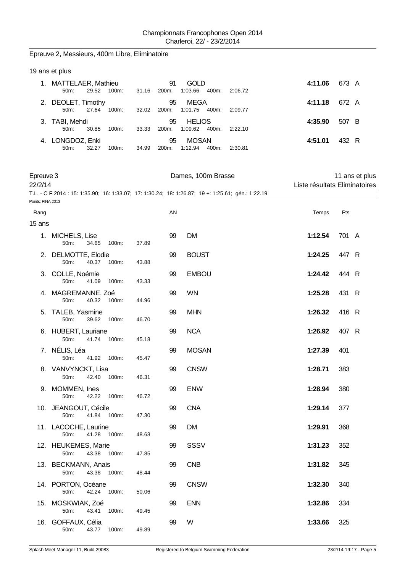### Epreuve 2, Messieurs, 400m Libre, Eliminatoire

|             | 19 ans et plus                        |       |          |       |             |                          |       |         |         |       |  |
|-------------|---------------------------------------|-------|----------|-------|-------------|--------------------------|-------|---------|---------|-------|--|
| $1_{\cdot}$ | MATTELAER, Mathieu<br>$50m$ :         | 29.52 | 100m:    | 31.16 | 91<br>200m: | <b>GOLD</b><br>1:03.66   | 400m: | 2:06.72 | 4:11.06 | 673 A |  |
| 2.          | DEOLET, Timothy<br>$50m$ :            | 27.64 | 100m:    | 32.02 | 95<br>200m: | MEGA<br>1:01.75          | 400m: | 2:09.77 | 4:11.18 | 672 A |  |
| 3.          | TABI, Mehdi<br>$50m$ :                | 30.85 | 100m:    | 33.33 | 95<br>200m: | <b>HELIOS</b><br>1:09.62 | 400m: | 2:22.10 | 4:35.90 | 507 B |  |
|             | 4. LONGDOZ, Enki<br>50 <sub>m</sub> : | 32.27 | $100m$ : | 34.99 | 95<br>200m: | <b>MOSAN</b><br>1:12.94  | 400m: | 2:30.81 | 4:51.01 | 432 R |  |

| 22/2/14           | Epreuve 3                             |       |       | Dames, 100m Brasse | 11 ans et plus<br>Liste résultats Eliminatoires                                                    |         |       |  |
|-------------------|---------------------------------------|-------|-------|--------------------|----------------------------------------------------------------------------------------------------|---------|-------|--|
|                   |                                       |       |       |                    | T.L. - C F 2014 : 15: 1:35.90; 16: 1:33.07; 17: 1:30.24; 18: 1:26.87; 19 +: 1:25.61; gén.: 1:22.19 |         |       |  |
| Points: FINA 2013 |                                       |       |       |                    |                                                                                                    |         |       |  |
| Rang              |                                       |       |       | AN                 |                                                                                                    | Temps   | Pts   |  |
| 15 ans            |                                       |       |       |                    |                                                                                                    |         |       |  |
|                   | 1. MICHELS, Lise<br>50m:<br>34.65     | 100m: | 37.89 | 99                 | <b>DM</b>                                                                                          | 1:12.54 | 701 A |  |
| 2.                | DELMOTTE, Elodie<br>40.37<br>50m:     | 100m: | 43.88 | 99                 | <b>BOUST</b>                                                                                       | 1:24.25 | 447 R |  |
|                   | 3. COLLE, Noémie<br>50m:<br>41.09     | 100m: | 43.33 | 99                 | <b>EMBOU</b>                                                                                       | 1:24.42 | 444 R |  |
|                   | 4. MAGREMANNE, Zoé<br>50m:<br>40.32   | 100m: | 44.96 | 99                 | <b>WN</b>                                                                                          | 1:25.28 | 431 R |  |
|                   | 5. TALEB, Yasmine<br>39.62<br>50m:    | 100m: | 46.70 | 99                 | <b>MHN</b>                                                                                         | 1:26.32 | 416 R |  |
|                   | 6. HUBERT, Lauriane<br>50m:<br>41.74  | 100m: | 45.18 | 99                 | <b>NCA</b>                                                                                         | 1:26.92 | 407 R |  |
|                   | 7. NÉLIS, Léa<br>41.92<br>50m:        | 100m: | 45.47 | 99                 | <b>MOSAN</b>                                                                                       | 1:27.39 | 401   |  |
|                   | 8. VANVYNCKT, Lisa<br>50m:<br>42.40   | 100m: | 46.31 | 99                 | <b>CNSW</b>                                                                                        | 1:28.71 | 383   |  |
|                   | 9. MOMMEN, Ines<br>50m:<br>42.22      | 100m: | 46.72 | 99                 | <b>ENW</b>                                                                                         | 1:28.94 | 380   |  |
|                   | 10. JEANGOUT, Cécile<br>41.84<br>50m: | 100m: | 47.30 | 99                 | <b>CNA</b>                                                                                         | 1:29.14 | 377   |  |
|                   | 11. LACOCHE, Laurine<br>41.28<br>50m: | 100m: | 48.63 | 99                 | <b>DM</b>                                                                                          | 1:29.91 | 368   |  |
|                   | 12. HEUKEMES, Marie<br>50m:<br>43.38  | 100m: | 47.85 | 99                 | <b>SSSV</b>                                                                                        | 1:31.23 | 352   |  |
|                   | 13. BECKMANN, Anais<br>50m:<br>43.38  | 100m: | 48.44 | 99                 | <b>CNB</b>                                                                                         | 1:31.82 | 345   |  |
|                   | 14. PORTON, Océane<br>42.24<br>50m:   | 100m: | 50.06 | 99                 | <b>CNSW</b>                                                                                        | 1:32.30 | 340   |  |
|                   | 15. MOSKWIAK, Zoé<br>50m:<br>43.41    | 100m: | 49.45 | 99                 | <b>ENN</b>                                                                                         | 1:32.86 | 334   |  |
| 16.               | GOFFAUX, Célia<br>50m:<br>43.77       | 100m: | 49.89 | 99                 | W                                                                                                  | 1:33.66 | 325   |  |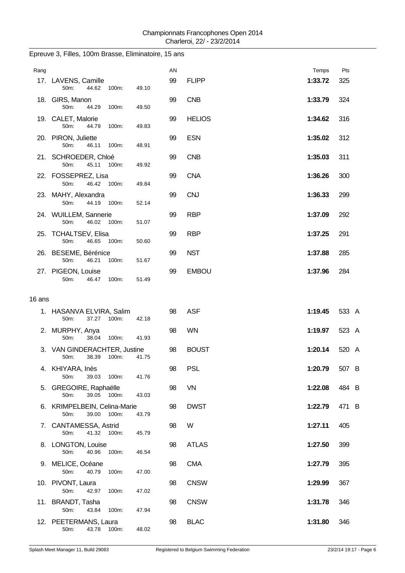| AN<br>Rang<br>99<br>17. LAVENS, Camille<br><b>FLIPP</b><br>1:33.72<br>44.62<br>50m:<br>100m:<br>49.10<br><b>CNB</b><br>18. GIRS, Manon<br>99<br>1:33.79<br>44.29<br>50m:<br>100m:<br>49.50<br>19. CALET, Malorie<br>99<br><b>HELIOS</b><br>1:34.62<br>50m:<br>44.79<br>100m:<br>49.83<br><b>ESN</b><br>99<br>1:35.02<br>20. PIRON, Juliette<br>50m:<br>46.11<br>100m:<br>48.91<br><b>CNB</b><br>21. SCHROEDER, Chloé<br>99<br>1:35.03<br>45.11 100m:<br>50m:<br>49.92<br><b>CNA</b><br>22. FOSSEPREZ, Lisa<br>99<br>1:36.26<br>50m:<br>46.42<br>100m:<br>49.84<br>23. MAHY, Alexandra<br>99<br><b>CNJ</b><br>1:36.33<br>50m:<br>44.19<br>100m:<br>52.14<br>24. WUILLEM, Sannerie<br>99<br><b>RBP</b><br>1:37.09<br>50m:<br>46.02<br>100m:<br>51.07<br>99<br>25. TCHALTSEV, Elisa<br><b>RBP</b><br>1:37.25<br>50m:<br>46.65<br>100m:<br>50.60<br>26. BESEME, Bérénice<br><b>NST</b><br>99<br>1:37.88<br>46.21<br>100m:<br>50m:<br>51.67<br><b>EMBOU</b><br>27. PIGEON, Louise<br>99<br>1:37.96<br>50m:<br>46.47<br>100m:<br>51.49<br>16 ans<br><b>ASF</b><br>1. HASANVA ELVIRA, Salim<br>98<br>1:19.45<br>37.27 100m:<br>50m:<br>42.18<br><b>WN</b><br>98<br>1:19.97<br>2. MURPHY, Anya | Temps | Pts<br>325<br>324<br>316 |
|----------------------------------------------------------------------------------------------------------------------------------------------------------------------------------------------------------------------------------------------------------------------------------------------------------------------------------------------------------------------------------------------------------------------------------------------------------------------------------------------------------------------------------------------------------------------------------------------------------------------------------------------------------------------------------------------------------------------------------------------------------------------------------------------------------------------------------------------------------------------------------------------------------------------------------------------------------------------------------------------------------------------------------------------------------------------------------------------------------------------------------------------------------------------------------------|-------|--------------------------|
|                                                                                                                                                                                                                                                                                                                                                                                                                                                                                                                                                                                                                                                                                                                                                                                                                                                                                                                                                                                                                                                                                                                                                                                        |       |                          |
|                                                                                                                                                                                                                                                                                                                                                                                                                                                                                                                                                                                                                                                                                                                                                                                                                                                                                                                                                                                                                                                                                                                                                                                        |       |                          |
|                                                                                                                                                                                                                                                                                                                                                                                                                                                                                                                                                                                                                                                                                                                                                                                                                                                                                                                                                                                                                                                                                                                                                                                        |       |                          |
|                                                                                                                                                                                                                                                                                                                                                                                                                                                                                                                                                                                                                                                                                                                                                                                                                                                                                                                                                                                                                                                                                                                                                                                        |       |                          |
|                                                                                                                                                                                                                                                                                                                                                                                                                                                                                                                                                                                                                                                                                                                                                                                                                                                                                                                                                                                                                                                                                                                                                                                        |       | 312                      |
|                                                                                                                                                                                                                                                                                                                                                                                                                                                                                                                                                                                                                                                                                                                                                                                                                                                                                                                                                                                                                                                                                                                                                                                        |       | 311                      |
|                                                                                                                                                                                                                                                                                                                                                                                                                                                                                                                                                                                                                                                                                                                                                                                                                                                                                                                                                                                                                                                                                                                                                                                        |       | 300                      |
|                                                                                                                                                                                                                                                                                                                                                                                                                                                                                                                                                                                                                                                                                                                                                                                                                                                                                                                                                                                                                                                                                                                                                                                        |       | 299                      |
|                                                                                                                                                                                                                                                                                                                                                                                                                                                                                                                                                                                                                                                                                                                                                                                                                                                                                                                                                                                                                                                                                                                                                                                        |       | 292                      |
|                                                                                                                                                                                                                                                                                                                                                                                                                                                                                                                                                                                                                                                                                                                                                                                                                                                                                                                                                                                                                                                                                                                                                                                        |       | 291                      |
|                                                                                                                                                                                                                                                                                                                                                                                                                                                                                                                                                                                                                                                                                                                                                                                                                                                                                                                                                                                                                                                                                                                                                                                        |       | 285                      |
|                                                                                                                                                                                                                                                                                                                                                                                                                                                                                                                                                                                                                                                                                                                                                                                                                                                                                                                                                                                                                                                                                                                                                                                        |       | 284                      |
|                                                                                                                                                                                                                                                                                                                                                                                                                                                                                                                                                                                                                                                                                                                                                                                                                                                                                                                                                                                                                                                                                                                                                                                        |       |                          |
|                                                                                                                                                                                                                                                                                                                                                                                                                                                                                                                                                                                                                                                                                                                                                                                                                                                                                                                                                                                                                                                                                                                                                                                        |       |                          |
|                                                                                                                                                                                                                                                                                                                                                                                                                                                                                                                                                                                                                                                                                                                                                                                                                                                                                                                                                                                                                                                                                                                                                                                        |       | 533 A                    |
| 50m:<br>38.04<br>100m:<br>41.93                                                                                                                                                                                                                                                                                                                                                                                                                                                                                                                                                                                                                                                                                                                                                                                                                                                                                                                                                                                                                                                                                                                                                        |       | 523 A                    |
| 3. VAN GINDERACHTER, Justine<br>1:20.14<br>98<br><b>BOUST</b><br>38.39<br>100m:<br>50m:<br>41.75                                                                                                                                                                                                                                                                                                                                                                                                                                                                                                                                                                                                                                                                                                                                                                                                                                                                                                                                                                                                                                                                                       |       | 520 A                    |
| <b>PSL</b><br>98<br>4. KHIYARA, Inès<br>1:20.79<br>50m:<br>39.03<br>41.76<br>100m:                                                                                                                                                                                                                                                                                                                                                                                                                                                                                                                                                                                                                                                                                                                                                                                                                                                                                                                                                                                                                                                                                                     |       | 507 B                    |
| VN<br>5. GREGOIRE, Raphaëlle<br>98<br>1:22.08<br>50m:<br>39.05 100m:<br>43.03                                                                                                                                                                                                                                                                                                                                                                                                                                                                                                                                                                                                                                                                                                                                                                                                                                                                                                                                                                                                                                                                                                          |       | 484 B                    |
| <b>DWST</b><br>6. KRIMPELBEIN, Celina-Marie<br>98<br>1:22.79<br>100m:                                                                                                                                                                                                                                                                                                                                                                                                                                                                                                                                                                                                                                                                                                                                                                                                                                                                                                                                                                                                                                                                                                                  |       | 471 B                    |
| 39.00<br>50m:<br>43.79<br>98<br>W<br>7. CANTAMESSA, Astrid<br>1:27.11                                                                                                                                                                                                                                                                                                                                                                                                                                                                                                                                                                                                                                                                                                                                                                                                                                                                                                                                                                                                                                                                                                                  |       | 405                      |
| 50m:<br>41.32 100m:<br>45.79<br>98<br><b>ATLAS</b><br>8. LONGTON, Louise<br>1:27.50                                                                                                                                                                                                                                                                                                                                                                                                                                                                                                                                                                                                                                                                                                                                                                                                                                                                                                                                                                                                                                                                                                    |       | 399                      |
| 40.96<br>50m:<br>100m:<br>46.54<br><b>CMA</b><br>9. MELICE, Océane<br>98<br>1:27.79                                                                                                                                                                                                                                                                                                                                                                                                                                                                                                                                                                                                                                                                                                                                                                                                                                                                                                                                                                                                                                                                                                    |       | 395                      |
| 50m:<br>40.79<br>100m:<br>47.00<br>98<br><b>CNSW</b><br>10. PIVONT, Laura<br>1:29.99                                                                                                                                                                                                                                                                                                                                                                                                                                                                                                                                                                                                                                                                                                                                                                                                                                                                                                                                                                                                                                                                                                   |       | 367                      |
| 50m:<br>42.97<br>100m:<br>47.02<br><b>CNSW</b><br>11. BRANDT, Tasha<br>98<br>1:31.78                                                                                                                                                                                                                                                                                                                                                                                                                                                                                                                                                                                                                                                                                                                                                                                                                                                                                                                                                                                                                                                                                                   |       | 346                      |
| 50m:<br>43.84<br>100m:<br>47.94<br>12. PEETERMANS, Laura<br>98<br><b>BLAC</b><br>1:31.80<br>43.78 100m:<br>48.02<br>50m:                                                                                                                                                                                                                                                                                                                                                                                                                                                                                                                                                                                                                                                                                                                                                                                                                                                                                                                                                                                                                                                               |       | 346                      |

### Epreuve 3, Filles, 100m Brasse, Eliminatoire, 15 ans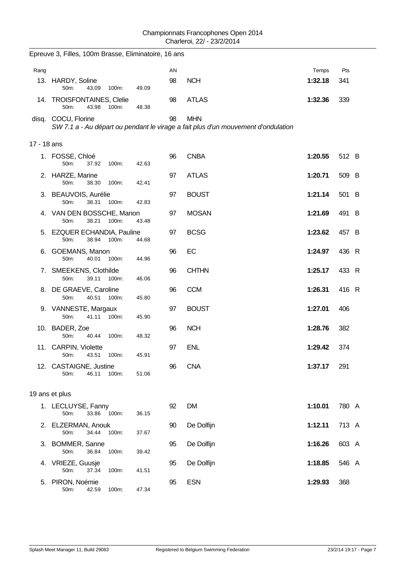|             | Epreuve 3, Filles, 100m Brasse, Eliminatoire, 16 ans  |       |    |                                                                                                 |         |       |
|-------------|-------------------------------------------------------|-------|----|-------------------------------------------------------------------------------------------------|---------|-------|
| Rang        |                                                       |       | AN |                                                                                                 | Temps   | Pts   |
|             | 13. HARDY, Soline<br>50m:<br>43.09<br>100m:           | 49.09 | 98 | <b>NCH</b>                                                                                      | 1:32.18 | 341   |
|             | 14. TROISFONTAINES, Clelie<br>50m:<br>43.98<br>100m:  | 48.38 | 98 | <b>ATLAS</b>                                                                                    | 1:32.36 | 339   |
|             | disq. COCU, Florine                                   |       | 98 | <b>MHN</b><br>SW 7.1 a - Au départ ou pendant le virage a fait plus d'un mouvement d'ondulation |         |       |
| 17 - 18 ans |                                                       |       |    |                                                                                                 |         |       |
|             | 1. FOSSE, Chloé<br>50m:<br>37.92<br>100m:             | 42.63 | 96 | <b>CNBA</b>                                                                                     | 1:20.55 | 512 B |
|             | 2. HARZE, Marine<br>50m:<br>38.30<br>100m:            | 42.41 | 97 | <b>ATLAS</b>                                                                                    | 1:20.71 | 509 B |
|             | 3. BEAUVOIS, Aurélie<br>50m:<br>38.31<br>100m:        | 42.83 | 97 | <b>BOUST</b>                                                                                    | 1:21.14 | 501 B |
|             | 4. VAN DEN BOSSCHE, Manon<br>50m:<br>38.21<br>100m:   | 43.48 | 97 | <b>MOSAN</b>                                                                                    | 1:21.69 | 491 B |
|             | 5. EZQUER ECHANDIA, Pauline<br>50m:<br>38.94<br>100m: | 44.68 | 97 | <b>BCSG</b>                                                                                     | 1:23.62 | 457 B |
| 6.          | <b>GOEMANS, Manon</b><br>50m:<br>40.01<br>100m:       | 44.96 | 96 | EC                                                                                              | 1:24.97 | 436 R |
|             | 7. SMEEKENS, Clothilde<br>50m:<br>39.11<br>100m:      | 46.06 | 96 | <b>CHTHN</b>                                                                                    | 1:25.17 | 433 R |
|             | 8. DE GRAEVE, Caroline<br>40.51<br>50m:<br>100m:      | 45.80 | 96 | <b>CCM</b>                                                                                      | 1:26.31 | 416 R |
|             | 9. VANNESTE, Margaux<br>50m:<br>41.11 100m:           | 45.90 | 97 | <b>BOUST</b>                                                                                    | 1:27.01 | 406   |
|             | 10. BADER, Zoe<br>50m:<br>100m:<br>40.44              | 48.32 | 96 | <b>NCH</b>                                                                                      | 1:28.76 | 382   |
|             | 11. CARPIN, Violette<br>43.51 100m:<br>$50m$ :        | 45.91 | 97 | <b>ENL</b>                                                                                      | 1:29.42 | 374   |
|             | 12. CASTAIGNE, Justine<br>50m:<br>46.11<br>100m:      | 51.06 | 96 | <b>CNA</b>                                                                                      | 1:37.17 | 291   |
|             | 19 ans et plus                                        |       |    |                                                                                                 |         |       |
|             | 1. LECLUYSE, Fanny<br>33.86 100m:<br>50m:             | 36.15 | 92 | <b>DM</b>                                                                                       | 1:10.01 | 780 A |
|             | 2. ELZERMAN, Anouk<br>50m:<br>34.44<br>100m:          | 37.67 | 90 | De Dolfijn                                                                                      | 1:12.11 | 713 A |
|             | 3. BOMMER, Sanne<br>50m:<br>36.84<br>100m:            | 39.42 | 95 | De Dolfijn                                                                                      | 1:16.26 | 603 A |
| 4.          | VRIEZE, Guusje<br>37.34<br>50m:<br>100m:              | 41.51 | 95 | De Dolfijn                                                                                      | 1:18.85 | 546 A |
|             | 5. PIRON, Noémie<br>50m:<br>42.59<br>100m:            | 47.34 | 95 | <b>ESN</b>                                                                                      | 1:29.93 | 368   |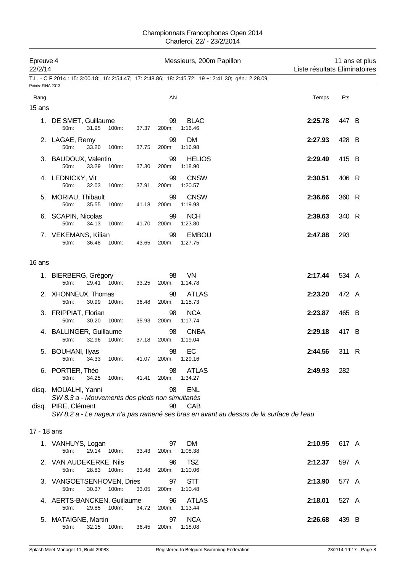| 22/2/14           | Epreuve 4                                                                               |       | Messieurs, 200m Papillon |                                                                                                             |         | 11 ans et plus<br>Liste résultats Eliminatoires |  |  |  |
|-------------------|-----------------------------------------------------------------------------------------|-------|--------------------------|-------------------------------------------------------------------------------------------------------------|---------|-------------------------------------------------|--|--|--|
|                   |                                                                                         |       |                          | T.L. - C F 2014 : 15: 3:00.18; 16: 2:54.47; 17: 2:48.86; 18: 2:45.72; 19 +: 2:41.30; gén.: 2:28.09          |         |                                                 |  |  |  |
| Points: FINA 2013 |                                                                                         |       |                          |                                                                                                             |         |                                                 |  |  |  |
| Rang              |                                                                                         |       | AN                       |                                                                                                             | Temps   | Pts                                             |  |  |  |
| 15 ans            |                                                                                         |       |                          |                                                                                                             |         |                                                 |  |  |  |
|                   | 1. DE SMET, Guillaume<br>50m:<br>31.95<br>100m:                                         | 37.37 | 99<br>200m:              | <b>BLAC</b><br>1:16.46                                                                                      | 2:25.78 | 447 B                                           |  |  |  |
|                   | 2. LAGAE, Remy<br>50m:<br>33.20<br>100m:                                                | 37.75 | 99<br>200m:              | DM<br>1:16.98                                                                                               | 2:27.93 | 428 B                                           |  |  |  |
|                   | 3. BAUDOUX, Valentin<br>50m:<br>33.29<br>100m:                                          | 37.30 | 99<br>200m:              | <b>HELIOS</b><br>1:18.90                                                                                    | 2:29.49 | 415 B                                           |  |  |  |
|                   | 4. LEDNICKY, Vit<br>50m:<br>32.03<br>100m:                                              | 37.91 | 99<br>200m:              | <b>CNSW</b><br>1:20.57                                                                                      | 2:30.51 | 406 R                                           |  |  |  |
|                   | 5. MORIAU, Thibault<br>50m:<br>35.55<br>100m:                                           | 41.18 | 99<br>200m:              | <b>CNSW</b><br>1:19.93                                                                                      | 2:36.66 | 360 R                                           |  |  |  |
|                   | 6. SCAPIN, Nicolas<br>50m:<br>34.13<br>100m:                                            | 41.70 | 99<br>200m:              | <b>NCH</b><br>1:23.80                                                                                       | 2:39.63 | 340 R                                           |  |  |  |
|                   | 7. VEKEMANS, Kilian<br>36.48<br>50m:<br>100m:                                           | 43.65 | 99<br>200m:              | <b>EMBOU</b><br>1:27.75                                                                                     | 2:47.88 | 293                                             |  |  |  |
| 16 ans            |                                                                                         |       |                          |                                                                                                             |         |                                                 |  |  |  |
|                   | 1. BIERBERG, Grégory<br>29.41<br>50m:<br>100m:                                          | 33.25 | 98<br>200m:              | VN<br>1:14.78                                                                                               | 2:17.44 | 534 A                                           |  |  |  |
|                   | 2. XHONNEUX, Thomas<br>50m:<br>30.99<br>100m:                                           | 36.48 | 98<br>200m:              | <b>ATLAS</b><br>1:15.73                                                                                     | 2:23.20 | 472 A                                           |  |  |  |
|                   | 3. FRIPPIAT, Florian<br>50m:<br>30.20<br>100m:                                          | 35.93 | 98<br>200m:              | <b>NCA</b><br>1:17.74                                                                                       | 2:23.87 | 465 B                                           |  |  |  |
|                   | 4. BALLINGER, Guillaume<br>50m:<br>32.96<br>100m:                                       | 37.18 | 98<br>200m:              | <b>CNBA</b><br>1:19.04                                                                                      | 2:29.18 | 417 B                                           |  |  |  |
|                   | 5. BOUHANI, Ilyas<br>50m: 34.33 100m:                                                   | 41.07 | 98<br>200m: 1:29.16      | EC                                                                                                          | 2:44.56 | 311 R                                           |  |  |  |
|                   | 6. PORTIER, Théo<br>50m:<br>34.25<br>100m:                                              | 41.41 | 98<br>200m:              | <b>ATLAS</b><br>1:34.27                                                                                     | 2:49.93 | 282                                             |  |  |  |
| disq.             | disq. MOUALHI, Yanni<br>SW 8.3 a - Mouvements des pieds non simultanés<br>PIRE, Clément |       | 98<br>98                 | <b>ENL</b><br>CAB<br>SW 8.2 a - Le nageur n'a pas ramené ses bras en avant au dessus de la surface de l'eau |         |                                                 |  |  |  |
| 17 - 18 ans       |                                                                                         |       |                          |                                                                                                             |         |                                                 |  |  |  |
|                   | 1. VANHUYS, Logan<br>29.14 100m:<br>50m:                                                | 33.43 | 97<br>200m:              | <b>DM</b><br>1:08.38                                                                                        | 2:10.95 | 617 A                                           |  |  |  |
|                   | 2. VAN AUDEKERKE, Nils<br>50m:<br>28.83<br>100m:                                        | 33.48 | 96<br>200m:              | <b>TSZ</b><br>1:10.06                                                                                       | 2:12.37 | 597 A                                           |  |  |  |
|                   | 3. VANGOETSENHOVEN, Dries<br>30.37 100m:<br>50m:                                        | 33.05 | 97<br>200m:              | <b>STT</b><br>1:10.48                                                                                       | 2:13.90 | 577 A                                           |  |  |  |
|                   | 4. AERTS-BANCKEN, Guillaume<br>50m:<br>29.85<br>100m:                                   | 34.72 | 96<br>200m:              | <b>ATLAS</b><br>1:13.44                                                                                     | 2:18.01 | 527 A                                           |  |  |  |
|                   | 5. MATAIGNE, Martin<br>50m:<br>32.15<br>100m:                                           | 36.45 | 97<br>200m:              | <b>NCA</b><br>1:18.08                                                                                       | 2:26.68 | 439 B                                           |  |  |  |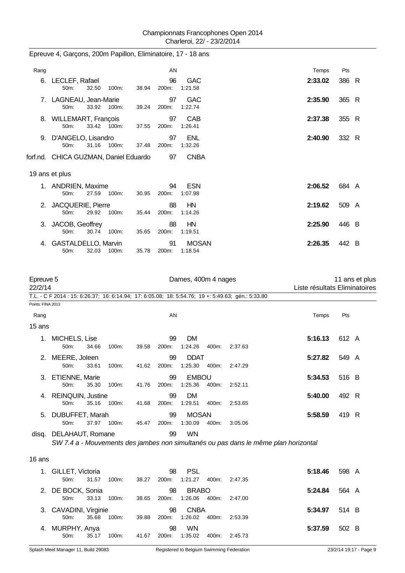| Rang                 |                                                    | AN                   |                                                                                                    | Temps                         | Pts            |
|----------------------|----------------------------------------------------|----------------------|----------------------------------------------------------------------------------------------------|-------------------------------|----------------|
|                      | 6. LECLEF, Rafael<br>50m:<br>32.50<br>100m:        | 96<br>38.94<br>200m: | <b>GAC</b><br>1:21.58                                                                              | 2:33.02                       | 386 R          |
|                      | 7. LAGNEAU, Jean-Marie<br>50m:<br>33.92 100m:      | 97<br>39.24<br>200m: | GAC<br>1:22.74                                                                                     | 2:35.90                       | 365 R          |
|                      | 8. WILLEMART, François<br>50m:<br>33.42 100m:      | 97<br>200m:<br>37.55 | CAB<br>1:26.41                                                                                     | 2:37.38                       | 355 R          |
|                      | 9. D'ANGELO, Lisandro<br>31.16<br>50m:<br>100m:    | 97<br>200m:<br>37.48 | <b>ENL</b><br>1:32.26                                                                              | 2:40.90                       | 332 R          |
|                      | forf.nd. CHICA GUZMAN, Daniel Eduardo              | 97                   | <b>CNBA</b>                                                                                        |                               |                |
|                      | 19 ans et plus                                     |                      |                                                                                                    |                               |                |
|                      | 1. ANDRIEN, Maxime<br>27.59<br>50m:<br>100m:       | 94<br>200m:<br>30.95 | <b>ESN</b><br>1:07.98                                                                              | 2:06.52                       | 684 A          |
| 2.                   | JACQUERIE, Pierre<br>50m:<br>29.92 100m:           | 88<br>200m:<br>35.44 | HN<br>1:14.26                                                                                      | 2:19.62                       | 509 A          |
|                      | 3. JACOB, Geoffrey<br>50m:<br>30.74<br>100m:       | 88<br>35.65<br>200m: | HN<br>1:19.51                                                                                      | 2:25.90                       | 446 B          |
|                      | 4. GASTALDELLO, Marvin<br>32.03 100m:<br>50m:      | 91<br>35.78<br>200m: | <b>MOSAN</b><br>1:18.54                                                                            | 2:26.35                       | 442 B          |
| Epreuve 5<br>22/2/14 |                                                    |                      | Dames, 400m 4 nages                                                                                | Liste résultats Eliminatoires | 11 ans et plus |
| Points: FINA 2013    |                                                    |                      | T.L. - C F 2014 : 15: 6:26.37; 16: 6:14.94; 17: 6:05.08; 18: 5:54.76; 19 +: 5:49.63; gén.: 5:33.80 |                               |                |
| Rang                 |                                                    | AN                   |                                                                                                    | Temps                         | Pts            |
| 15 ans               |                                                    |                      |                                                                                                    |                               |                |
|                      | 1. MICHELS, Lise<br>50m:<br>34.66<br>100m:         | 99<br>39.58<br>200m: | <b>DM</b><br>1:24.26<br>400m:<br>2:37.63                                                           | 5:16.13                       | 612 A          |
|                      | 2. MEERE, Joleen<br>100m:<br>33.61<br>50m:         | 99<br>41.62 200m:    | <b>DDAT</b><br>1:25.30  400m:<br>2:47.29                                                           | 5:27.82                       | 549 A          |
|                      | 3. ETIENNE, Marie<br>50m:<br>35.30<br>100m:        | 99<br>41.76<br>200m: | <b>EMBOU</b><br>1:25.36<br>2:52.11<br>400m:                                                        | 5:34.53                       | 516 B          |
| 4.                   | <b>REINQUIN, Justine</b><br>50m:<br>35.16<br>100m: | 99<br>41.68<br>200m: | <b>DM</b><br>1:29.51<br>400m:<br>2:53.65                                                           | 5:40.00                       | 492 R          |
|                      | 5. DUBUFFET, Marah<br>50m:<br>37.97 100m:          | 99<br>45.47<br>200m: | <b>MOSAN</b><br>1:30.09<br>400m:<br>3:05.06                                                        | 5:58.59                       | 419 R          |

Epreuve 4, Garçons, 200m Papillon, Eliminatoire, 17 - 18 ans

*SW 7.4 a - Mouvements des jambes non simultanés ou pas dans le même plan horizontal*

16 ans

| 1. GILLET, Victoria   |       |       |       | 98    | PSL                 |       |         | 5:18.46 | 598 A |  |
|-----------------------|-------|-------|-------|-------|---------------------|-------|---------|---------|-------|--|
| $50m$ :               | 31.57 | 100m: | 38.27 | 200m: | 1:21.27             | 400m: | 2:47.35 |         |       |  |
| 2. DE BOCK, Sonia     |       |       |       | 98    | <b>BRABO</b>        |       |         | 5:24.84 | 564 A |  |
| 50m                   | 33.13 | 100m: | 38.65 |       | 200m: 1:26.06 400m: |       | 2:47.00 |         |       |  |
|                       |       |       |       |       |                     |       |         |         |       |  |
| 3. CAVADINI, Virginie |       |       |       | 98    | <b>CNBA</b>         |       |         | 5:34.97 | 514 B |  |
| $50m$ :               | 35.68 | 100m: | 39.88 |       | 200m: 1:26.02       | 400m: | 2:53.39 |         |       |  |
| 4. MURPHY, Anya       |       |       |       | 98    | <b>WN</b>           |       |         | 5:37.59 | 502 B |  |

disq. DELAHAUT, Romane 99 WN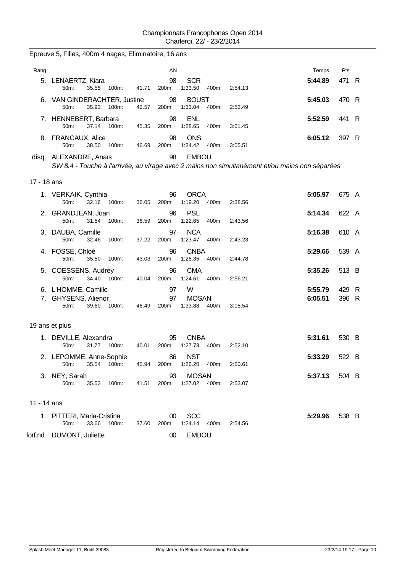Epreuve 5, Filles, 400m 4 nages, Eliminatoire, 16 ans

| Rang        |                                                                 |             |       | ΑN                |                               |       |         | Temps                                                                                          | Pts            |  |
|-------------|-----------------------------------------------------------------|-------------|-------|-------------------|-------------------------------|-------|---------|------------------------------------------------------------------------------------------------|----------------|--|
| 5.          | LENAERTZ, Kiara<br>50m:<br>35.55                                | 100m:       | 41.71 | 98<br>200m:       | <b>SCR</b><br>1:33.50         | 400m: | 2.54.13 | 5:44.89                                                                                        | 471 R          |  |
|             | 6. VAN GINDERACHTER, Justine<br>50m:<br>35.93                   | 100m:       | 42.57 | 98<br>200m:       | <b>BOUST</b><br>1:33.04       | 400m: | 2:53.49 | 5:45.03                                                                                        | 470 R          |  |
|             | 7. HENNEBERT, Barbara<br>50m:<br>37.14                          | 100m:       | 45.35 | 98<br>200m:       | <b>ENL</b><br>1:28.65         | 400m: | 3:01.45 | 5:52.59                                                                                        | 441 R          |  |
|             | 8. FRANCAUX, Alice<br>50m:<br>38.50                             | 100m:       | 46.69 | 98<br>200m:       | <b>ONS</b><br>1:34.42         | 400m: | 3:05.51 | 6:05.12                                                                                        | 397 R          |  |
|             | disq. ALEXANDRE, Anaïs                                          |             |       | 98                | <b>EMBOU</b>                  |       |         | SW 8.4 - Touche à l'arrivée, au virage avec 2 mains non simultanément et/ou mains non séparées |                |  |
| 17 - 18 ans |                                                                 |             |       |                   |                               |       |         |                                                                                                |                |  |
|             | 1. VERKAIK, Cynthia<br>32.16<br>50m:                            | 100m:       | 36.05 | 96<br>200m:       | <b>ORCA</b><br>1:19.20        | 400m: | 2:38.56 | 5:05.97                                                                                        | 675 A          |  |
|             | 2. GRANDJEAN, Joan<br>50m:<br>31.54                             | 100m:       | 36.59 | 96<br>200m:       | <b>PSL</b><br>1:22.65         | 400m: | 2:43.56 | 5:14.34                                                                                        | 622 A          |  |
|             | 3. DAUBA, Camille<br>50m:<br>32.46                              | 100m:       | 37.22 | 97<br>200m:       | <b>NCA</b><br>1:23.47         | 400m: | 2:43.23 | 5:16.38                                                                                        | 610 A          |  |
|             | 4. FOSSE, Chloé<br>50m:<br>35.50                                | 100m:       | 43.03 | 96<br>200m:       | <b>CNBA</b><br>1:26.35        | 400m: | 2:44.78 | 5:29.66                                                                                        | 539 A          |  |
|             | 5. COESSENS, Audrey<br>50m:                                     | 34.40 100m: | 40.04 | 96<br>200m:       | <b>CMA</b><br>1:24.61         | 400m: | 2:56.21 | 5:35.26                                                                                        | 513 B          |  |
| 7.          | 6. L'HOMME, Camille<br><b>GHYSENS, Alienor</b><br>39.60<br>50m: | 100m:       | 46.49 | 97<br>97<br>200m: | W<br><b>MOSAN</b><br>1:33.88  | 400m: | 3:05.54 | 5:55.79<br>6:05.51                                                                             | 429 R<br>396 R |  |
|             | 19 ans et plus                                                  |             |       |                   |                               |       |         |                                                                                                |                |  |
|             | 1. DEVILLE, Alexandra<br>50m:<br>31.77                          | 100m:       | 40.01 | 95<br>200m:       | <b>CNBA</b><br>1:27.73        | 400m: | 2:52.10 | 5:31.61                                                                                        | 530 B          |  |
|             | 2. LEPOMME, Anne-Sophie<br>50m:<br>35.54                        | 100m:       | 40.94 | 86<br>200m:       | <b>NST</b><br>1:26.20         | 400m: | 2:50.61 | 5:33.29                                                                                        | 522 B          |  |
|             | 3. NEY, Sarah<br>50m:<br>35.53                                  | 100m:       | 41.51 | 93<br>200m:       | <b>MOSAN</b><br>1:27.02 400m: |       | 2:53.07 | 5:37.13                                                                                        | 504 B          |  |
| 11 - 14 ans |                                                                 |             |       |                   |                               |       |         |                                                                                                |                |  |
|             | 1. PITTERI, Maria-Cristina<br>50m:<br>33.66                     | 100m:       | 37.60 | $00\,$<br>200m:   | <b>SCC</b><br>1:24.14         | 400m: | 2:54.56 | 5:29.96                                                                                        | 538 B          |  |
|             | forf.nd. DUMONT, Juliette                                       |             |       | $00\,$            | <b>EMBOU</b>                  |       |         |                                                                                                |                |  |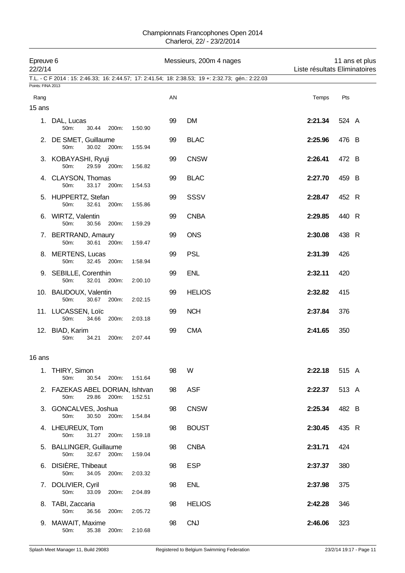| Epreuve 6<br>22/2/14 |                                                        |       |         |    | Messieurs, 200m 4 nages                                                                            | Liste résultats Eliminatoires |       | 11 ans et plus |
|----------------------|--------------------------------------------------------|-------|---------|----|----------------------------------------------------------------------------------------------------|-------------------------------|-------|----------------|
|                      |                                                        |       |         |    | T.L. - C F 2014 : 15: 2:46.33; 16: 2:44.57; 17: 2:41.54; 18: 2:38.53; 19 +: 2:32.73; gén.: 2:22.03 |                               |       |                |
| Points: FINA 2013    |                                                        |       |         |    |                                                                                                    |                               |       |                |
| Rang                 |                                                        |       |         | AN |                                                                                                    | Temps                         | Pts   |                |
| 15 ans               |                                                        |       |         |    |                                                                                                    |                               |       |                |
|                      | 1. DAL, Lucas<br>50m:<br>30.44                         | 200m: | 1:50.90 | 99 | <b>DM</b>                                                                                          | 2:21.34                       | 524 A |                |
|                      | 2. DE SMET, Guillaume<br>30.02 200m:<br>50m:           |       | 1:55.94 | 99 | <b>BLAC</b>                                                                                        | 2:25.96                       | 476 B |                |
|                      | 3. KOBAYASHI, Ryuji<br>50m:<br>29.59 200m:             |       | 1:56.82 | 99 | <b>CNSW</b>                                                                                        | 2:26.41                       | 472 B |                |
|                      | 4. CLAYSON, Thomas<br>50m:<br>33.17 200m:              |       | 1:54.53 | 99 | <b>BLAC</b>                                                                                        | 2:27.70                       | 459 B |                |
|                      | 5. HUPPERTZ, Stefan<br>32.61<br>50m:                   | 200m: | 1:55.86 | 99 | <b>SSSV</b>                                                                                        | 2:28.47                       | 452 R |                |
|                      | 6. WIRTZ, Valentin<br>50m:<br>30.56                    | 200m: | 1:59.29 | 99 | <b>CNBA</b>                                                                                        | 2:29.85                       | 440 R |                |
|                      | 7. BERTRAND, Amaury<br>50m:<br>30.61                   | 200m: | 1:59.47 | 99 | <b>ONS</b>                                                                                         | 2:30.08                       | 438 R |                |
|                      | 8. MERTENS, Lucas<br>50m:<br>32.45 200m:               |       | 1:58.94 | 99 | <b>PSL</b>                                                                                         | 2:31.39                       | 426   |                |
|                      | 9. SEBILLE, Corenthin<br>50m:<br>32.01                 | 200m: | 2:00.10 | 99 | <b>ENL</b>                                                                                         | 2:32.11                       | 420   |                |
|                      | 10. BAUDOUX, Valentin<br>50m:<br>30.67                 | 200m: | 2:02.15 | 99 | <b>HELIOS</b>                                                                                      | 2:32.82                       | 415   |                |
|                      | 11. LUCASSEN, Loïc<br>50m:<br>34.66                    | 200m: | 2:03.18 | 99 | <b>NCH</b>                                                                                         | 2:37.84                       | 376   |                |
|                      | 12. BIAD, Karim<br>50m:<br>34.21                       | 200m: | 2:07.44 | 99 | <b>CMA</b>                                                                                         | 2:41.65                       | 350   |                |
| 16 ans               |                                                        |       |         |    |                                                                                                    |                               |       |                |
|                      | 1. THIRY, Simon<br>30.54 200m:<br>50m:                 |       | 1:51.64 | 98 | W                                                                                                  | 2:22.18                       | 515 A |                |
|                      | 2. FAZEKAS ABEL DORIAN, Ishtvan<br>50m:<br>29.86 200m: |       | 1:52.51 | 98 | <b>ASF</b>                                                                                         | 2:22.37                       | 513 A |                |
|                      | 3. GONCALVES, Joshua<br>30.50 200m:<br>50m:            |       | 1:54.84 | 98 | <b>CNSW</b>                                                                                        | 2:25.34                       | 482 B |                |
|                      | 4. LHEUREUX, Tom<br>50m:<br>31.27                      | 200m: | 1:59.18 | 98 | <b>BOUST</b>                                                                                       | 2:30.45                       | 435 R |                |
|                      | 5. BALLINGER, Guillaume<br>50m:<br>32.67 200m:         |       | 1:59.04 | 98 | <b>CNBA</b>                                                                                        | 2:31.71                       | 424   |                |
|                      | 6. DISIÈRE, Thibeaut<br>50m:<br>34.05                  | 200m: | 2:03.32 | 98 | <b>ESP</b>                                                                                         | 2:37.37                       | 380   |                |
|                      | 7. DOLIVIER, Cyril<br>50m:<br>33.09                    | 200m: | 2:04.89 | 98 | <b>ENL</b>                                                                                         | 2:37.98                       | 375   |                |
|                      | 8. TABI, Zaccaria<br>50m:<br>36.56                     | 200m: | 2:05.72 | 98 | <b>HELIOS</b>                                                                                      | 2:42.28                       | 346   |                |
|                      | 9. MAWAIT, Maxime<br>50m:<br>35.38                     | 200m: | 2:10.68 | 98 | <b>CNJ</b>                                                                                         | 2:46.06                       | 323   |                |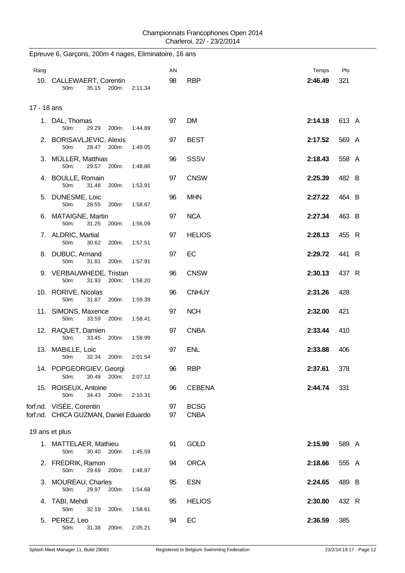| Rang |                                                                   |         | AN       |                            | Temps   | Pts   |  |  |  |  |
|------|-------------------------------------------------------------------|---------|----------|----------------------------|---------|-------|--|--|--|--|
|      | 10. CALLEWAERT, Corentin<br>50m:<br>35.15 200m:                   | 2:11.34 | 98       | <b>RBP</b>                 | 2:46.49 | 321   |  |  |  |  |
|      | 17 - 18 ans                                                       |         |          |                            |         |       |  |  |  |  |
|      | 1. DAL, Thomas<br>50m:<br>29.29<br>200m:                          | 1:44.89 | 97       | <b>DM</b>                  | 2:14.18 | 613 A |  |  |  |  |
|      | 2. BORISAVLJEVIC, Alexis<br>50m:<br>28.47 200m:                   | 1:49.05 | 97       | <b>BEST</b>                | 2:17.52 | 569 A |  |  |  |  |
|      | 3. MÜLLER, Matthias<br>29.57 200m:<br>50m:                        | 1:48.86 | 96       | <b>SSSV</b>                | 2:18.43 | 558 A |  |  |  |  |
|      | 4. BOULLE, Romain<br>50m:<br>31.48<br>200m:                       | 1:53.91 | 97       | <b>CNSW</b>                | 2:25.39 | 482 B |  |  |  |  |
|      | 5. DUNESME, Loic<br>50m:<br>28.55<br>200m:                        | 1:58.67 | 96       | <b>MHN</b>                 | 2:27.22 | 464 B |  |  |  |  |
|      | 6. MATAIGNE, Martin<br>31.25 200m:<br>50 <sub>m</sub> :           | 1:56.09 | 97       | <b>NCA</b>                 | 2:27.34 | 463 B |  |  |  |  |
|      | 7. ALDRIC, Martial<br>50m:<br>30.62<br>200m:                      | 1:57.51 | 97       | <b>HELIOS</b>              | 2:28.13 | 455 R |  |  |  |  |
|      | 8. DUBUC, Armand<br>50m:<br>31.81<br>200m:                        | 1:57.91 | 97       | EC                         | 2:29.72 | 441 R |  |  |  |  |
|      | 9. VERBAUWHEDE, Tristan<br>31.93 200m:<br>50 <sub>m</sub>         | 1:58.20 | 96       | <b>CNSW</b>                | 2:30.13 | 437 R |  |  |  |  |
|      | 10. RORIVE, Nicolas<br>31.87<br>50m:<br>200m:                     | 1:59.39 | 96       | <b>CNHUY</b>               | 2:31.26 | 428   |  |  |  |  |
|      | 11. SIMONS, Maxence<br>33.59<br>200m:<br>50m:                     | 1:58.41 | 97       | <b>NCH</b>                 | 2:32.00 | 421   |  |  |  |  |
|      | 12. RAQUET, Damien<br>50m:<br>33.45<br>200m:                      | 1:59.99 | 97       | <b>CNBA</b>                | 2:33.44 | 410   |  |  |  |  |
|      | 13. MABILLE, Loic<br>32.34<br>50m:<br>200m:                       | 2:01.54 | 97       | <b>ENL</b>                 | 2:33.88 | 406   |  |  |  |  |
|      | 14. POPGEORGIEV, Georgi<br>30.49 200m:<br>50m:                    | 2:07.12 | 96       | <b>RBP</b>                 | 2:37.61 | 378   |  |  |  |  |
|      | 15. ROISEUX, Antoine<br>200m:<br>50m:<br>34.43                    | 2:10.31 | 96       | <b>CEBENA</b>              | 2:44.74 | 331   |  |  |  |  |
|      | forf.nd. VISÉE, Corentin<br>forf.nd. CHICA GUZMAN, Daniel Eduardo |         | 97<br>97 | <b>BCSG</b><br><b>CNBA</b> |         |       |  |  |  |  |
|      | 19 ans et plus                                                    |         |          |                            |         |       |  |  |  |  |
|      | 1. MATTELAER, Mathieu<br>30.40<br>200m:<br>50m:                   | 1:45.59 | 91       | <b>GOLD</b>                | 2:15.99 | 589 A |  |  |  |  |
|      | 2. FREDRIK, Ramon<br>50m:<br>29.69<br>200m:                       | 1:48.97 | 94       | <b>ORCA</b>                | 2:18.66 | 555 A |  |  |  |  |
|      | 3. MOUREAU, Charles<br>29.97 200m:<br>50m:                        | 1:54.68 | 95       | <b>ESN</b>                 | 2:24.65 | 489 B |  |  |  |  |
| 4.   | TABI, Mehdi<br>50m:<br>32.19<br>200m:                             | 1:58.61 | 95       | <b>HELIOS</b>              | 2:30.80 | 432 R |  |  |  |  |
|      | 5. PEREZ, Leo<br>50m:<br>31.38 200m:                              | 2:05.21 | 94       | EC                         | 2:36.59 | 385   |  |  |  |  |

Epreuve 6, Garçons, 200m 4 nages, Eliminatoire, 16 ans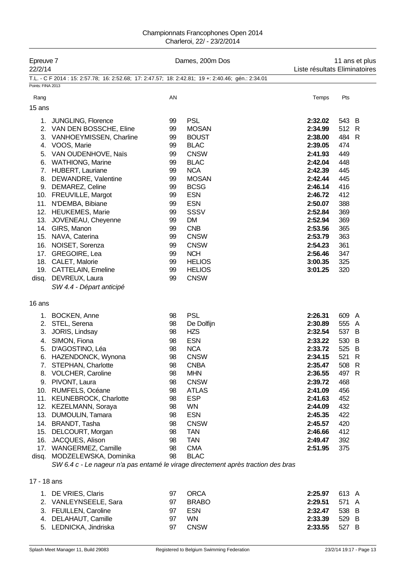| Epreuve 7<br>22/2/14 |                                                                                                            |          | Dames, 200m Dos                | 11 ans et plus<br>Liste résultats Eliminatoires |                     |  |
|----------------------|------------------------------------------------------------------------------------------------------------|----------|--------------------------------|-------------------------------------------------|---------------------|--|
|                      | T.L. - C F 2014 : 15: 2:57.78; 16: 2:52.68; 17: 2:47.57; 18: 2:42.81; 19 +: 2:40.46; gén.: 2:34.01         |          |                                |                                                 |                     |  |
| Points: FINA 2013    |                                                                                                            |          |                                |                                                 |                     |  |
| Rang                 |                                                                                                            | AN       |                                | Temps                                           | Pts                 |  |
| 15 ans               |                                                                                                            |          |                                |                                                 |                     |  |
|                      | 1. JUNGLING, Florence                                                                                      | 99       | <b>PSL</b>                     | 2:32.02                                         | 543 B               |  |
|                      | 2. VAN DEN BOSSCHE, Eline                                                                                  | 99       | <b>MOSAN</b>                   | 2:34.99                                         | 512 R               |  |
|                      | 3. VANHOEYMISSEN, Charline                                                                                 | 99       | <b>BOUST</b>                   | 2:38.00                                         | 484<br>R            |  |
|                      | 4. VOOS, Marie                                                                                             | 99       | <b>BLAC</b>                    | 2:39.05                                         | 474                 |  |
|                      | 5. VAN OUDENHOVE, Naïs                                                                                     | 99       | <b>CNSW</b>                    | 2:41.93                                         | 449                 |  |
|                      | 6. WATHIONG, Marine                                                                                        | 99       | <b>BLAC</b>                    | 2:42.04                                         | 448                 |  |
|                      | 7. HUBERT, Lauriane                                                                                        | 99       | <b>NCA</b>                     | 2:42.39                                         | 445                 |  |
|                      | 8. DEWANDRE, Valentine                                                                                     | 99       | <b>MOSAN</b>                   | 2:42.44                                         | 445                 |  |
|                      | 9. DEMAREZ, Celine                                                                                         | 99       | <b>BCSG</b>                    | 2:46.14                                         | 416                 |  |
|                      | 10. FREUVILLE, Margot                                                                                      | 99       | <b>ESN</b>                     | 2:46.72                                         | 412                 |  |
|                      | 11. N'DEMBA, Bibiane                                                                                       | 99       | <b>ESN</b>                     | 2:50.07                                         | 388                 |  |
|                      | 12. HEUKEMES, Marie                                                                                        | 99       | <b>SSSV</b>                    | 2:52.84                                         | 369                 |  |
| 13.                  | JOVENEAU, Cheyenne                                                                                         | 99       | <b>DM</b>                      | 2:52.94                                         | 369                 |  |
|                      | 14. GIRS, Manon                                                                                            | 99       | <b>CNB</b>                     | 2:53.56                                         | 365                 |  |
|                      | 15. NAVA, Caterina                                                                                         | 99       | <b>CNSW</b>                    | 2:53.79                                         | 363                 |  |
|                      | 16. NOISET, Sorenza                                                                                        | 99       | <b>CNSW</b>                    | 2:54.23                                         | 361                 |  |
|                      | 17. GREGOIRE, Lea                                                                                          | 99       | <b>NCH</b>                     | 2:56.46                                         | 347                 |  |
|                      | 18. CALET, Malorie<br>19. CATTELAIN, Emeline                                                               | 99<br>99 | <b>HELIOS</b><br><b>HELIOS</b> | 3:00.35<br>3:01.25                              | 325<br>320          |  |
| disq.                | DEVREUX, Laura                                                                                             | 99       | <b>CNSW</b>                    |                                                 |                     |  |
|                      | SW 4.4 - Départ anticipé                                                                                   |          |                                |                                                 |                     |  |
|                      |                                                                                                            |          |                                |                                                 |                     |  |
| 16 ans               |                                                                                                            |          |                                |                                                 |                     |  |
|                      | 1. BOCKEN, Anne                                                                                            | 98       | <b>PSL</b>                     | 2:26.31                                         | 609 A               |  |
|                      | 2. STEL, Serena                                                                                            | 98       | De Dolfijn                     | 2:30.89                                         | 555<br>$\mathsf{A}$ |  |
|                      | 3. JORIS, Lindsay                                                                                          | 98       | <b>HZS</b>                     | 2:32.54                                         | 537<br>B            |  |
|                      | 4. SIMON, Fiona                                                                                            | 98       | <b>ESN</b>                     | 2:33.22                                         | 530<br>B            |  |
| 5.                   | D'AGOSTINO, Léa                                                                                            | 98       | <b>NCA</b>                     | 2:33.72                                         | 525<br>B            |  |
|                      | 6. HAZENDONCK, Wynona                                                                                      | 98       | <b>CNSW</b>                    | 2:34.15                                         | 521<br>$\mathsf{R}$ |  |
|                      | 7. STEPHAN, Charlotte                                                                                      | 98       | <b>CNBA</b>                    | 2:35.47                                         | 508 R               |  |
|                      | 8. VOLCHER, Caroline                                                                                       | 98       | <b>MHN</b>                     | 2:36.55                                         | 497 R               |  |
|                      | 9. PIVONT, Laura                                                                                           | 98       | <b>CNSW</b>                    | 2:39.72                                         | 468                 |  |
|                      | 10. RUMFELS, Océane                                                                                        | 98       | <b>ATLAS</b>                   | 2:41.09                                         | 456                 |  |
|                      | 11. KEUNEBROCK, Charlotte                                                                                  | 98       | <b>ESP</b>                     | 2:41.63                                         | 452                 |  |
|                      | 12. KEZELMANN, Soraya                                                                                      | 98       | WN                             | 2:44.09                                         | 432                 |  |
|                      | 13. DUMOULIN, Tamara                                                                                       | 98       | <b>ESN</b>                     | 2:45.35                                         | 422                 |  |
|                      | 14. BRANDT, Tasha                                                                                          | 98       | <b>CNSW</b>                    | 2:45.57                                         | 420                 |  |
| 15.                  | DELCOURT, Morgan                                                                                           | 98       | <b>TAN</b>                     | 2:46.66                                         | 412                 |  |
| 16.                  | JACQUES, Alison                                                                                            | 98       | <b>TAN</b>                     | 2:49.47                                         | 392                 |  |
|                      | 17. WANGERMEZ, Camille                                                                                     | 98       | <b>CMA</b>                     | 2:51.95                                         | 375                 |  |
| disq.                | MODZELEWSKA, Dominika<br>SW 6.4 c - Le nageur n'a pas entamé le virage directement après traction des bras | 98       | <b>BLAC</b>                    |                                                 |                     |  |
|                      |                                                                                                            |          |                                |                                                 |                     |  |
| 17 - 18 ans          |                                                                                                            |          |                                |                                                 |                     |  |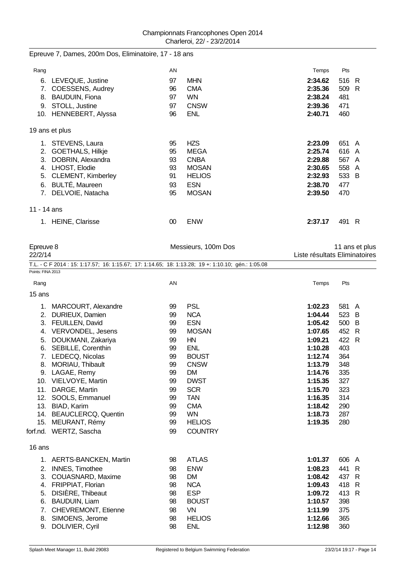|  |  |  | Epreuve 7, Dames, 200m Dos, Eliminatoire, 17 - 18 ans |  |  |
|--|--|--|-------------------------------------------------------|--|--|
|--|--|--|-------------------------------------------------------|--|--|

| Rang        |                           | AN |               | Temps   | Pts   |   |
|-------------|---------------------------|----|---------------|---------|-------|---|
| 6.          | LEVEQUE, Justine          | 97 | <b>MHN</b>    | 2:34.62 | 516 R |   |
| 7.          | COESSENS, Audrey          | 96 | <b>CMA</b>    | 2:35.36 | 509   | R |
| 8.          | <b>BAUDUIN, Fiona</b>     | 97 | WN.           | 2:38.24 | 481   |   |
| 9.          | STOLL, Justine            | 97 | <b>CNSW</b>   | 2:39.36 | 471   |   |
| 10.         | HENNEBERT, Alyssa         | 96 | <b>ENL</b>    | 2:40.71 | 460   |   |
|             | 19 ans et plus            |    |               |         |       |   |
| 1.          | STEVENS, Laura            | 95 | <b>HZS</b>    | 2:23.09 | 651 A |   |
| 2.          | <b>GOETHALS, Hilkje</b>   | 95 | <b>MEGA</b>   | 2:25.74 | 616 A |   |
| 3.          | DOBRIN, Alexandra         | 93 | <b>CNBA</b>   | 2:29.88 | 567 A |   |
| 4.          | LHOST, Elodie             | 93 | <b>MOSAN</b>  | 2:30.65 | 558 A |   |
| 5.          | <b>CLEMENT, Kimberley</b> | 91 | <b>HELIOS</b> | 2:32.93 | 533 B |   |
| 6.          | <b>BULTÉ, Maureen</b>     | 93 | <b>ESN</b>    | 2:38.70 | 477   |   |
| 7.          | DELVOIE, Natacha          | 95 | <b>MOSAN</b>  | 2:39.50 | 470   |   |
| 11 - 14 ans |                           |    |               |         |       |   |
|             | <b>HEINE, Clarisse</b>    | 00 | <b>ENW</b>    | 2:37.17 | 491   | R |

| Epreuve 8<br>22/2/14 |                                                                                                    |          | Messieurs, 100m Dos | 11 ans et plus<br>Liste résultats Eliminatoires |              |              |
|----------------------|----------------------------------------------------------------------------------------------------|----------|---------------------|-------------------------------------------------|--------------|--------------|
| Points: FINA 2013    | T.L. - C F 2014 : 15: 1:17.57; 16: 1:15.67; 17: 1:14.65; 18: 1:13.28; 19 +: 1:10.10; gén.: 1:05.08 |          |                     |                                                 |              |              |
| Rang                 |                                                                                                    | AN       |                     | Temps                                           | Pts          |              |
| 15 ans               |                                                                                                    |          |                     |                                                 |              |              |
|                      |                                                                                                    |          | <b>PSL</b>          |                                                 |              |              |
|                      | 1. MARCOURT, Alexandre                                                                             | 99<br>99 | <b>NCA</b>          | 1:02.23<br>1:04.44                              | 581 A<br>523 | B            |
|                      | 2. DURIEUX, Damien<br>3. FEUILLEN, David                                                           | 99       | <b>ESN</b>          | 1:05.42                                         | 500 B        |              |
|                      | 4. VERVONDEL, Jesens                                                                               | 99       | <b>MOSAN</b>        | 1:07.65                                         | 452 R        |              |
|                      |                                                                                                    | 99       | <b>HN</b>           | 1:09.21                                         | 422          | $\mathsf{R}$ |
| 6.                   | 5. DOUKMANI, Zakariya<br>SEBILLE, Corenthin                                                        | 99       | <b>ENL</b>          | 1:10.28                                         | 403          |              |
|                      | 7. LEDECQ, Nicolas                                                                                 | 99       | <b>BOUST</b>        | 1:12.74                                         | 364          |              |
| 8.                   | MORIAU, Thibault                                                                                   | 99       | <b>CNSW</b>         | 1:13.79                                         | 348          |              |
|                      | 9. LAGAE, Remy                                                                                     | 99       | <b>DM</b>           | 1:14.76                                         | 335          |              |
|                      | 10. VIELVOYE, Martin                                                                               | 99       | <b>DWST</b>         | 1:15.35                                         | 327          |              |
|                      | 11. DARGE, Martin                                                                                  | 99       | <b>SCR</b>          | 1:15.70                                         | 323          |              |
|                      | 12. SOOLS, Emmanuel                                                                                | 99       | <b>TAN</b>          | 1:16.35                                         | 314          |              |
|                      | 13. BIAD, Karim                                                                                    | 99       | <b>CMA</b>          | 1:18.42                                         | 290          |              |
|                      | 14. BEAUCLERCQ, Quentin                                                                            | 99       | <b>WN</b>           | 1:18.73                                         | 287          |              |
|                      | 15. MEURANT, Rémy                                                                                  | 99       | <b>HELIOS</b>       | 1:19.35                                         | 280          |              |
|                      | forf.nd. WERTZ, Sascha                                                                             | 99       | <b>COUNTRY</b>      |                                                 |              |              |
| 16 ans               |                                                                                                    |          |                     |                                                 |              |              |
| 1.                   | <b>AERTS-BANCKEN, Martin</b>                                                                       | 98       | <b>ATLAS</b>        | 1:01.37                                         | 606          | A            |
| 2.                   | <b>INNES, Timothee</b>                                                                             | 98       | <b>ENW</b>          | 1:08.23                                         | 441          | R            |
|                      | 3. COUASNARD, Maxime                                                                               | 98       | <b>DM</b>           | 1:08.42                                         | 437 R        |              |
|                      | 4. FRIPPIAT, Florian                                                                               | 98       | <b>NCA</b>          | 1:09.43                                         | 418          | R            |
| 5.                   | DISIÈRE, Thibeaut                                                                                  | 98       | <b>ESP</b>          | 1:09.72                                         | 413          | R            |
| 6.                   | <b>BAUDUIN, Liam</b>                                                                               | 98       | <b>BOUST</b>        | 1:10.57                                         | 398          |              |
| 7.                   | CHEVREMONT, Etienne                                                                                | 98       | <b>VN</b>           | 1:11.99                                         | 375          |              |
| 8.                   | SIMOENS, Jerome                                                                                    | 98       | <b>HELIOS</b>       | 1:12.66                                         | 365          |              |
| 9.                   | DOLIVIER, Cyril                                                                                    | 98       | <b>ENL</b>          | 1:12.98                                         | 360          |              |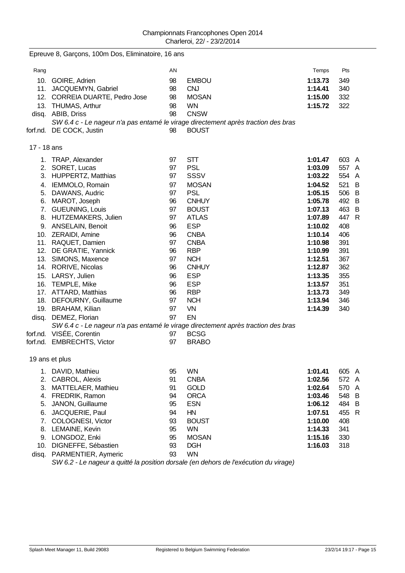Epreuve 8, Garçons, 100m Dos, Eliminatoire, 16 ans

| Rang        |                                | AN |                                                                                   | Temps   | Pts   |  |
|-------------|--------------------------------|----|-----------------------------------------------------------------------------------|---------|-------|--|
|             | 10. GOIRE, Adrien              | 98 | <b>EMBOU</b>                                                                      | 1:13.73 | 349   |  |
|             | 11. JACQUEMYN, Gabriel         | 98 | <b>CNJ</b>                                                                        | 1:14.41 | 340   |  |
|             | 12. CORREIA DUARTE, Pedro Jose | 98 | <b>MOSAN</b>                                                                      | 1:15.00 | 332   |  |
|             | 13. THUMAS, Arthur             | 98 | <b>WN</b>                                                                         | 1:15.72 | 322   |  |
|             | disq. ABIB, Driss              | 98 | <b>CNSW</b>                                                                       |         |       |  |
|             |                                |    | SW 6.4 c - Le nageur n'a pas entamé le virage directement après traction des bras |         |       |  |
|             | forf.nd. DE COCK, Justin       | 98 | <b>BOUST</b>                                                                      |         |       |  |
| 17 - 18 ans |                                |    |                                                                                   |         |       |  |
|             | 1. TRAP, Alexander             | 97 | <b>STT</b>                                                                        | 1:01.47 | 603 A |  |
|             | 2. SORET, Lucas                | 97 | <b>PSL</b>                                                                        | 1:03.09 | 557 A |  |
|             | 3. HUPPERTZ, Matthias          | 97 | SSSV                                                                              | 1:03.22 | 554 A |  |
|             | 4. IEMMOLO, Romain             | 97 | <b>MOSAN</b>                                                                      | 1:04.52 | 521 B |  |
|             | 5. DAWANS, Audric              | 97 | <b>PSL</b>                                                                        | 1:05.15 | 506 B |  |
|             | 6. MAROT, Joseph               | 96 | <b>CNHUY</b>                                                                      | 1:05.78 | 492 B |  |
|             | 7. GUEUNING, Louis             | 97 | <b>BOUST</b>                                                                      | 1:07.13 | 463 B |  |
|             | 8. HUTZEMAKERS, Julien         | 97 | <b>ATLAS</b>                                                                      | 1:07.89 | 447 R |  |
|             | 9. ANSELAIN, Benoit            | 96 | <b>ESP</b>                                                                        | 1:10.02 | 408   |  |
|             | 10. ZERAIDI, Amine             | 96 | <b>CNBA</b>                                                                       | 1:10.14 | 406   |  |
|             | 11. RAQUET, Damien             | 97 | <b>CNBA</b>                                                                       | 1:10.98 | 391   |  |
|             | 12. DE GRATIE, Yannick         | 96 | <b>RBP</b>                                                                        | 1:10.99 | 391   |  |
|             | 13. SIMONS, Maxence            | 97 | <b>NCH</b>                                                                        | 1:12.51 | 367   |  |
|             | 14. RORIVE, Nicolas            | 96 | <b>CNHUY</b>                                                                      | 1:12.87 | 362   |  |
|             | 15. LARSY, Julien              | 96 | <b>ESP</b>                                                                        | 1:13.35 | 355   |  |
|             | 16. TEMPLE, Mike               | 96 | <b>ESP</b>                                                                        | 1:13.57 | 351   |  |
|             | 17. ATTARD, Matthias           | 96 | <b>RBP</b>                                                                        | 1:13.73 | 349   |  |
|             | 18. DEFOURNY, Guillaume        | 97 | <b>NCH</b>                                                                        | 1:13.94 | 346   |  |
|             | 19. BRAHAM, Kilian             | 97 | VN                                                                                | 1:14.39 | 340   |  |
|             | disq. DEMEZ, Florian           | 97 | EN                                                                                |         |       |  |
|             |                                |    | SW 6.4 c - Le nageur n'a pas entamé le virage directement après traction des bras |         |       |  |
|             | forf.nd. VISÉE, Corentin       | 97 | <b>BCSG</b>                                                                       |         |       |  |
|             | forf.nd. EMBRECHTS, Victor     | 97 | <b>BRABO</b>                                                                      |         |       |  |
|             | 19 ans et plus                 |    |                                                                                   |         |       |  |
|             | 1. DAVID, Mathieu              | 95 | <b>WN</b>                                                                         | 1:01.41 | 605 A |  |
|             | 2. CABROL, Alexis              | 91 | <b>CNBA</b>                                                                       | 1:02.56 | 572 A |  |
| 3.          | MATTELAER, Mathieu             | 91 | <b>GOLD</b>                                                                       | 1:02.64 | 570 A |  |
|             | 4. FREDRIK, Ramon              | 94 | <b>ORCA</b>                                                                       | 1:03.46 | 548 B |  |
| 5.          | JANON, Guillaume               | 95 | <b>ESN</b>                                                                        | 1:06.12 | 484 B |  |
| 6.          | JACQUERIE, Paul                | 94 | HN                                                                                | 1:07.51 | 455 R |  |
| 7.          | COLOGNESI, Victor              | 93 | <b>BOUST</b>                                                                      | 1:10.00 | 408   |  |
|             | 8. LEMAINE, Kevin              | 95 | <b>WN</b>                                                                         | 1:14.33 | 341   |  |
|             | 9. LONGDOZ, Enki               | 95 | <b>MOSAN</b>                                                                      | 1:15.16 | 330   |  |
| 10.         | DIGNEFFE, Sébastien            | 93 | <b>DGH</b>                                                                        | 1:16.03 | 318   |  |
| disq.       | PARMENTIER, Aymeric            | 93 | <b>WN</b>                                                                         |         |       |  |
|             |                                |    |                                                                                   |         |       |  |

*SW 6.2 - Le nageur a quitté la position dorsale (en dehors de l'exécution du virage)*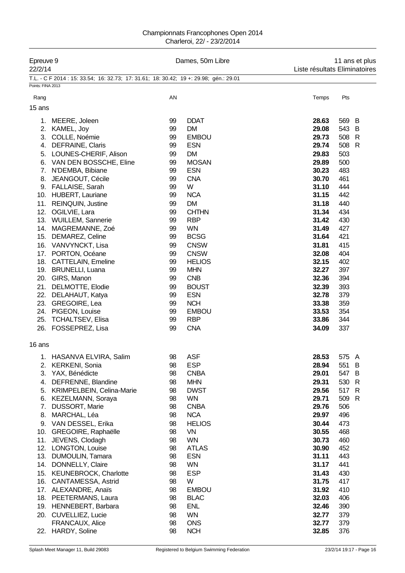#### Championnats Francophones Open 2014 Charleroi, 22/ - 23/2/2014

| Epreuve 9<br>22/2/14 |                                                                                        |    | Dames, 50m Libre |       | 11 ans et plus<br>Liste résultats Eliminatoires |  |  |
|----------------------|----------------------------------------------------------------------------------------|----|------------------|-------|-------------------------------------------------|--|--|
|                      | T.L. - C F 2014 : 15: 33.54; 16: 32.73; 17: 31.61; 18: 30.42; 19 +: 29.98; gén.: 29.01 |    |                  |       |                                                 |  |  |
| Points: FINA 2013    |                                                                                        |    |                  |       |                                                 |  |  |
| Rang                 |                                                                                        | AN |                  | Temps | Pts                                             |  |  |
| 15 ans               |                                                                                        |    |                  |       |                                                 |  |  |
|                      |                                                                                        |    |                  |       |                                                 |  |  |
|                      | 1. MEERE, Joleen                                                                       | 99 | <b>DDAT</b>      | 28.63 | 569<br>B                                        |  |  |
|                      | 2. KAMEL, Joy                                                                          | 99 | <b>DM</b>        | 29.08 | 543<br>B                                        |  |  |
| 3.                   | COLLE, Noémie                                                                          | 99 | <b>EMBOU</b>     | 29.73 | 508<br>$\mathsf{R}$                             |  |  |
| 4.                   | DEFRAINE, Claris                                                                       | 99 | <b>ESN</b>       | 29.74 | 508<br>$\mathsf{R}$                             |  |  |
| 5.                   | LOUNES-CHERIF, Alison                                                                  | 99 | <b>DM</b>        | 29.83 | 503                                             |  |  |
|                      | 6. VAN DEN BOSSCHE, Eline                                                              | 99 | <b>MOSAN</b>     | 29.89 | 500                                             |  |  |
| 7.                   | N'DEMBA, Bibiane                                                                       | 99 | <b>ESN</b>       | 30.23 | 483                                             |  |  |
| 8.                   | JEANGOUT, Cécile                                                                       | 99 | <b>CNA</b>       | 30.70 | 461                                             |  |  |
|                      | 9. FALLAISE, Sarah                                                                     | 99 | W                | 31.10 | 444                                             |  |  |
|                      | 10. HUBERT, Lauriane                                                                   | 99 | <b>NCA</b>       | 31.15 | 442                                             |  |  |
| 11.                  | <b>REINQUIN, Justine</b>                                                               | 99 | <b>DM</b>        | 31.18 | 440                                             |  |  |
|                      | 12. OGILVIE, Lara                                                                      | 99 | <b>CHTHN</b>     | 31.34 | 434                                             |  |  |
|                      | 13. WUILLEM, Sannerie                                                                  | 99 | <b>RBP</b>       | 31.42 | 430                                             |  |  |
|                      | 14. MAGREMANNE, Zoé                                                                    | 99 | <b>WN</b>        | 31.49 | 427                                             |  |  |
|                      | 15. DEMAREZ, Celine                                                                    | 99 | <b>BCSG</b>      | 31.64 | 421                                             |  |  |
|                      | 16. VANVYNCKT, Lisa                                                                    | 99 | <b>CNSW</b>      | 31.81 | 415                                             |  |  |
|                      | 17. PORTON, Océane                                                                     | 99 | <b>CNSW</b>      | 32.08 | 404                                             |  |  |
|                      | 18. CATTELAIN, Emeline                                                                 | 99 | <b>HELIOS</b>    | 32.15 | 402                                             |  |  |
|                      | 19. BRUNELLI, Luana                                                                    | 99 | <b>MHN</b>       | 32.27 | 397                                             |  |  |
|                      | 20. GIRS, Manon                                                                        | 99 | <b>CNB</b>       | 32.36 | 394                                             |  |  |
|                      | 21. DELMOTTE, Elodie                                                                   | 99 | <b>BOUST</b>     | 32.39 | 393                                             |  |  |
|                      | 22. DELAHAUT, Katya                                                                    | 99 | <b>ESN</b>       | 32.78 | 379                                             |  |  |
|                      | 23. GREGOIRE, Lea                                                                      | 99 | <b>NCH</b>       | 33.38 | 359                                             |  |  |
|                      | 24. PIGEON, Louise                                                                     | 99 | <b>EMBOU</b>     | 33.53 | 354                                             |  |  |
|                      | 25. TCHALTSEV, Elisa                                                                   | 99 | <b>RBP</b>       | 33.86 | 344                                             |  |  |
|                      | 26. FOSSEPREZ, Lisa                                                                    | 99 | <b>CNA</b>       | 34.09 | 337                                             |  |  |
| 16 ans               |                                                                                        |    |                  |       |                                                 |  |  |
|                      | 1. HASANVA ELVIRA, Salim                                                               | 98 | <b>ASF</b>       | 28.53 | 575 A                                           |  |  |
| 2.                   | <b>KERKENI, Sonia</b>                                                                  | 98 | <b>ESP</b>       | 28.94 | 551<br>B                                        |  |  |
| 3.                   | YAX, Bénédicte                                                                         | 98 | <b>CNBA</b>      | 29.01 | 547<br>B                                        |  |  |
| 4.                   | DEFRENNE, Blandine                                                                     | 98 | <b>MHN</b>       | 29.31 | 530<br>R                                        |  |  |
| 5.                   | KRIMPELBEIN, Celina-Marie                                                              | 98 | <b>DWST</b>      | 29.56 | $\mathsf{R}$<br>517                             |  |  |
| 6.                   | KEZELMANN, Soraya                                                                      | 98 | WN               | 29.71 | 509<br>$\mathsf{R}$                             |  |  |
| 7.                   | <b>DUSSORT, Marie</b>                                                                  | 98 | <b>CNBA</b>      | 29.76 | 506                                             |  |  |
| 8.                   | MARCHAL, Léa                                                                           | 98 | <b>NCA</b>       | 29.97 | 496                                             |  |  |
|                      | 9. VAN DESSEL, Erika                                                                   | 98 | <b>HELIOS</b>    | 30.44 | 473                                             |  |  |
| 10.                  | GREGOIRE, Raphaëlle                                                                    | 98 | VN               | 30.55 | 468                                             |  |  |
| 11.                  | JEVENS, Clodagh                                                                        | 98 | <b>WN</b>        | 30.73 | 460                                             |  |  |
|                      | 12. LONGTON, Louise                                                                    | 98 | <b>ATLAS</b>     | 30.90 | 452                                             |  |  |
| 13.                  | DUMOULIN, Tamara                                                                       | 98 | <b>ESN</b>       | 31.11 | 443                                             |  |  |
| 14.                  | DONNELLY, Claire                                                                       | 98 | WN               | 31.17 | 441                                             |  |  |
| 15.                  | <b>KEUNEBROCK, Charlotte</b>                                                           | 98 | <b>ESP</b>       | 31.43 | 430                                             |  |  |
| 16.                  | <b>CANTAMESSA, Astrid</b>                                                              | 98 | W                | 31.75 | 417                                             |  |  |
|                      | 17. ALEXANDRE, Anaïs                                                                   | 98 | <b>EMBOU</b>     | 31.92 | 410                                             |  |  |
| 18.                  | PEETERMANS, Laura                                                                      | 98 | <b>BLAC</b>      | 32.03 | 406                                             |  |  |
|                      | 19. HENNEBERT, Barbara                                                                 | 98 | <b>ENL</b>       | 32.46 | 390                                             |  |  |
|                      | 20. CUVELLIEZ, Lucie                                                                   | 98 | <b>WN</b>        | 32.77 | 379                                             |  |  |
|                      | FRANCAUX, Alice                                                                        | 98 | <b>ONS</b>       | 32.77 | 379                                             |  |  |
| 22.                  | <b>HARDY, Soline</b>                                                                   | 98 | <b>NCH</b>       | 32.85 | 376                                             |  |  |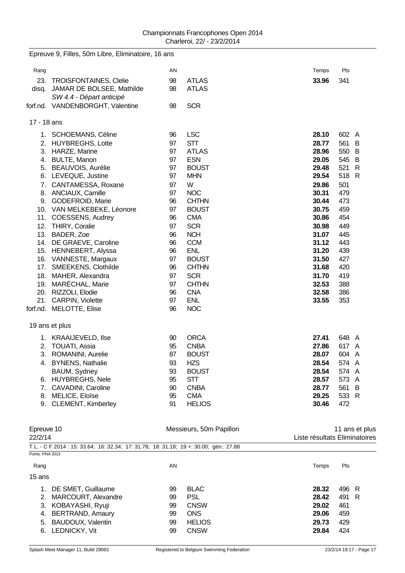|             | Epreuve 9, Filles, 50m Libre, Eliminatoire, 16 ans    |    |               |       |          |  |
|-------------|-------------------------------------------------------|----|---------------|-------|----------|--|
| Rang        |                                                       | AN |               | Temps | Pts      |  |
|             | 23. TROISFONTAINES, Clelie                            | 98 | <b>ATLAS</b>  | 33.96 | 341      |  |
| disq.       | JAMAR DE BOLSEE, Mathilde<br>SW 4.4 - Départ anticipé | 98 | <b>ATLAS</b>  |       |          |  |
|             | forf.nd. VANDENBORGHT, Valentine                      | 98 | <b>SCR</b>    |       |          |  |
| 17 - 18 ans |                                                       |    |               |       |          |  |
|             | 1. SCHOEMANS, Céline                                  | 96 | <b>LSC</b>    | 28.10 | 602 A    |  |
|             | 2. HUYBREGHS, Lotte                                   | 97 | <b>STT</b>    | 28.77 | 561<br>B |  |
|             | 3. HARZE, Marine                                      | 97 | <b>ATLAS</b>  | 28.96 | 550<br>B |  |
| 4.          | <b>BULTE, Manon</b>                                   | 97 | <b>ESN</b>    | 29.05 | 545 B    |  |
|             | 5. BEAUVOIS, Aurélie                                  | 97 | <b>BOUST</b>  | 29.48 | 521<br>R |  |
|             | 6. LEVEQUE, Justine                                   | 97 | <b>MHN</b>    | 29.54 | 518 R    |  |
|             | 7. CANTAMESSA, Roxane                                 | 97 | W             | 29.86 | 501      |  |
|             | 8. ANCIAUX, Camille                                   | 97 | <b>NOC</b>    | 30.31 | 479      |  |
|             | 9. GODEFROID, Marie                                   | 96 | <b>CHTHN</b>  | 30.44 | 473      |  |
|             | 10. VAN MELKEBEKE, Léonore                            | 97 | <b>BOUST</b>  | 30.75 | 459      |  |
|             | 11. COESSENS, Audrey                                  | 96 | <b>CMA</b>    | 30.86 | 454      |  |
|             | 12. THIRY, Coralie                                    | 97 | <b>SCR</b>    | 30.98 | 449      |  |
|             | 13. BADER, Zoe                                        | 96 | <b>NCH</b>    | 31.07 | 445      |  |
|             | 14. DE GRAEVE, Caroline                               | 96 | <b>CCM</b>    | 31.12 | 443      |  |
|             | 15. HENNEBERT, Alyssa                                 | 96 | <b>ENL</b>    | 31.20 | 439      |  |
|             | 16. VANNESTE, Margaux                                 | 97 | <b>BOUST</b>  | 31.50 | 427      |  |
|             | 17. SMEEKENS, Clothilde                               | 96 | <b>CHTHN</b>  | 31.68 | 420      |  |
|             | 18. MAHER, Alexandra                                  | 97 | <b>SCR</b>    | 31.70 | 419      |  |
|             | 19. MARÉCHAL, Marie                                   | 97 | <b>CHTHN</b>  | 32.53 | 388      |  |
|             | 20. RIZZOLI, Elodie                                   | 96 | <b>CNA</b>    | 32.58 | 386      |  |
|             | 21. CARPIN, Violette                                  | 97 | <b>ENL</b>    | 33.55 | 353      |  |
|             | forf.nd. MELOTTE, Elise                               | 96 | <b>NOC</b>    |       |          |  |
|             |                                                       |    |               |       |          |  |
|             | 19 ans et plus                                        |    |               |       |          |  |
|             | 1. KRAAIJEVELD, Ilse                                  | 90 | <b>ORCA</b>   | 27.41 | 648 A    |  |
|             | 2. TOUATI, Assia                                      | 95 | <b>CNBA</b>   | 27.86 | 617 A    |  |
|             | 3. ROMANINI, Aurelie                                  | 87 | <b>BOUST</b>  | 28.07 | 604 A    |  |
|             | 4. BYNENS, Nathalie                                   | 93 | <b>HZS</b>    | 28.54 | 574 A    |  |
|             | BAUM, Sydney                                          | 93 | <b>BOUST</b>  | 28.54 | 574 A    |  |
|             | 6. HUYBREGHS, Nele                                    | 95 | <b>STT</b>    | 28.57 | 573 A    |  |
|             | 7. CAVADINI, Caroline                                 | 90 | <b>CNBA</b>   | 28.77 | 561<br>B |  |
| 8.          | MELICE, Eloïse                                        | 95 | <b>CMA</b>    | 29.25 | 533 R    |  |
| 9.          | <b>CLEMENT, Kimberley</b>                             | 91 | <b>HELIOS</b> | 30.46 | 472      |  |
|             |                                                       |    |               |       |          |  |

| Epreuve 10<br>22/2/14                                                                  | Messieurs, 50m Papillon | 11 ans et plus<br>Liste résultats Eliminatoires |
|----------------------------------------------------------------------------------------|-------------------------|-------------------------------------------------|
| T.L. - C F 2014 : 15: 33.64; 16: 32.34; 17: 31.78; 18: 31.18; 19 +: 30.00; qén.: 27.88 |                         |                                                 |
| Points: FINA 2013                                                                      |                         |                                                 |
| Rang                                                                                   | AN                      | Pts<br>Temps                                    |
| 15 ans                                                                                 |                         |                                                 |
| DE SMET, Guillaume                                                                     | <b>BLAC</b>             | 496 R                                           |
| 1.                                                                                     | 99                      | 28.32                                           |
| MARCOURT, Alexandre                                                                    | <b>PSL</b>              | 491 R                                           |
| 2.                                                                                     | 99                      | 28.42                                           |
| KOBAYASHI, Ryuji                                                                       | <b>CNSW</b>             | 461                                             |
| 3.                                                                                     | 99                      | 29.02                                           |
| <b>BERTRAND, Amaury</b>                                                                | <b>ONS</b>              | 29.06                                           |
| 4.                                                                                     | 99                      | 459                                             |
| BAUDOUX, Valentin                                                                      | 99                      | 429                                             |
| 5.                                                                                     | <b>HELIOS</b>           | 29.73                                           |
| LEDNICKY, Vit                                                                          | <b>CNSW</b>             | 424                                             |
| 6.                                                                                     | 99                      | 29.84                                           |
|                                                                                        |                         |                                                 |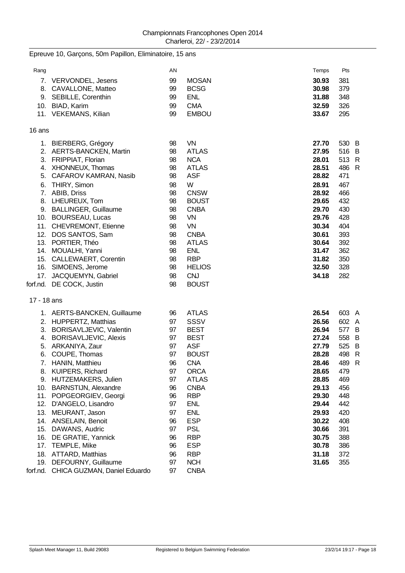## Epreuve 10, Garçons, 50m Papillon, Eliminatoire, 15 ans

| Rang        |                                            | AN       |                            | Temps          | Pts        |  |
|-------------|--------------------------------------------|----------|----------------------------|----------------|------------|--|
|             | 7. VERVONDEL, Jesens                       | 99       | <b>MOSAN</b>               | 30.93          | 381        |  |
|             | 8. CAVALLONE, Matteo                       | 99       | <b>BCSG</b>                | 30.98          | 379        |  |
|             | 9. SEBILLE, Corenthin                      | 99       | <b>ENL</b>                 | 31.88          | 348        |  |
|             | 10. BIAD, Karim                            | 99       | <b>CMA</b>                 | 32.59          | 326        |  |
|             | 11. VEKEMANS, Kilian                       | 99       | <b>EMBOU</b>               | 33.67          | 295        |  |
|             |                                            |          |                            |                |            |  |
| 16 ans      |                                            |          |                            |                |            |  |
|             | 1. BIERBERG, Grégory                       | 98       | VN                         | 27.70          | 530 B      |  |
|             | 2. AERTS-BANCKEN, Martin                   | 98       | <b>ATLAS</b>               | 27.95          | 516 B      |  |
|             | 3. FRIPPIAT, Florian                       | 98       | <b>NCA</b>                 | 28.01          | 513 R      |  |
|             | 4. XHONNEUX, Thomas                        | 98       | <b>ATLAS</b>               | 28.51          | 486 R      |  |
|             | 5. CAFAROV KAMRAN, Nasib                   | 98       | <b>ASF</b>                 | 28.82          | 471        |  |
|             | 6. THIRY, Simon                            | 98       | W                          | 28.91          | 467        |  |
|             | 7. ABIB, Driss                             | 98       | <b>CNSW</b>                | 28.92          | 466        |  |
|             | 8. LHEUREUX, Tom                           | 98       | <b>BOUST</b>               | 29.65          | 432        |  |
|             | 9. BALLINGER, Guillaume                    | 98       | <b>CNBA</b>                | 29.70          | 430        |  |
|             | 10. BOURSEAU, Lucas                        | 98       | VN                         | 29.76          | 428        |  |
|             | 11. CHEVREMONT, Etienne                    | 98       | <b>VN</b>                  | 30.34          | 404        |  |
|             | 12. DOS SANTOS, Sam<br>13. PORTIER, Théo   | 98       | <b>CNBA</b>                | 30.61          | 393        |  |
|             | 14. MOUALHI, Yanni                         | 98<br>98 | <b>ATLAS</b><br><b>ENL</b> | 30.64<br>31.47 | 392<br>362 |  |
|             | 15. CALLEWAERT, Corentin                   | 98       | <b>RBP</b>                 | 31.82          | 350        |  |
|             | 16. SIMOENS, Jerome                        | 98       | <b>HELIOS</b>              | 32.50          | 328        |  |
|             | 17. JACQUEMYN, Gabriel                     | 98       | <b>CNJ</b>                 | 34.18          | 282        |  |
|             | forf.nd. DE COCK, Justin                   | 98       | <b>BOUST</b>               |                |            |  |
|             |                                            |          |                            |                |            |  |
| 17 - 18 ans |                                            |          |                            |                |            |  |
|             | 1. AERTS-BANCKEN, Guillaume                | 96       | <b>ATLAS</b>               | 26.54          | 603 A      |  |
|             | 2. HUPPERTZ, Matthias                      | 97       | <b>SSSV</b>                | 26.56          | 602 A      |  |
|             | 3. BORISAVLJEVIC, Valentin                 | 97       | <b>BEST</b>                | 26.94          | 577 B      |  |
|             | 4. BORISAVLJEVIC, Alexis                   | 97       | <b>BEST</b>                | 27.24          | 558 B      |  |
|             | 5. ARKANIYA, Zaur                          | 97       | <b>ASF</b>                 | 27.79          | 525 B      |  |
|             | 6. COUPE, Thomas                           | 97       | <b>BOUST</b>               | 28.28          | 498 R      |  |
|             | 7. HANIN, Matthieu                         | 96       | <b>CNA</b>                 | 28.46          | 489 R      |  |
|             | 8. KUIPERS, Richard                        | 97       | <b>ORCA</b>                | 28.65          | 479        |  |
|             | 9. HUTZEMAKERS, Julien                     | 97       | <b>ATLAS</b>               | 28.85          | 469        |  |
|             | 10. BARNSTIJN, Alexandre                   | 96       | <b>CNBA</b>                | 29.13          | 456        |  |
|             | 11. POPGEORGIEV, Georgi                    | 96       | <b>RBP</b>                 | 29.30          | 448        |  |
| 12.         | D'ANGELO, Lisandro                         | 97       | <b>ENL</b>                 | 29.44          | 442        |  |
| 13.         | MEURANT, Jason                             | 97       | <b>ENL</b>                 | 29.93          | 420        |  |
|             | 14. ANSELAIN, Benoit                       | 96       | <b>ESP</b>                 | 30.22          | 408        |  |
|             | 15. DAWANS, Audric                         | 97       | <b>PSL</b><br><b>RBP</b>   | 30.66          | 391        |  |
|             | 16. DE GRATIE, Yannick<br>17. TEMPLE, Mike | 96<br>96 | <b>ESP</b>                 | 30.75<br>30.78 | 388<br>386 |  |
|             | 18. ATTARD, Matthias                       | 96       | <b>RBP</b>                 | 31.18          | 372        |  |
|             | 19. DEFOURNY, Guillaume                    | 97       | <b>NCH</b>                 | 31.65          | 355        |  |
|             | forf.nd. CHICA GUZMAN, Daniel Eduardo      | 97       | <b>CNBA</b>                |                |            |  |
|             |                                            |          |                            |                |            |  |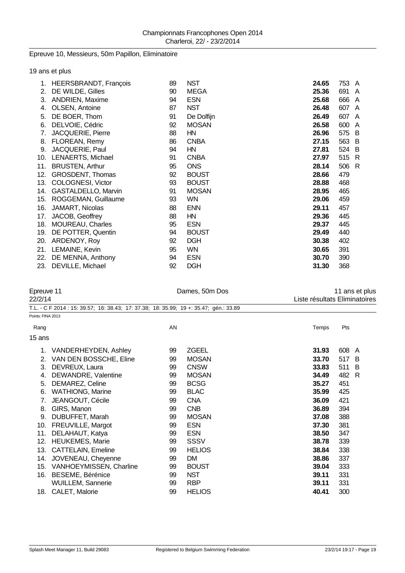## Epreuve 10, Messieurs, 50m Papillon, Eliminatoire

19 ans et plus

| 1.  | HEERSBRANDT, François   | 89 | <b>NST</b>   | 24.65 | 753 A |   |
|-----|-------------------------|----|--------------|-------|-------|---|
| 2.  | DE WILDE, Gilles        | 90 | <b>MEGA</b>  | 25.36 | 691   | A |
| 3.  | ANDRIEN, Maxime         | 94 | <b>ESN</b>   | 25.68 | 666   | A |
| 4.  | OLSEN, Antoine          | 87 | <b>NST</b>   | 26.48 | 607   | A |
| 5.  | DE BOER, Thom           | 91 | De Dolfijn   | 26.49 | 607   | A |
| 6.  | DELVOIE, Cédric         | 92 | <b>MOSAN</b> | 26.58 | 600   | A |
| 7.  | JACQUERIE, Pierre       | 88 | HN           | 26.96 | 575 B |   |
| 8.  | FLOREAN, Remy           | 86 | <b>CNBA</b>  | 27.15 | 563   | B |
| 9.  | JACQUERIE, Paul         | 94 | HN           | 27.81 | 524 B |   |
| 10. | LENAERTS, Michael       | 91 | <b>CNBA</b>  | 27.97 | 515   | R |
| 11. | <b>BRUSTEN, Arthur</b>  | 95 | <b>ONS</b>   | 28.14 | 506 R |   |
| 12. | <b>GROSDENT, Thomas</b> | 92 | <b>BOUST</b> | 28.66 | 479   |   |
| 13. | COLOGNESI, Victor       | 93 | <b>BOUST</b> | 28.88 | 468   |   |
| 14. | GASTALDELLO, Marvin     | 91 | <b>MOSAN</b> | 28.95 | 465   |   |
| 15. | ROGGEMAN, Guillaume     | 93 | WN.          | 29.06 | 459   |   |
| 16. | JAMART, Nicolas         | 88 | <b>ENN</b>   | 29.11 | 457   |   |
| 17. | JACOB, Geoffrey         | 88 | HN           | 29.36 | 445   |   |
| 18. | MOUREAU, Charles        | 95 | <b>ESN</b>   | 29.37 | 445   |   |
| 19. | DE POTTER, Quentin      | 94 | <b>BOUST</b> | 29.49 | 440   |   |
| 20. | ARDENOY, Roy            | 92 | <b>DGH</b>   | 30.38 | 402   |   |
|     | 21. LEMAINE, Kevin      | 95 | WN.          | 30.65 | 391   |   |
| 22. | DE MENNA, Anthony       | 94 | <b>ESN</b>   | 30.70 | 390   |   |
| 23. | DEVILLE, Michael        | 92 | <b>DGH</b>   | 31.30 | 368   |   |

|                   | Epreuve 11<br>22/2/14                                                                  |    | Dames, 50m Dos | 11 ans et plus<br>Liste résultats Eliminatoires |           |  |  |
|-------------------|----------------------------------------------------------------------------------------|----|----------------|-------------------------------------------------|-----------|--|--|
|                   | T.L. - C F 2014 : 15: 39.57; 16: 38.43; 17: 37.38; 18: 35.99; 19 +: 35.47; gén.: 33.89 |    |                |                                                 |           |  |  |
| Points: FINA 2013 |                                                                                        |    |                |                                                 |           |  |  |
| Rang              |                                                                                        | AN |                | Temps                                           | Pts       |  |  |
| 15 ans            |                                                                                        |    |                |                                                 |           |  |  |
| 1.                | VANDERHEYDEN, Ashley                                                                   | 99 | <b>ZGEEL</b>   | 31.93                                           | 608 A     |  |  |
| 2.                | VAN DEN BOSSCHE, Eline                                                                 | 99 | <b>MOSAN</b>   | 33.70                                           | 517<br>-B |  |  |
| 3.                | DEVREUX, Laura                                                                         | 99 | <b>CNSW</b>    | 33.83                                           | 511 B     |  |  |
| 4.                | DEWANDRE, Valentine                                                                    | 99 | <b>MOSAN</b>   | 34.49                                           | 482<br>R  |  |  |
| 5.                | DEMAREZ, Celine                                                                        | 99 | <b>BCSG</b>    | 35.27                                           | 451       |  |  |
| 6.                | WATHIONG, Marine                                                                       | 99 | <b>BLAC</b>    | 35.99                                           | 425       |  |  |
| 7.                | JEANGOUT, Cécile                                                                       | 99 | <b>CNA</b>     | 36.09                                           | 421       |  |  |
| 8.                | GIRS, Manon                                                                            | 99 | <b>CNB</b>     | 36.89                                           | 394       |  |  |
| 9.                | DUBUFFET, Marah                                                                        | 99 | <b>MOSAN</b>   | 37.08                                           | 388       |  |  |
| 10.               | FREUVILLE, Margot                                                                      | 99 | <b>ESN</b>     | 37.30                                           | 381       |  |  |
| 11.               | DELAHAUT, Katya                                                                        | 99 | <b>ESN</b>     | 38.50                                           | 347       |  |  |
| 12.               | HEUKEMES, Marie                                                                        | 99 | <b>SSSV</b>    | 38.78                                           | 339       |  |  |
| 13.               | <b>CATTELAIN, Emeline</b>                                                              | 99 | <b>HELIOS</b>  | 38.84                                           | 338       |  |  |
| 14.               | JOVENEAU, Cheyenne                                                                     | 99 | DM.            | 38.86                                           | 337       |  |  |
| 15.               | VANHOEYMISSEN, Charline                                                                | 99 | <b>BOUST</b>   | 39.04                                           | 333       |  |  |
|                   | 16. BESEME, Bérénice                                                                   | 99 | <b>NST</b>     | 39.11                                           | 331       |  |  |
|                   | WUILLEM, Sannerie                                                                      | 99 | <b>RBP</b>     | 39.11                                           | 331       |  |  |
| 18.               | CALET, Malorie                                                                         | 99 | <b>HELIOS</b>  | 40.41                                           | 300       |  |  |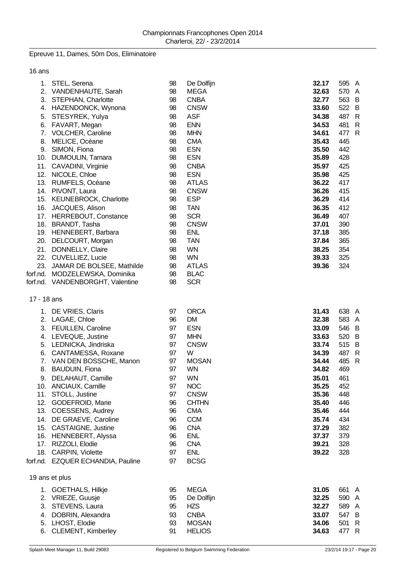## Epreuve 11, Dames, 50m Dos, Eliminatoire

16 ans

| 5.          | 1. STEL, Serena<br>2. VANDENHAUTE, Sarah<br>3. STEPHAN, Charlotte<br>4. HAZENDONCK, Wynona<br>STESYREK, Yulya<br>6. FAVART, Megan<br>7. VOLCHER, Caroline<br>8. MELICE, Océane<br>9. SIMON, Fiona<br>10. DUMOULIN, Tamara<br>11. CAVADINI, Virginie<br>12. NICOLE, Chloe<br>13. RUMFELS, Océane<br>14. PIVONT, Laura<br>15. KEUNEBROCK, Charlotte<br>16. JACQUES, Alison<br>17. HERREBOUT, Constance<br>18. BRANDT, Tasha<br>19. HENNEBERT, Barbara<br>20. DELCOURT, Morgan<br>21. DONNELLY, Claire<br>22. CUVELLIEZ, Lucie<br>23. JAMAR DE BOLSEE, Mathilde<br>forf.nd. MODZELEWSKA, Dominika<br>forf.nd. VANDENBORGHT, Valentine | 98<br>98<br>98<br>98<br>98<br>98<br>98<br>98<br>98<br>98<br>98<br>98<br>98<br>98<br>98<br>98<br>98<br>98<br>98<br>98<br>98<br>98<br>98<br>98<br>98 | De Dolfijn<br><b>MEGA</b><br><b>CNBA</b><br><b>CNSW</b><br><b>ASF</b><br><b>ENN</b><br><b>MHN</b><br><b>CMA</b><br><b>ESN</b><br><b>ESN</b><br><b>CNBA</b><br><b>ESN</b><br><b>ATLAS</b><br><b>CNSW</b><br><b>ESP</b><br><b>TAN</b><br><b>SCR</b><br><b>CNSW</b><br><b>ENL</b><br><b>TAN</b><br><b>WN</b><br><b>WN</b><br><b>ATLAS</b><br><b>BLAC</b><br><b>SCR</b> | 32.17<br>32.63<br>32.77<br>33.60<br>34.38<br>34.53<br>34.61<br>35.43<br>35.50<br>35.89<br>35.97<br>35.98<br>36.22<br>36.26<br>36.29<br>36.35<br>36.49<br>37.01<br>37.18<br>37.84<br>38.25<br>39.33<br>39.36 | 595 A<br>570 A<br>563 B<br>522 B<br>487 R<br>481 R<br>477 R<br>445<br>442<br>428<br>425<br>425<br>417<br>415<br>414<br>412<br>407<br>390<br>385<br>365<br>354<br>325<br>324 |
|-------------|------------------------------------------------------------------------------------------------------------------------------------------------------------------------------------------------------------------------------------------------------------------------------------------------------------------------------------------------------------------------------------------------------------------------------------------------------------------------------------------------------------------------------------------------------------------------------------------------------------------------------------|----------------------------------------------------------------------------------------------------------------------------------------------------|---------------------------------------------------------------------------------------------------------------------------------------------------------------------------------------------------------------------------------------------------------------------------------------------------------------------------------------------------------------------|-------------------------------------------------------------------------------------------------------------------------------------------------------------------------------------------------------------|-----------------------------------------------------------------------------------------------------------------------------------------------------------------------------|
| 17 - 18 ans | 1. DE VRIES, Claris<br>2. LAGAE, Chloe<br>3. FEUILLEN, Caroline<br>4. LEVEQUE, Justine<br>5. LEDNICKA, Jindriska<br>6. CANTAMESSA, Roxane<br>7. VAN DEN BOSSCHE, Manon<br>8. BAUDUIN, Fiona<br>9. DELAHAUT, Camille<br>10. ANCIAUX, Camille<br>11. STOLL, Justine<br>12. GODEFROID, Marie<br>13. COESSENS, Audrey<br>14. DE GRAEVE, Caroline<br>15. CASTAIGNE, Justine<br>16. HENNEBERT, Alyssa<br>17. RIZZOLI, Elodie<br>18. CARPIN, Violette<br>forf.nd. EZQUER ECHANDIA, Pauline                                                                                                                                                | 97<br>96<br>97<br>97<br>97<br>97<br>97<br>97<br>97<br>97<br>97<br>96<br>96<br>96<br>96<br>96<br>96<br>97<br>97                                     | <b>ORCA</b><br><b>DM</b><br><b>ESN</b><br><b>MHN</b><br><b>CNSW</b><br>W<br><b>MOSAN</b><br><b>WN</b><br><b>WN</b><br>NOC<br><b>CNSW</b><br><b>CHTHN</b><br><b>CMA</b><br><b>CCM</b><br><b>CNA</b><br><b>ENL</b><br><b>CNA</b><br><b>ENL</b><br><b>BCSG</b>                                                                                                         | 31.43<br>32.38<br>33.09<br>33.63<br>33.74<br>34.39<br>34.44<br>34.82<br>35.01<br>35.25<br>35.36<br>35.40<br>35.46<br>35.74<br>37.29<br>37.37<br>39.21<br>39.22                                              | 638 A<br>583 A<br>546 B<br>520 B<br>515 B<br>487 R<br>485 R<br>469<br>461<br>452<br>448<br>446<br>444<br>434<br>382<br>379<br>328<br>328                                    |
|             | 19 ans et plus<br>1. GOETHALS, Hilkje<br>2. VRIEZE, Guusje<br>3. STEVENS, Laura<br>4. DOBRIN, Alexandra<br>5. LHOST, Elodie<br>6. CLEMENT, Kimberley                                                                                                                                                                                                                                                                                                                                                                                                                                                                               | 95<br>95<br>95<br>93<br>93<br>91                                                                                                                   | <b>MEGA</b><br>De Dolfijn<br><b>HZS</b><br><b>CNBA</b><br><b>MOSAN</b><br><b>HELIOS</b>                                                                                                                                                                                                                                                                             | 31.05<br>32.25<br>32.27<br>33.07<br>34.06<br>34.63                                                                                                                                                          | 661<br>- A<br>590 A<br>589 A<br>547 B<br>501 R<br>477 R                                                                                                                     |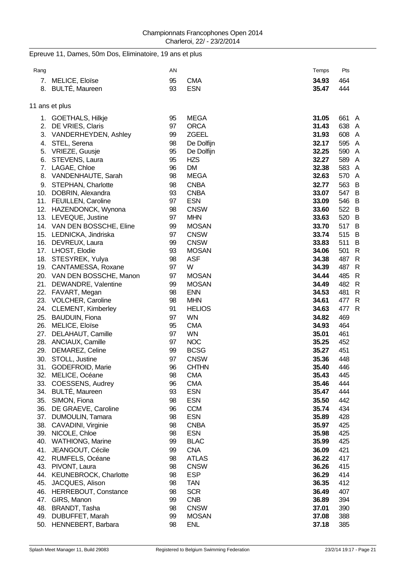Epreuve 11, Dames, 50m Dos, Eliminatoire, 19 ans et plus

| Rang       |                                           | AN       |                          | Temps          | Pts        |                |
|------------|-------------------------------------------|----------|--------------------------|----------------|------------|----------------|
| 7.         | MELICE, Eloïse                            | 95       | <b>CMA</b>               | 34.93          | 464        |                |
|            | 8. BULTÉ, Maureen                         | 93       | <b>ESN</b>               | 35.47          | 444        |                |
|            |                                           |          |                          |                |            |                |
|            | 11 ans et plus                            |          |                          |                |            |                |
|            | 1. GOETHALS, Hilkje                       | 95       | <b>MEGA</b>              | 31.05          | 661        | A              |
| 2.         | DE VRIES, Claris                          | 97       | <b>ORCA</b>              | 31.43          | 638 A      |                |
|            | 3. VANDERHEYDEN, Ashley                   | 99       | <b>ZGEEL</b>             | 31.93          | 608 A      |                |
|            | 4. STEL, Serena                           | 98       | De Dolfijn               | 32.17          | 595 A      |                |
|            | 5. VRIEZE, Guusje                         | 95       | De Dolfijn               | 32.25          | 590 A      |                |
|            | 6. STEVENS, Laura                         | 95       | <b>HZS</b>               | 32.27          | 589 A      |                |
|            | 7. LAGAE, Chloe                           | 96       | <b>DM</b>                | 32.38          | 583 A      |                |
|            | 8. VANDENHAUTE, Sarah                     | 98       | <b>MEGA</b>              | 32.63          | 570 A      |                |
|            | 9. STEPHAN, Charlotte                     | 98       | <b>CNBA</b>              | 32.77          | 563 B      |                |
|            | 10. DOBRIN, Alexandra                     | 93       | <b>CNBA</b>              | 33.07          | 547 B      |                |
|            | 11. FEUILLEN, Caroline                    | 97       | <b>ESN</b>               | 33.09          | 546 B      |                |
|            | 12. HAZENDONCK, Wynona                    | 98       | <b>CNSW</b>              | 33.60          | 522 B      |                |
|            | 13. LEVEQUE, Justine                      | 97       | <b>MHN</b>               | 33.63          | 520 B      |                |
|            | 14. VAN DEN BOSSCHE, Eline                | 99       | <b>MOSAN</b>             | 33.70          | 517 B      |                |
|            | 15. LEDNICKA, Jindriska                   | 97       | <b>CNSW</b>              | 33.74          | 515 B      |                |
|            | 16. DEVREUX, Laura                        | 99       | <b>CNSW</b>              | 33.83          | 511        | $\overline{B}$ |
|            | 17. LHOST, Elodie                         | 93       | <b>MOSAN</b>             | 34.06          | 501        | $\mathsf{R}$   |
|            | 18. STESYREK, Yulya                       | 98       | <b>ASF</b>               | 34.38          | 487 R      |                |
|            | 19. CANTAMESSA, Roxane                    | 97       | W                        | 34.39          | 487        | $\mathsf{R}$   |
|            | 20. VAN DEN BOSSCHE, Manon                | 97       | <b>MOSAN</b>             | 34.44          | 485        | $\mathsf{R}$   |
|            | 21. DEWANDRE, Valentine                   | 99       | <b>MOSAN</b>             | 34.49          | 482 R      |                |
|            | 22. FAVART, Megan                         | 98       | <b>ENN</b>               | 34.53          | 481        | $\mathsf{R}$   |
|            | 23. VOLCHER, Caroline                     | 98       | <b>MHN</b>               | 34.61          | 477        | R              |
|            | 24. CLEMENT, Kimberley                    | 91       | <b>HELIOS</b>            | 34.63          | 477        | $\mathsf{R}$   |
| 25.        | <b>BAUDUIN, Fiona</b>                     | 97       | <b>WN</b>                | 34.82          | 469        |                |
|            | 26. MELICE, Eloïse                        | 95       | <b>CMA</b>               | 34.93          | 464        |                |
| 27.        | DELAHAUT, Camille                         | 97       | <b>WN</b>                | 35.01          | 461        |                |
|            | 28. ANCIAUX, Camille                      | 97       | <b>NOC</b>               | 35.25          | 452        |                |
| 29.        | DEMAREZ, Celine                           | 99       | <b>BCSG</b>              | 35.27          | 451        |                |
| 30.        | STOLL, Justine                            | 97       | <b>CNSW</b>              | 35.36          | 448        |                |
| 31.        | GODEFROID, Marie                          | 96       | <b>CHTHN</b>             | 35.40          | 446        |                |
|            | 32. MELICE, Océane                        | 98       | <b>CMA</b>               | 35.43          | 445        |                |
| 33.<br>34. | COESSENS, Audrey<br><b>BULTÉ, Maureen</b> | 96<br>93 | <b>CMA</b><br><b>ESN</b> | 35.46<br>35.47 | 444<br>444 |                |
| 35.        | SIMON, Fiona                              | 98       | <b>ESN</b>               | 35.50          | 442        |                |
| 36.        | DE GRAEVE, Caroline                       | 96       | <b>CCM</b>               | 35.74          | 434        |                |
| 37.        | <b>DUMOULIN, Tamara</b>                   | 98       | <b>ESN</b>               | 35.89          | 428        |                |
|            | 38. CAVADINI, Virginie                    | 98       | <b>CNBA</b>              | 35.97          | 425        |                |
|            | 39. NICOLE, Chloe                         | 98       | <b>ESN</b>               | 35.98          | 425        |                |
| 40.        | <b>WATHIONG, Marine</b>                   | 99       | <b>BLAC</b>              | 35.99          | 425        |                |
|            | 41. JEANGOUT, Cécile                      | 99       | <b>CNA</b>               | 36.09          | 421        |                |
|            | 42. RUMFELS, Océane                       | 98       | <b>ATLAS</b>             | 36.22          | 417        |                |
|            | 43. PIVONT, Laura                         | 98       | <b>CNSW</b>              | 36.26          | 415        |                |
| 44.        | <b>KEUNEBROCK, Charlotte</b>              | 98       | <b>ESP</b>               | 36.29          | 414        |                |
| 45.        | JACQUES, Alison                           | 98       | <b>TAN</b>               | 36.35          | 412        |                |
|            | 46. HERREBOUT, Constance                  | 98       | <b>SCR</b>               | 36.49          | 407        |                |
| 47.        | GIRS, Manon                               | 99       | <b>CNB</b>               | 36.89          | 394        |                |
| 48.        | BRANDT, Tasha                             | 98       | <b>CNSW</b>              | 37.01          | 390        |                |
|            | 49. DUBUFFET, Marah                       | 99       | <b>MOSAN</b>             | 37.08          | 388        |                |
| 50.        | HENNEBERT, Barbara                        | 98       | <b>ENL</b>               | 37.18          | 385        |                |
|            |                                           |          |                          |                |            |                |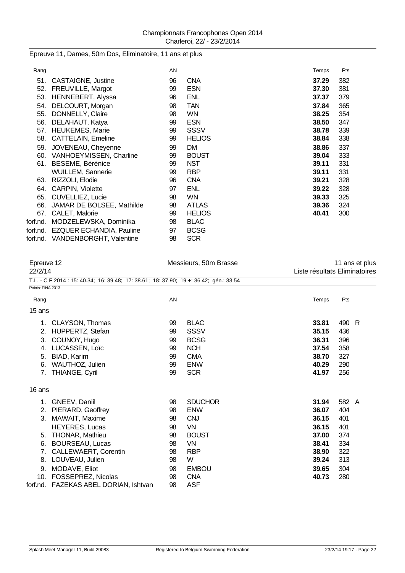### Epreuve 11, Dames, 50m Dos, Eliminatoire, 11 ans et plus

| Rang     |                                   | AN |               | Temps | Pts |
|----------|-----------------------------------|----|---------------|-------|-----|
| 51.      | <b>CASTAIGNE, Justine</b>         | 96 | <b>CNA</b>    | 37.29 | 382 |
| 52.      | FREUVILLE, Margot                 | 99 | <b>ESN</b>    | 37.30 | 381 |
| 53.      | HENNEBERT, Alyssa                 | 96 | <b>ENL</b>    | 37.37 | 379 |
| 54.      | DELCOURT, Morgan                  | 98 | <b>TAN</b>    | 37.84 | 365 |
| 55.      | DONNELLY, Claire                  | 98 | <b>WN</b>     | 38.25 | 354 |
| 56.      | DELAHAUT, Katya                   | 99 | <b>ESN</b>    | 38.50 | 347 |
| 57.      | <b>HEUKEMES, Marie</b>            | 99 | SSSV          | 38.78 | 339 |
|          | 58. CATTELAIN, Emeline            | 99 | <b>HELIOS</b> | 38.84 | 338 |
| 59.      | JOVENEAU, Cheyenne                | 99 | DM.           | 38.86 | 337 |
| 60.      | VANHOEYMISSEN, Charline           | 99 | <b>BOUST</b>  | 39.04 | 333 |
| 61.      | <b>BESEME, Bérénice</b>           | 99 | <b>NST</b>    | 39.11 | 331 |
|          | WUILLEM, Sannerie                 | 99 | <b>RBP</b>    | 39.11 | 331 |
| 63.      | RIZZOLI, Elodie                   | 96 | <b>CNA</b>    | 39.21 | 328 |
| 64.      | <b>CARPIN, Violette</b>           | 97 | <b>ENL</b>    | 39.22 | 328 |
| 65.      | CUVELLIEZ, Lucie                  | 98 | <b>WN</b>     | 39.33 | 325 |
| 66.      | JAMAR DE BOLSEE, Mathilde         | 98 | <b>ATLAS</b>  | 39.36 | 324 |
|          | 67. CALET, Malorie                | 99 | <b>HELIOS</b> | 40.41 | 300 |
| forf.nd. | MODZELEWSKA, Dominika             | 98 | <b>BLAC</b>   |       |     |
|          | forf.nd. EZQUER ECHANDIA, Pauline | 97 | <b>BCSG</b>   |       |     |
|          | forf.nd. VANDENBORGHT, Valentine  | 98 | <b>SCR</b>    |       |     |

| Epreuve 12        |                                                                                        |    | Messieurs, 50m Brasse | 11 ans et plus                |       |  |  |
|-------------------|----------------------------------------------------------------------------------------|----|-----------------------|-------------------------------|-------|--|--|
| 22/2/14           |                                                                                        |    |                       | Liste résultats Eliminatoires |       |  |  |
|                   | T.L. - C F 2014 : 15: 40.34; 16: 39.48; 17: 38.61; 18: 37.90; 19 +: 36.42; gén.: 33.54 |    |                       |                               |       |  |  |
| Points: FINA 2013 |                                                                                        |    |                       |                               |       |  |  |
| Rang              |                                                                                        | AN |                       | Temps                         | Pts   |  |  |
| 15 ans            |                                                                                        |    |                       |                               |       |  |  |
|                   | 1. CLAYSON, Thomas                                                                     | 99 | <b>BLAC</b>           | 33.81                         | 490 R |  |  |
|                   | 2. HUPPERTZ, Stefan                                                                    | 99 | <b>SSSV</b>           | 35.15                         | 436   |  |  |
| 3.                | COUNOY, Hugo                                                                           | 99 | <b>BCSG</b>           | 36.31                         | 396   |  |  |
| 4.                | LUCASSEN, Loïc                                                                         | 99 | <b>NCH</b>            | 37.54                         | 358   |  |  |
| 5.                | BIAD, Karim                                                                            | 99 | <b>CMA</b>            | 38.70                         | 327   |  |  |
| 6.                | WAUTHOZ, Julien                                                                        | 99 | <b>ENW</b>            | 40.29                         | 290   |  |  |
| 7.                | THIANGE, Cyril                                                                         | 99 | <b>SCR</b>            | 41.97                         | 256   |  |  |
| 16 ans            |                                                                                        |    |                       |                               |       |  |  |
| 1.                | GNEEV, Daniil                                                                          | 98 | <b>SDUCHOR</b>        | 31.94                         | 582 A |  |  |
|                   | 2. PIERARD, Geoffrey                                                                   | 98 | <b>ENW</b>            | 36.07                         | 404   |  |  |
|                   | 3. MAWAIT, Maxime                                                                      | 98 | <b>CNJ</b>            | 36.15                         | 401   |  |  |
|                   | <b>HEYERES, Lucas</b>                                                                  | 98 | VN                    | 36.15                         | 401   |  |  |
| 5.                | <b>THONAR, Mathieu</b>                                                                 | 98 | <b>BOUST</b>          | 37.00                         | 374   |  |  |
| 6.                | <b>BOURSEAU, Lucas</b>                                                                 | 98 | VN                    | 38.41                         | 334   |  |  |
| 7.                | CALLEWAERT, Corentin                                                                   | 98 | <b>RBP</b>            | 38.90                         | 322   |  |  |
| 8.                | LOUVEAU, Julien                                                                        | 98 | W                     | 39.24                         | 313   |  |  |
| 9.                | MODAVE, Eliot                                                                          | 98 | <b>EMBOU</b>          | 39.65                         | 304   |  |  |
|                   | 10. FOSSEPREZ, Nicolas                                                                 | 98 | <b>CNA</b>            | 40.73                         | 280   |  |  |
|                   | forf.nd. FAZEKAS ABEL DORIAN, Ishtvan                                                  | 98 | <b>ASF</b>            |                               |       |  |  |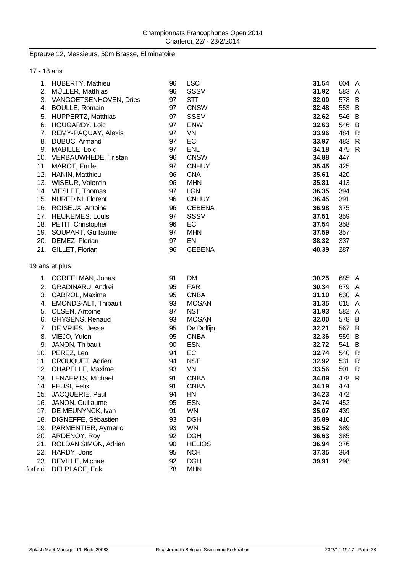### Epreuve 12, Messieurs, 50m Brasse, Eliminatoire

| 17 - 18 ans |                                                  |          |                             |                |            |
|-------------|--------------------------------------------------|----------|-----------------------------|----------------|------------|
|             | 1. HUBERTY, Mathieu                              | 96       | <b>LSC</b>                  | 31.54          | 604 A      |
| 2.          | MÜLLER, Matthias                                 | 96       | <b>SSSV</b>                 | 31.92          | 583 A      |
|             | 3. VANGOETSENHOVEN, Dries                        | 97       | <b>STT</b>                  | 32.00          | 578 B      |
|             | 4. BOULLE, Romain                                | 97       | <b>CNSW</b>                 | 32.48          | 553 B      |
| 5.          | <b>HUPPERTZ, Matthias</b>                        | 97       | <b>SSSV</b>                 | 32.62          | 546 B      |
| 6.          | HOUGARDY, Loic                                   | 97       | <b>ENW</b>                  | 32.63          | 546 B      |
| 7.          | REMY-PAQUAY, Alexis                              | 97       | VN                          | 33.96          | 484 R      |
| 8.          | DUBUC, Armand                                    | 97       | EC                          | 33.97          | 483 R      |
| 9.          | MABILLE, Loic                                    | 97       | <b>ENL</b>                  | 34.18          | 475 R      |
|             | 10. VERBAUWHEDE, Tristan                         | 96       | <b>CNSW</b>                 | 34.88          | 447        |
|             | 11. MAROT, Emile                                 | 97       | <b>CNHUY</b>                | 35.45          | 425        |
|             | 12. HANIN, Matthieu                              | 96       | <b>CNA</b>                  | 35.61          | 420        |
|             | 13. WISEUR, Valentin                             | 96       | <b>MHN</b>                  | 35.81          | 413        |
|             | 14. VIESLET, Thomas                              | 97       | <b>LGN</b>                  | 36.35          | 394        |
|             | 15. NUREDINI, Florent                            | 96       | <b>CNHUY</b>                | 36.45          | 391        |
|             | 16. ROISEUX, Antoine                             | 96       | <b>CEBENA</b>               | 36.98          | 375        |
|             | 17. HEUKEMES, Louis                              | 97       | SSSV<br>EC                  | 37.51<br>37.54 | 359        |
|             | 18. PETIT, Christopher<br>19. SOUPART, Guillaume | 96<br>97 | <b>MHN</b>                  | 37.59          | 358<br>357 |
|             | 20. DEMEZ, Florian                               | 97       | EN                          | 38.32          | 337        |
|             | 21. GILLET, Florian                              | 96       | <b>CEBENA</b>               | 40.39          | 287        |
|             |                                                  |          |                             |                |            |
|             | 19 ans et plus                                   |          |                             |                |            |
|             | 1. COREELMAN, Jonas                              | 91       | <b>DM</b>                   | 30.25          | 685 A      |
|             | 2. GRADINARU, Andrei                             | 95       | <b>FAR</b>                  | 30.34          | 679 A      |
|             | 3. CABROL, Maxime                                | 95       | <b>CNBA</b>                 | 31.10          | 630 A      |
| 4.          | EMONDS-ALT, Thibault                             | 93       | <b>MOSAN</b>                | 31.35          | 615 A      |
| 5.          | OLSEN, Antoine                                   | 87       | <b>NST</b>                  | 31.93          | 582 A      |
| 6.          | GHYSENS, Renaud                                  | 93       | <b>MOSAN</b>                | 32.00          | 578 B      |
| 7.          | DE VRIES, Jesse                                  | 95       | De Dolfijn                  | 32.21          | 567 B      |
| 8.          | VIEJO, Yulen                                     | 95       | <b>CNBA</b>                 | 32.36          | 559 B      |
| 9.          | JANON, Thibault                                  | 90       | <b>ESN</b>                  | 32.72          | 541 B      |
| 10.         | PEREZ, Leo                                       | 94       | EC                          | 32.74          | 540 R      |
| 11.         | <b>CROUQUET, Adrien</b>                          | 94       | <b>NST</b>                  | 32.92          | 531 R      |
|             | 12. CHAPELLE, Maxime                             | 93       | VN                          | 33.56          | 501<br>R   |
|             | 13. LENAERTS, Michael                            | 91       | <b>CNBA</b>                 | 34.09          | 478 R      |
|             | 14. FEUSI, Felix                                 | 91       | <b>CNBA</b>                 | 34.19          | 474        |
|             | 15. JACQUERIE, Paul                              | 94       | HN                          | 34.23          | 472        |
|             | 16. JANON, Guillaume                             | 95       | <b>ESN</b>                  | 34.74          | 452        |
|             | 17. DE MEUNYNCK, Ivan                            | 91       | <b>WN</b>                   | 35.07          | 439        |
|             | 18. DIGNEFFE, Sébastien                          | 93       | <b>DGH</b>                  | 35.89          | 410        |
|             | 19. PARMENTIER, Aymeric                          | 93       | <b>WN</b>                   | 36.52          | 389        |
|             | 20. ARDENOY, Roy                                 | 92       | <b>DGH</b>                  | 36.63          | 385        |
|             | 21. ROLDAN SIMON, Adrien<br>22. HARDY, Joris     | 90<br>95 | <b>HELIOS</b><br><b>NCH</b> | 36.94<br>37.35 | 376<br>364 |
|             | 23. DEVILLE, Michael                             | 92       | <b>DGH</b>                  | 39.91          |            |
|             | forf.nd. DELPLACE, Erik                          | 78       | <b>MHN</b>                  |                | 298        |
|             |                                                  |          |                             |                |            |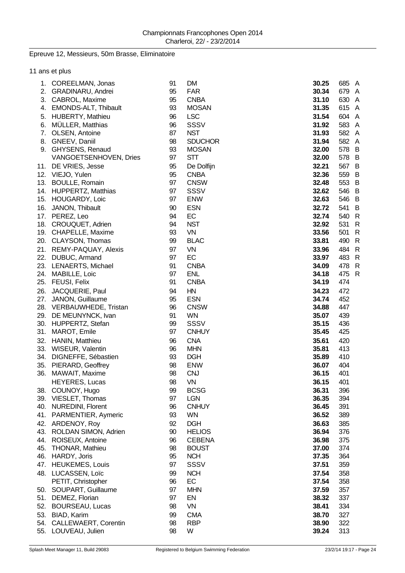### Epreuve 12, Messieurs, 50m Brasse, Eliminatoire

|     | 11 ans et plus           |    |                |       |       |
|-----|--------------------------|----|----------------|-------|-------|
|     | 1. COREELMAN, Jonas      | 91 | <b>DM</b>      | 30.25 | 685 A |
|     | 2. GRADINARU, Andrei     | 95 | <b>FAR</b>     | 30.34 | 679 A |
|     | 3. CABROL, Maxime        | 95 | <b>CNBA</b>    | 31.10 | 630 A |
|     | 4. EMONDS-ALT, Thibault  | 93 | <b>MOSAN</b>   | 31.35 | 615 A |
| 5.  | <b>HUBERTY, Mathieu</b>  | 96 | <b>LSC</b>     | 31.54 | 604 A |
| 6.  | MÜLLER, Matthias         | 96 | <b>SSSV</b>    | 31.92 | 583 A |
|     | 7. OLSEN, Antoine        | 87 | <b>NST</b>     | 31.93 | 582 A |
|     | 8. GNEEV, Daniil         | 98 | <b>SDUCHOR</b> | 31.94 | 582 A |
|     | 9. GHYSENS, Renaud       | 93 | <b>MOSAN</b>   | 32.00 | 578 B |
|     | VANGOETSENHOVEN, Dries   | 97 | <b>STT</b>     | 32.00 | 578 B |
|     | 11. DE VRIES, Jesse      | 95 | De Dolfijn     | 32.21 | 567 B |
|     | 12. VIEJO, Yulen         | 95 | <b>CNBA</b>    | 32.36 | 559 B |
|     | 13. BOULLE, Romain       | 97 | <b>CNSW</b>    | 32.48 | 553 B |
|     | 14. HUPPERTZ, Matthias   | 97 | <b>SSSV</b>    | 32.62 | 546 B |
|     | 15. HOUGARDY, Loic       | 97 | <b>ENW</b>     | 32.63 | 546 B |
|     | 16. JANON, Thibault      | 90 | <b>ESN</b>     | 32.72 | 541 B |
|     | 17. PEREZ, Leo           | 94 | EC             | 32.74 | 540 R |
|     | 18. CROUQUET, Adrien     | 94 | <b>NST</b>     | 32.92 | 531 R |
|     | 19. CHAPELLE, Maxime     | 93 | VN             | 33.56 | 501 R |
|     | 20. CLAYSON, Thomas      | 99 | <b>BLAC</b>    | 33.81 | 490 R |
|     | 21. REMY-PAQUAY, Alexis  | 97 | <b>VN</b>      | 33.96 | 484 R |
|     | 22. DUBUC, Armand        | 97 | EC             | 33.97 | 483 R |
|     | 23. LENAERTS, Michael    | 91 | <b>CNBA</b>    | 34.09 | 478 R |
|     | 24. MABILLE, Loic        | 97 | <b>ENL</b>     | 34.18 | 475 R |
|     | 25. FEUSI, Felix         | 91 | <b>CNBA</b>    | 34.19 | 474   |
|     | 26. JACQUERIE, Paul      | 94 | HN             | 34.23 | 472   |
|     | 27. JANON, Guillaume     | 95 | <b>ESN</b>     | 34.74 | 452   |
|     | 28. VERBAUWHEDE, Tristan | 96 | <b>CNSW</b>    | 34.88 | 447   |
|     | 29. DE MEUNYNCK, Ivan    | 91 | <b>WN</b>      | 35.07 | 439   |
|     | 30. HUPPERTZ, Stefan     | 99 | SSSV           | 35.15 | 436   |
|     | 31. MAROT, Emile         | 97 | <b>CNHUY</b>   | 35.45 | 425   |
|     | 32. HANIN, Matthieu      | 96 | <b>CNA</b>     | 35.61 | 420   |
|     | 33. WISEUR, Valentin     | 96 | <b>MHN</b>     | 35.81 | 413   |
|     | 34. DIGNEFFE, Sébastien  | 93 | <b>DGH</b>     | 35.89 | 410   |
|     | 35. PIERARD, Geoffrey    | 98 | <b>ENW</b>     | 36.07 | 404   |
|     | 36. MAWAIT, Maxime       | 98 | <b>CNJ</b>     | 36.15 | 401   |
|     | <b>HEYERES, Lucas</b>    | 98 | VN             | 36.15 | 401   |
| 38. | COUNOY, Hugo             | 99 | <b>BCSG</b>    | 36.31 | 396   |
|     | 39. VIESLET, Thomas      | 97 | <b>LGN</b>     | 36.35 | 394   |
| 40. | <b>NUREDINI, Florent</b> | 96 | <b>CNHUY</b>   | 36.45 | 391   |
| 41. | PARMENTIER, Aymeric      | 93 | <b>WN</b>      | 36.52 | 389   |
| 42. | ARDENOY, Roy             | 92 | <b>DGH</b>     | 36.63 | 385   |
| 43. | ROLDAN SIMON, Adrien     | 90 | <b>HELIOS</b>  | 36.94 | 376   |
| 44. | ROISEUX, Antoine         | 96 | <b>CEBENA</b>  | 36.98 | 375   |
| 45. | THONAR, Mathieu          | 98 | <b>BOUST</b>   | 37.00 | 374   |
| 46. | HARDY, Joris             | 95 | <b>NCH</b>     | 37.35 | 364   |
| 47. | <b>HEUKEMES, Louis</b>   | 97 | <b>SSSV</b>    | 37.51 | 359   |
| 48. | LUCASSEN, Loïc           | 99 | <b>NCH</b>     | 37.54 | 358   |
|     | PETIT, Christopher       | 96 | EC             | 37.54 | 358   |
| 50. | SOUPART, Guillaume       | 97 | <b>MHN</b>     | 37.59 | 357   |
| 51. | DEMEZ, Florian           | 97 | EN             | 38.32 | 337   |
| 52. | <b>BOURSEAU, Lucas</b>   | 98 | <b>VN</b>      | 38.41 | 334   |
| 53. | BIAD, Karim              | 99 | <b>CMA</b>     | 38.70 | 327   |
|     | 54. CALLEWAERT, Corentin | 98 | <b>RBP</b>     | 38.90 | 322   |
| 55. | LOUVEAU, Julien          | 98 | W              | 39.24 | 313   |
|     |                          |    |                |       |       |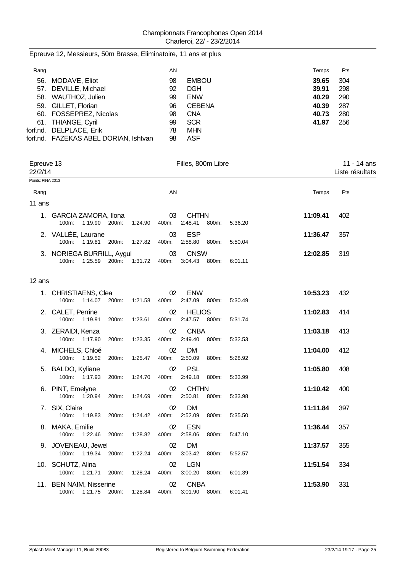| Rang |                                       | AN |               | Temps | Pts |
|------|---------------------------------------|----|---------------|-------|-----|
|      | 56. MODAVE, Eliot                     | 98 | <b>EMBOU</b>  | 39.65 | 304 |
|      | 57. DEVILLE, Michael                  | 92 | <b>DGH</b>    | 39.91 | 298 |
|      | 58. WAUTHOZ, Julien                   | 99 | <b>ENW</b>    | 40.29 | 290 |
|      | 59. GILLET, Florian                   | 96 | <b>CEBENA</b> | 40.39 | 287 |
|      | 60. FOSSEPREZ, Nicolas                | 98 | <b>CNA</b>    | 40.73 | 280 |
|      | 61. THIANGE, Cyril                    | 99 | <b>SCR</b>    | 41.97 | 256 |
|      | forf.nd. DELPLACE, Erik               | 78 | <b>MHN</b>    |       |     |
|      | forf.nd. FAZEKAS ABEL DORIAN, Ishtvan | 98 | ASF           |       |     |

| Epreuve 13<br>22/2/14<br>Points: FINA 2013 |                                                   |       |         |             | Filles, 800m Libre       |       | 11 - 14 ans<br>Liste résultats |          |     |
|--------------------------------------------|---------------------------------------------------|-------|---------|-------------|--------------------------|-------|--------------------------------|----------|-----|
|                                            |                                                   |       |         |             |                          |       |                                |          |     |
| Rang                                       |                                                   |       |         | AN          |                          |       |                                | Temps    | Pts |
| 11 ans                                     |                                                   |       |         |             |                          |       |                                |          |     |
|                                            | 1. GARCIA ZAMORA, Ilona<br>1:19.90 200m:<br>100m: |       | 1:24.90 | 03<br>400m: | <b>CHTHN</b><br>2:48.41  | 800m: | 5:36.20                        | 11:09.41 | 402 |
|                                            | 2. VALLÉE, Laurane<br>1:19.81<br>100m:            | 200m: | 1:27.82 | 03<br>400m: | <b>ESP</b><br>2:58.80    | 800m: | 5:50.04                        | 11:36.47 | 357 |
|                                            | 3. NORIEGA BURRILL, Aygul<br>100m:<br>1:25.59     | 200m: | 1:31.72 | 03<br>400m: | <b>CNSW</b><br>3:04.43   | 800m: | 6:01.11                        | 12:02.85 | 319 |
| 12 ans                                     |                                                   |       |         |             |                          |       |                                |          |     |
|                                            | 1. CHRISTIAENS, Clea<br>100m: 1:14.07             | 200m: | 1:21.58 | 02<br>400m: | <b>ENW</b><br>2:47.09    | 800m: | 5:30.49                        | 10:53.23 | 432 |
|                                            | 2. CALET, Perrine<br>100m:<br>1:19.91             | 200m: | 1:23.61 | 02<br>400m: | <b>HELIOS</b><br>2:47.57 | 800m: | 5:31.74                        | 11:02.83 | 414 |
|                                            | 3. ZERAIDI, Kenza<br>100m:<br>1:17.90             | 200m: | 1:23.35 | 02<br>400m: | <b>CNBA</b><br>2:49.40   | 800m: | 5:32.53                        | 11:03.18 | 413 |
|                                            | 4. MICHELS, Chloé<br>1:19.52<br>100m:             | 200m: | 1:25.47 | 02<br>400m: | <b>DM</b><br>2:50.09     | 800m: | 5:28.92                        | 11:04.00 | 412 |
|                                            | 5. BALDO, Kyliane<br>100m: 1:17.93                | 200m: | 1:24.70 | 02<br>400m: | <b>PSL</b><br>2:49.18    | 800m: | 5:33.99                        | 11:05.80 | 408 |
|                                            | 6. PINT, Emelyne<br>100m: 1:20.94                 | 200m: | 1:24.69 | 02<br>400m: | <b>CHTHN</b><br>2:50.81  | 800m: | 5:33.98                        | 11:10.42 | 400 |
|                                            | 7. SIX, Claire<br>100m:<br>1:19.83                | 200m: | 1:24.42 | 02<br>400m: | <b>DM</b><br>2:52.09     | 800m: | 5:35.50                        | 11:11.84 | 397 |
|                                            | 8. MAKA, Emilie<br>100m: 1:22.46                  | 200m: | 1:28.82 | 02<br>400m: | <b>ESN</b><br>2:58.06    | 800m: | 5:47.10                        | 11:36.44 | 357 |
|                                            | 9. JOVENEAU, Jewel<br>100m:<br>1:19.34            | 200m: | 1:22.24 | 02<br>400m: | <b>DM</b><br>3:03.42     | 800m: | 5:52.57                        | 11:37.57 | 355 |
|                                            | 10. SCHUTZ, Alina<br>1:21.71<br>100m:             | 200m: | 1:28.24 | 02<br>400m: | <b>LGN</b><br>3:00.20    | 800m: | 6:01.39                        | 11:51.54 | 334 |
|                                            | 11. BEN NAIM, Nisserine<br>100m: 1:21.75          | 200m: | 1:28.84 | 02<br>400m: | <b>CNBA</b><br>3:01.90   | 800m: | 6:01.41                        | 11:53.90 | 331 |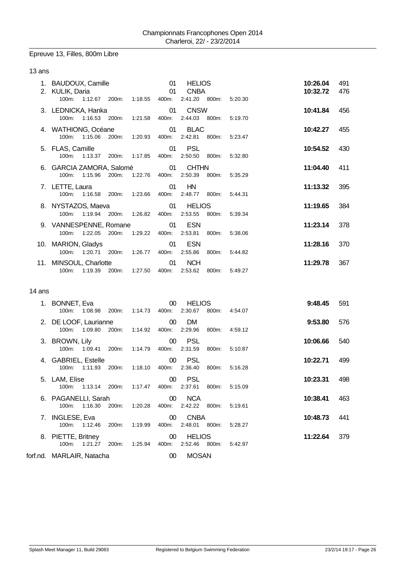### Epreuve 13, Filles, 800m Libre

#### 13 ans

| 1. BAUDOUX, Camille<br>2. KULIK, Daria<br>100m: 1:12.67 200m: 1:18.55 400m: |                             | 01<br>01 | <b>HELIOS</b><br><b>CNBA</b><br>2:41.20 800m: |       | 5:20.30 | 10:26.04<br>10:32.72 | 491<br>476 |
|-----------------------------------------------------------------------------|-----------------------------|----------|-----------------------------------------------|-------|---------|----------------------|------------|
| 3. LEDNICKA, Hanka<br>100m: 1:16.53 200m: 1:21.58 400m:                     |                             | 01       | <b>CNSW</b><br>2:44.03 800m:                  |       | 5:19.70 | 10:41.84             | 456        |
| 4. WATHIONG, Océane<br>$100m$ :                                             | 1:15.06 200m: 1:20.93 400m: | 01       | <b>BLAC</b><br>2:42.81                        | 800m: | 5:23.47 | 10:42.27             | 455        |
| 5. FLAS, Camille<br>100m: 1:13.37 200m: 1:17.85 400m:                       |                             | 01       | <b>PSL</b><br>2:50.50                         | 800m: | 5:32.80 | 10:54.52             | 430        |
| 6. GARCIA ZAMORA, Salomé 01<br>$100m$ :                                     | 1:15.96 200m: 1:22.76 400m: |          | <b>CHTHN</b><br>2:50.39                       | 800m: | 5:35.29 | 11:04.40             | 411        |
| 7. LETTE, Laura<br>$100m$ :                                                 | 1:16.58 200m: 1:23.66 400m: | 01       | HN<br>2:48.77                                 | 800m: | 5:44.31 | 11:13.32             | 395        |
| 8. NYSTAZOS, Maeva 61<br>100m: 1:19.94 200m: 1:26.82 400m:                  |                             |          | <b>HELIOS</b><br>2:53.55 800m:                |       | 5:39.34 | 11:19.65             | 384        |
| 9. VANNESPENNE, Romane<br>100m: 1:22.05 200m: 1:29.22 400m:                 |                             | 01       | <b>ESN</b><br>2:53.81                         | 800m: | 5:38.06 | 11:23.14             | 378        |
| 10. MARION, Gladys<br>100m:<br>1:20.71 200m:                                | 1:26.77 400m:               | 01       | <b>ESN</b><br>2:55.86                         | 800m: | 5:44.82 | 11:28.16             | 370        |
| 11. MINSOUL, Charlotte<br>1:19.39 200m:<br>100m:                            | 1:27.50 400m:               | 01       | <b>NCH</b><br>2:53.62                         | 800m: | 5:49.27 | 11:29.78             | 367        |

#### 14 ans

| 1. BONNET, Eva            |               |                  | $00\,$          | <b>HELIOS</b> |       |               | 9:48.45  | 591 |
|---------------------------|---------------|------------------|-----------------|---------------|-------|---------------|----------|-----|
| 100m: 1:08.98 200m:       |               |                  | 1:14.73  400m:  | 2:30.67       |       | 800m: 4:54.07 |          |     |
| 2. DE LOOF, Laurianne     |               |                  | $\sim$ 00       | DM.           |       |               | 9:53.80  | 576 |
| 100m                      | 1:09.80 200m: | 1:14.92          | 400m:           | 2:29.96       |       | 800m: 4:59.12 |          |     |
| 3. BROWN, Lily            |               |                  | 00 <sub>o</sub> | <b>PSL</b>    |       |               | 10:06.66 | 540 |
| 100m: 1:09.41 200m:       |               |                  | 1:14.79  400m:  | 2:31.59       |       | 800m: 5:10.87 |          |     |
| 4. GABRIEL, Estelle       |               |                  | 00              | – PSL         |       |               | 10:22.71 | 499 |
| 100m: 1:11.93 200m:       |               | 1:18.10          | 400m:           | 2:36.40       | 800m: | 5:16.28       |          |     |
| 5. LAM, Elise             |               |                  | 00              | PSL           |       |               | 10:23.31 | 498 |
| 100m: 1:13.14 200m:       |               | 1:17.47          | 400m:           | 2:37.61       | 800m: | 5:15.09       |          |     |
| 6. PAGANELLI, Sarah       |               |                  | $_{00}$         | <b>NCA</b>    |       |               | 10:38.41 | 463 |
| 100m: 1:16.30 200m:       |               | 1:20.28          | 400m:           | 2:42.22       | 800m: | 5:19.61       |          |     |
| 7. INGLESE, Eva           |               |                  | 00 <sup>°</sup> | <b>CNBA</b>   |       |               | 10:48.73 | 441 |
| 1:12.46<br>$100m$ :       |               | 1:19.99<br>200m: | 400m:           | 2:48.01       | 800m: | 5:28.27       |          |     |
| 8. PIETTE, Britney        |               |                  | 00 <sup>°</sup> | <b>HELIOS</b> |       |               | 11:22.64 | 379 |
| 100m: 1:21.27 200m:       |               | 1:25.94          | 400m:           | 2:52.46       | 800m: | 5:42.97       |          |     |
| forf.nd. MARLAIR, Natacha |               |                  | 00 <sup>°</sup> | <b>MOSAN</b>  |       |               |          |     |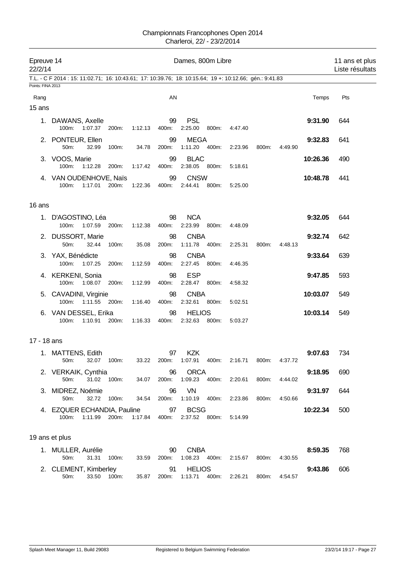| Epreuve 14<br>Dames, 800m Libre<br>22/2/14 |                                                                                                         |               |         |             |                               |       |                             |       | 11 ans et plus<br>Liste résultats |          |     |
|--------------------------------------------|---------------------------------------------------------------------------------------------------------|---------------|---------|-------------|-------------------------------|-------|-----------------------------|-------|-----------------------------------|----------|-----|
|                                            | T.L. - C F 2014 : 15: 11:02.71; 16: 10:43.61; 17: 10:39.76; 18: 10:15.64; 19 +: 10:12.66; gén.: 9:41.83 |               |         |             |                               |       |                             |       |                                   |          |     |
| Points: FINA 2013                          |                                                                                                         |               |         |             |                               |       |                             |       |                                   |          |     |
| Rang                                       |                                                                                                         |               |         | AN          |                               |       |                             |       |                                   | Temps    | Pts |
| 15 ans                                     |                                                                                                         |               |         |             |                               |       |                             |       |                                   |          |     |
|                                            | 1. DAWANS, Axelle<br>100m:<br>1:07.37                                                                   | 200m:         | 1:12.13 | 99<br>400m: | <b>PSL</b><br>2:25.00         | 800m: | 4:47.40                     |       |                                   | 9:31.90  | 644 |
|                                            | 2. PONTEUR, Ellen<br>50m:<br>32.99                                                                      | 100m:         | 34.78   | 99<br>200m: | <b>MEGA</b><br>1:11.20 400m:  |       | 2:23.96                     | 800m: | 4:49.90                           | 9:32.83  | 641 |
|                                            | 3. VOOS, Marie<br>100m:<br>1:12.28                                                                      | 200m:         | 1:17.42 | 99<br>400m: | <b>BLAC</b><br>2:38.05 800m:  |       | 5:18.61                     |       |                                   | 10:26.36 | 490 |
|                                            | 4. VAN OUDENHOVE, Naïs<br>100m:<br>1:17.01                                                              | 200m:         | 1:22.36 | 99<br>400m: | <b>CNSW</b><br>2:44.41        | 800m: | 5:25.00                     |       |                                   | 10:48.78 | 441 |
| 16 ans                                     |                                                                                                         |               |         |             |                               |       |                             |       |                                   |          |     |
|                                            | 1. D'AGOSTINO, Léa<br>1:07.59<br>100m:                                                                  | 200m:         | 1:12.38 | 98<br>400m: | <b>NCA</b><br>2:23.99         | 800m: | 4:48.09                     |       |                                   | 9:32.05  | 644 |
|                                            | 2. DUSSORT, Marie<br>50m:<br>32.44                                                                      | 100m:         | 35.08   | 98<br>200m: | <b>CNBA</b><br>1:11.78  400m: |       | 2:25.31                     | 800m: | 4:48.13                           | 9:32.74  | 642 |
|                                            | 3. YAX, Bénédicte<br>100m:<br>1:07.25                                                                   | 200m:         | 1:12.59 | 98<br>400m: | <b>CNBA</b><br>2:27.45        | 800m: | 4.46.35                     |       |                                   | 9:33.64  | 639 |
|                                            | 4. KERKENI, Sonia<br>100m:<br>1:08.07                                                                   | 200m:         | 1:12.99 | 98<br>400m: | <b>ESP</b><br>2:28.47         | 800m: | 4:58.32                     |       |                                   | 9:47.85  | 593 |
|                                            | 5. CAVADINI, Virginie<br>100m:                                                                          | 1:11.55 200m: | 1:16.40 | 98<br>400m: | <b>CNBA</b><br>2:32.61 800m:  |       | 5:02.51                     |       |                                   | 10:03.07 | 549 |
|                                            | 6. VAN DESSEL, Erika<br>100m:<br>1:10.91                                                                | 200m:         | 1:16.33 | 98<br>400m: | <b>HELIOS</b><br>2:32.63      | 800m: | 5:03.27                     |       |                                   | 10:03.14 | 549 |
| 17 - 18 ans                                |                                                                                                         |               |         |             |                               |       |                             |       |                                   |          |     |
|                                            | 1. MATTENS, Edith<br>50m:<br>32.07                                                                      | 100m:         | 33.22   | 97<br>200m: | <b>KZK</b><br>1:07.91         | 400m: | 2:16.71                     | 800m: | 4:37.72                           | 9:07.63  | 734 |
|                                            | 2. VERKAIK, Cynthia<br>50m:                                                                             | 31.02 100m:   | 34.07   | 96<br>200m: | <b>ORCA</b><br>1:09.23        | 400m: | 2:20.61                     | 800m: | 4:44.02                           | 9:18.95  | 690 |
|                                            | 3. MIDREZ, Noémie<br>32.72<br>50m:                                                                      | 100m:         | 34.54   | 96<br>200m: | VN<br>1:10.19  400m:          |       | 2:23.86                     | 800m: | 4:50.66                           | 9:31.97  | 644 |
|                                            | 4. EZQUER ECHANDIA, Pauline<br>100m:<br>1:11.99                                                         | 200m:         | 1:17.84 | 97<br>400m: | <b>BCSG</b><br>2:37.52 800m:  |       | 5:14.99                     |       |                                   | 10:22.34 | 500 |
|                                            | 19 ans et plus                                                                                          |               |         |             |                               |       |                             |       |                                   |          |     |
|                                            | 1. MULLER, Aurélie<br>50m:<br>31.31                                                                     | 100m:         | 33.59   | 90<br>200m: | <b>CNBA</b><br>1:08.23  400m: |       | 2:15.67                     | 800m: | 4:30.55                           | 8:59.35  | 768 |
|                                            | 2. CLEMENT, Kimberley<br>33.50<br>50m:                                                                  | 100m:         | 35.87   | 91          | <b>HELIOS</b>                 |       | 200m: 1:13.71 400m: 2:26.21 | 800m: | 4:54.57                           | 9:43.86  | 606 |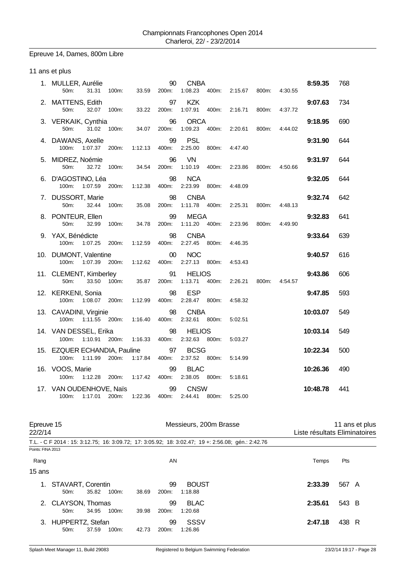# Epreuve 14, Dames, 800m Libre

### 11 ans et plus

| 1. MULLER, Aurélie<br>50m:<br>31.31<br>100m:                 | 33.59   | 90<br>200m: | <b>CNBA</b><br>1:08.23            | 400m: 2:15.67 | 800m: | 4:30.55 | 8:59.35  | 768 |
|--------------------------------------------------------------|---------|-------------|-----------------------------------|---------------|-------|---------|----------|-----|
| 2. MATTENS, Edith<br>50m:<br>32.07<br>100m:                  | 33.22   | 97<br>200m: | <b>KZK</b><br>1:07.91<br>400m:    | 2:16.71       | 800m: | 4:37.72 | 9:07.63  | 734 |
| 3. VERKAIK, Cynthia<br>100m:<br>50m:<br>31.02                | 34.07   | 96<br>200m: | <b>ORCA</b><br>1:09.23<br>400m:   | 2:20.61       | 800m: | 4:44.02 | 9:18.95  | 690 |
| 4. DAWANS, Axelle<br>100m:<br>1:07.37<br>200m:               | 1:12.13 | 99<br>400m: | <b>PSL</b><br>2:25.00<br>800m:    | 4.47.40       |       |         | 9:31.90  | 644 |
| 5. MIDREZ, Noémie<br>50m:<br>32.72<br>100m:                  | 34.54   | 96<br>200m: | VN.<br>1:10.19<br>400m:           | 2:23.86       | 800m: | 4:50.66 | 9:31.97  | 644 |
| 6. D'AGOSTINO, Léa<br>100m:<br>1:07.59<br>200 <sub>m</sub> : | 1:12.38 | 98<br>400m: | <b>NCA</b><br>2:23.99<br>800m:    | 4:48.09       |       |         | 9:32.05  | 644 |
| 7. DUSSORT, Marie<br>50m:<br>32.44<br>100m:                  | 35.08   | 98<br>200m: | <b>CNBA</b><br>1:11.78  400m:     | 2:25.31       | 800m: | 4:48.13 | 9:32.74  | 642 |
| 8. PONTEUR, Ellen<br>50m:<br>32.99<br>100m:                  | 34.78   | 99<br>200m: | <b>MEGA</b><br>1:11.20 400m:      | 2:23.96       | 800m: | 4:49.90 | 9:32.83  | 641 |
| 9. YAX, Bénédicte<br>100m:<br>1:07.25<br>200m:               | 1:12.59 | 98<br>400m: | <b>CNBA</b><br>2:27.45<br>800m:   | 4:46.35       |       |         | 9:33.64  | 639 |
| 10. DUMONT, Valentine<br>100m:<br>1:07.39<br>200m:           | 1:12.62 | 00<br>400m: | <b>NOC</b><br>2:27.13<br>800m:    | 4:53.43       |       |         | 9:40.57  | 616 |
| 11. CLEMENT, Kimberley<br>50m:<br>33.50<br>100m:             | 35.87   | 91<br>200m: | <b>HELIOS</b><br>1:13.71<br>400m: | 2:26.21       | 800m: | 4:54.57 | 9:43.86  | 606 |
| 12. KERKENI, Sonia<br>100m:<br>1:08.07 200m:                 | 1:12.99 | 98<br>400m: | <b>ESP</b><br>2:28.47 800m:       | 4:58.32       |       |         | 9:47.85  | 593 |
| 13. CAVADINI, Virginie<br>100m:<br>1:11.55<br>200m:          | 1:16.40 | 98<br>400m: | <b>CNBA</b><br>2:32.61<br>800m:   | 5:02.51       |       |         | 10:03.07 | 549 |
| 14. VAN DESSEL, Erika<br>100m:<br>1:10.91<br>200m:           | 1:16.33 | 98<br>400m: | <b>HELIOS</b><br>2:32.63<br>800m: | 5:03.27       |       |         | 10:03.14 | 549 |
| 15. EZQUER ECHANDIA, Pauline<br>$100m$ :<br>1:11.99<br>200m: | 1:17.84 | 97<br>400m: | <b>BCSG</b><br>2:37.52<br>800m:   | 5:14.99       |       |         | 10:22.34 | 500 |
| 16. VOOS, Marie<br>100m:<br>1:12.28 200m:                    | 1:17.42 | 99<br>400m: | <b>BLAC</b><br>2:38.05<br>800m:   | 5:18.61       |       |         | 10:26.36 | 490 |
| 17. VAN OUDENHOVE, Naïs<br>100m: 1:17.01 200m: 1:22.36       |         | 99<br>400m: | <b>CNSW</b><br>2:44.41<br>800m:   | 5.25.00       |       |         | 10:48.78 | 441 |

| Epreuve 15<br>22/2/14 |                               |       |          |       |                          | Messieurs, 200m Brasse                                                                             |         | 11 ans et plus<br>Liste résultats Eliminatoires |
|-----------------------|-------------------------------|-------|----------|-------|--------------------------|----------------------------------------------------------------------------------------------------|---------|-------------------------------------------------|
|                       |                               |       |          |       |                          | T.L. - C F 2014 : 15: 3:12.75; 16: 3:09.72; 17: 3:05.92; 18: 3:02.47; 19 +: 2:56.08; gén.: 2:42.76 |         |                                                 |
| Points: FINA 2013     |                               |       |          |       |                          |                                                                                                    |         |                                                 |
| Rang                  |                               |       |          |       | AN                       |                                                                                                    | Temps   | Pts                                             |
| 15 ans                |                               |       |          |       |                          |                                                                                                    |         |                                                 |
|                       | STAVART, Corentin<br>$50m$ :  | 35.82 | 100m:    | 38.69 | 99<br>200m:              | <b>BOUST</b><br>1:18.88                                                                            | 2:33.39 | 567 A                                           |
|                       | 2. CLAYSON, Thomas<br>$50m$ : | 34.95 | $100m$ : | 39.98 | 99<br>200m:              | <b>BLAC</b><br>1:20.68                                                                             | 2:35.61 | 543 B                                           |
| 3.                    | HUPPERTZ, Stefan<br>50m       | 37.59 | $100m$ : | 42.73 | 99<br>200 <sub>m</sub> : | SSSV<br>1:26.86                                                                                    | 2:47.18 | 438 R                                           |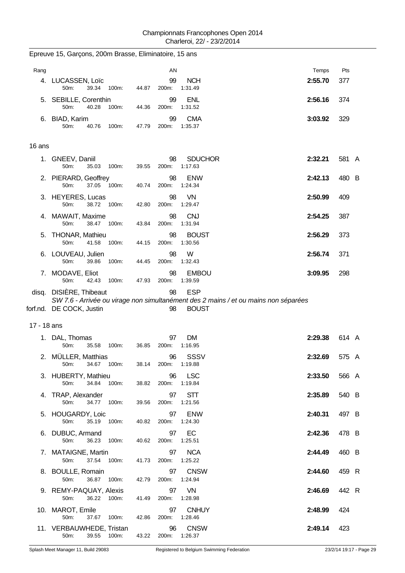| Rang        |                                                          | AN                |                                                                                                                   | Temps   | Pts   |
|-------------|----------------------------------------------------------|-------------------|-------------------------------------------------------------------------------------------------------------------|---------|-------|
|             | 4. LUCASSEN, Loïc<br>39.34 100m:<br>50m:<br>44.87        | 99<br>200m:       | <b>NCH</b><br>1:31.49                                                                                             | 2:55.70 | 377   |
| 5.          | SEBILLE, Corenthin<br>50m:<br>44.36<br>40.28<br>100m:    | 99<br>200m:       | <b>ENL</b><br>1:31.52                                                                                             | 2:56.16 | 374   |
| 6.          | <b>BIAD, Karim</b><br>50m:<br>40.76<br>100m:<br>47.79    | 99<br>200m:       | <b>CMA</b><br>1:35.37                                                                                             | 3:03.92 | 329   |
| 16 ans      |                                                          |                   |                                                                                                                   |         |       |
| 1.          | GNEEV, Daniil<br>50m:<br>35.03<br>39.55<br>100m:         | 98<br>200m:       | <b>SDUCHOR</b><br>1:17.63                                                                                         | 2:32.21 | 581 A |
|             | 2. PIERARD, Geoffrey<br>50m:<br>37.05 100m:<br>40.74     | 98<br>200m:       | <b>ENW</b><br>1:24.34                                                                                             | 2:42.13 | 480 B |
|             | 3. HEYERES, Lucas<br>50m:<br>38.72<br>100m:<br>42.80     | 98<br>200m:       | VN<br>1:29.47                                                                                                     | 2:50.99 | 409   |
|             | 4. MAWAIT, Maxime<br>50m:<br>38.47 100m:<br>43.84        | 98<br>200m:       | <b>CNJ</b><br>1:31.94                                                                                             | 2:54.25 | 387   |
| 5.          | THONAR, Mathieu<br>50m:<br>41.58<br>100m:<br>44.15       | 98<br>200m:       | <b>BOUST</b><br>1:30.56                                                                                           | 2:56.29 | 373   |
| 6.          | LOUVEAU, Julien<br>50m:<br>39.86<br>100m:<br>44.45       | 98<br>200m:       | W<br>1:32.43                                                                                                      | 2:56.74 | 371   |
|             | 7. MODAVE, Eliot<br>50m:<br>42.43<br>100m:<br>47.93      | 98<br>200m:       | <b>EMBOU</b><br>1:39.59                                                                                           | 3:09.95 | 298   |
|             | disq. DISIÈRE, Thibeaut                                  | 98                | <b>ESP</b><br>SW 7.6 - Arrivée ou virage non simultanément des 2 mains / et ou mains non séparées<br><b>BOUST</b> |         |       |
|             | forf.nd. DE COCK, Justin                                 | 98                |                                                                                                                   |         |       |
| 17 - 18 ans |                                                          |                   |                                                                                                                   |         |       |
|             | 1. DAL, Thomas<br>50m:<br>100m:<br>36.85<br>35.58        | 97<br>200m:       | DM<br>1:16.95                                                                                                     | 2:29.38 | 614 A |
| 2.          | MÜLLER, Matthias<br>100m:<br>50m:<br>34.67<br>38.14      | 96<br>200m:       | SSSV<br>1:19.88                                                                                                   | 2:32.69 | 575 A |
|             | 3. HUBERTY, Mathieu<br>50m:<br>34.84<br>100m:<br>38.82   | 96<br>200m:       | <b>LSC</b><br>1:19.84                                                                                             | 2:33.50 | 566 A |
| 4.          | TRAP, Alexander<br>50m:<br>34.77 100m:                   | 97<br>39.56 200m: | <b>STT</b><br>1:21.56                                                                                             | 2:35.89 | 540 B |
|             | 5. HOUGARDY, Loic<br>50m:<br>35.19<br>100m:<br>40.82     | 97<br>200m:       | <b>ENW</b><br>1:24.30                                                                                             | 2:40.31 | 497 B |
|             | 6. DUBUC, Armand<br>50m:<br>36.23<br>100m:<br>40.62      | 97<br>200m:       | EC<br>1:25.51                                                                                                     | 2:42.36 | 478 B |
|             | 7. MATAIGNE, Martin<br>37.54 100m:<br>50m:<br>41.73      | 97<br>200m:       | <b>NCA</b><br>1:25.22                                                                                             | 2:44.49 | 460 B |
|             | 8. BOULLE, Romain<br>50m:<br>36.87<br>42.79<br>100m:     | 97<br>200m:       | <b>CNSW</b><br>1:24.94                                                                                            | 2:44.60 | 459 R |
|             | 9. REMY-PAQUAY, Alexis<br>50m:<br>36.22 100m:<br>41.49   | 97<br>200m:       | VN<br>1:28.98                                                                                                     | 2:46.69 | 442 R |
|             | 10. MAROT, Emile<br>50m:<br>37.67 100m:<br>42.86         | 97<br>200m:       | <b>CNHUY</b><br>1:28.46                                                                                           | 2:48.99 | 424   |
|             | 11. VERBAUWHEDE, Tristan<br>50m:<br>39.55 100m:<br>43.22 | 96<br>200m:       | <b>CNSW</b><br>1:26.37                                                                                            | 2:49.14 | 423   |

Epreuve 15, Garçons, 200m Brasse, Eliminatoire, 15 ans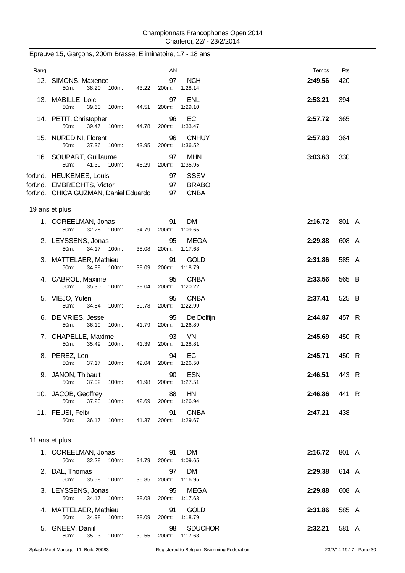| Rang |                                                                                                 |       | AN             |                                     | Temps   | Pts   |
|------|-------------------------------------------------------------------------------------------------|-------|----------------|-------------------------------------|---------|-------|
|      | 12. SIMONS, Maxence<br>38.20 100m:<br>50m:                                                      | 43.22 | 97<br>200m:    | <b>NCH</b><br>1:28.14               | 2:49.56 | 420   |
|      | 13. MABILLE, Loic<br>50m:<br>39.60<br>100m:                                                     | 44.51 | 97<br>200m:    | <b>ENL</b><br>1:29.10               | 2:53.21 | 394   |
|      | 14. PETIT, Christopher<br>50m:<br>39.47 100m:                                                   | 44.78 | 96<br>200m:    | EC<br>1:33.47                       | 2:57.72 | 365   |
|      | 15. NUREDINI, Florent<br>37.36 100m:<br>50m:                                                    | 43.95 | 96<br>200m:    | <b>CNHUY</b><br>1:36.52             | 2:57.83 | 364   |
|      | 16. SOUPART, Guillaume<br>50m:<br>41.39 100m:                                                   | 46.29 | 97<br>200m:    | <b>MHN</b><br>1:35.95               | 3:03.63 | 330   |
|      | forf.nd. HEUKEMES, Louis<br>forf.nd. EMBRECHTS, Victor<br>forf.nd. CHICA GUZMAN, Daniel Eduardo |       | 97<br>97<br>97 | SSSV<br><b>BRABO</b><br><b>CNBA</b> |         |       |
|      | 19 ans et plus                                                                                  |       |                |                                     |         |       |
|      | 1. COREELMAN, Jonas<br>32.28 100m:<br>50m:                                                      | 34.79 | 91<br>200m:    | DM<br>1:09.65                       | 2:16.72 | 801 A |
|      | 2. LEYSSENS, Jonas<br>50m:<br>34.17 100m:                                                       | 38.08 | 95<br>200m:    | <b>MEGA</b><br>1:17.63              | 2:29.88 | 608 A |
|      | 3. MATTELAER, Mathieu<br>50m:<br>34.98<br>100m:                                                 | 38.09 | 91<br>200m:    | <b>GOLD</b><br>1:18.79              | 2:31.86 | 585 A |
|      | 4. CABROL, Maxime<br>50m:<br>35.30 100m:                                                        | 38.04 | 95<br>200m:    | <b>CNBA</b><br>1:20.22              | 2:33.56 | 565 B |
|      | 5. VIEJO, Yulen<br>50m:<br>34.64<br>100m:                                                       | 39.78 | 95<br>200m:    | <b>CNBA</b><br>1:22.99              | 2:37.41 | 525 B |
| 6.   | DE VRIES, Jesse<br>50m:<br>36.19<br>100m:                                                       | 41.79 | 95<br>200m:    | De Dolfijn<br>1:26.89               | 2:44.87 | 457 R |
|      | 7. CHAPELLE, Maxime<br>35.49<br>50m:<br>100m:                                                   | 41.39 | 93<br>200m:    | VN<br>1:28.81                       | 2:45.69 | 450 R |
| 8.   | PEREZ, Leo<br>37.17 100m:<br>50m:                                                               | 42.04 | 94<br>200m:    | EC<br>1:26.50                       | 2:45.71 | 450 R |
|      | 9. JANON, Thibault<br>50m:<br>37.02<br>100m:                                                    | 41.98 | 90<br>200m:    | <b>ESN</b><br>1:27.51               | 2:46.51 | 443 R |
|      | 10. JACOB, Geoffrey<br>37.23<br>50m:<br>100m:                                                   | 42.69 | 88<br>200m:    | HN<br>1:26.94                       | 2:46.86 | 441 R |
|      | 11. FEUSI, Felix<br>50m:<br>36.17<br>100m:                                                      | 41.37 | 91<br>200m:    | <b>CNBA</b><br>1:29.67              | 2:47.21 | 438   |
|      | 11 ans et plus                                                                                  |       |                |                                     |         |       |
|      | 1. COREELMAN, Jonas<br>50m:<br>32.28<br>100m:                                                   | 34.79 | 91<br>200m:    | <b>DM</b><br>1:09.65                | 2:16.72 | 801 A |
|      | 2. DAL, Thomas<br>50m:<br>35.58<br>100m:                                                        | 36.85 | 97<br>200m:    | <b>DM</b><br>1:16.95                | 2:29.38 | 614 A |
|      | 3. LEYSSENS, Jonas<br>50m:<br>34.17 100m:                                                       | 38.08 | 95<br>200m:    | <b>MEGA</b><br>1:17.63              | 2:29.88 | 608 A |
| 4.   | MATTELAER, Mathieu<br>50m:<br>34.98<br>100m:                                                    | 38.09 | 91<br>200m:    | <b>GOLD</b><br>1:18.79              | 2:31.86 | 585 A |
| 5.   | GNEEV, Daniil<br>50m:<br>35.03<br>100m:                                                         | 39.55 | 98<br>200m:    | <b>SDUCHOR</b><br>1:17.63           | 2:32.21 | 581 A |

Epreuve 15, Garçons, 200m Brasse, Eliminatoire, 17 - 18 ans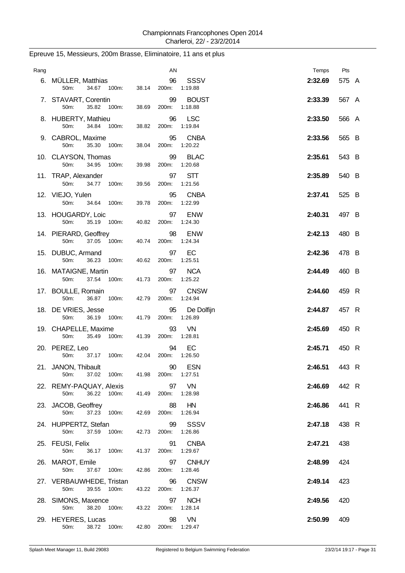| Rang |                                                 |       | AN          |                         | Temps   | Pts   |
|------|-------------------------------------------------|-------|-------------|-------------------------|---------|-------|
|      | 6. MÜLLER, Matthias<br>34.67 100m:<br>50m:      | 38.14 | 96<br>200m: | <b>SSSV</b><br>1:19.88  | 2:32.69 | 575 A |
|      | 7. STAVART, Corentin<br>35.82<br>50m:<br>100m:  | 38.69 | 99<br>200m: | <b>BOUST</b><br>1:18.88 | 2:33.39 | 567 A |
|      | 8. HUBERTY, Mathieu<br>34.84 100m:<br>50m:      | 38.82 | 96<br>200m: | <b>LSC</b><br>1:19.84   | 2:33.50 | 566 A |
|      | 9. CABROL, Maxime<br>50m:<br>35.30 100m:        | 38.04 | 95<br>200m: | <b>CNBA</b><br>1:20.22  | 2:33.56 | 565 B |
|      | 10. CLAYSON, Thomas<br>50m:<br>34.95<br>100m:   | 39.98 | 99<br>200m: | <b>BLAC</b><br>1:20.68  | 2:35.61 | 543 B |
|      | 11. TRAP, Alexander<br>50m:<br>34.77<br>100m:   | 39.56 | 97<br>200m: | <b>STT</b><br>1:21.56   | 2:35.89 | 540 B |
|      | 12. VIEJO, Yulen<br>50m:<br>34.64 100m:         | 39.78 | 95<br>200m: | <b>CNBA</b><br>1:22.99  | 2:37.41 | 525 B |
|      | 13. HOUGARDY, Loic<br>50m:<br>35.19<br>100m:    | 40.82 | 97<br>200m: | <b>ENW</b><br>1:24.30   | 2:40.31 | 497 B |
|      | 14. PIERARD, Geoffrey<br>37.05 100m:<br>50m:    | 40.74 | 98<br>200m: | <b>ENW</b><br>1:24.34   | 2:42.13 | 480 B |
|      | 15. DUBUC, Armand<br>50m:<br>36.23<br>100m:     | 40.62 | 97<br>200m: | EC<br>1:25.51           | 2:42.36 | 478 B |
|      | 16. MATAIGNE, Martin<br>50m:<br>37.54<br>100m:  | 41.73 | 97<br>200m: | <b>NCA</b><br>1:25.22   | 2:44.49 | 460 B |
|      | 17. BOULLE, Romain<br>50m:<br>36.87<br>100m:    | 42.79 | 97<br>200m: | <b>CNSW</b><br>1:24.94  | 2:44.60 | 459 R |
|      | 18. DE VRIES, Jesse<br>50m:<br>36.19<br>100m:   | 41.79 | 95<br>200m: | De Dolfijn<br>1:26.89   | 2:44.87 | 457 R |
|      | 19. CHAPELLE, Maxime<br>50m:<br>35.49<br>100m:  | 41.39 | 93<br>200m: | VN<br>1:28.81           | 2:45.69 | 450 R |
|      | 20. PEREZ, Leo<br>37.17<br>100m:<br>50m:        | 42.04 | 94<br>200m: | EC<br>1:26.50           | 2:45.71 | 450 R |
|      | 21. JANON, Thibault<br>37.02<br>100m:<br>50m:   | 41.98 | 90<br>200m: | <b>ESN</b><br>1:27.51   | 2:46.51 | 443 R |
|      | 22. REMY-PAQUAY, Alexis<br>50m:<br>36.22 100m:  | 41.49 | 97<br>200m: | VN<br>1:28.98           | 2:46.69 | 442 R |
|      | 23. JACOB, Geoffrey<br>50m:<br>37.23<br>100m:   | 42.69 | 88<br>200m: | HN<br>1:26.94           | 2:46.86 | 441 R |
|      | 24. HUPPERTZ, Stefan<br>50m:<br>37.59<br>100m:  | 42.73 | 99<br>200m: | SSSV<br>1:26.86         | 2:47.18 | 438 R |
|      | 25. FEUSI, Felix<br>50m:<br>36.17 100m:         | 41.37 | 91<br>200m: | <b>CNBA</b><br>1:29.67  | 2:47.21 | 438   |
|      | 26. MAROT, Emile<br>50m:<br>37.67<br>100m:      | 42.86 | 97<br>200m: | <b>CNHUY</b><br>1:28.46 | 2:48.99 | 424   |
|      | 27. VERBAUWHEDE, Tristan<br>39.55 100m:<br>50m: | 43.22 | 96<br>200m: | <b>CNSW</b><br>1:26.37  | 2:49.14 | 423   |
|      | 28. SIMONS, Maxence<br>38.20 100m:<br>50m:      | 43.22 | 97<br>200m: | <b>NCH</b><br>1:28.14   | 2:49.56 | 420   |
|      | 29. HEYERES, Lucas<br>38.72<br>50m:<br>100m:    | 42.80 | 98<br>200m: | VN<br>1:29.47           | 2:50.99 | 409   |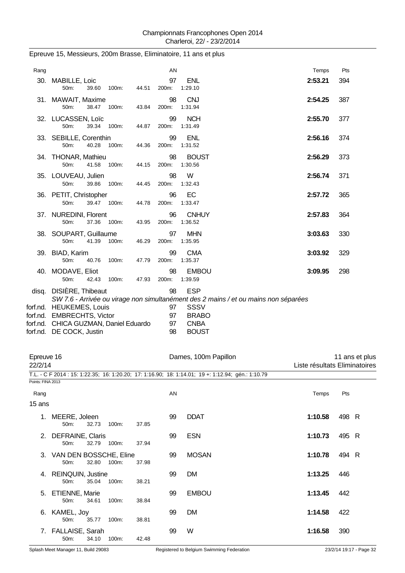| Rang                  |                                                                                                                             |       |       | AN                   |                                                     |                                                                                     | Temps                         | Pts   |                |
|-----------------------|-----------------------------------------------------------------------------------------------------------------------------|-------|-------|----------------------|-----------------------------------------------------|-------------------------------------------------------------------------------------|-------------------------------|-------|----------------|
|                       | 30. MABILLE, Loic<br>50m:<br>39.60                                                                                          | 100m: | 44.51 | 97<br>200m:          | <b>ENL</b><br>1:29.10                               |                                                                                     | 2:53.21                       | 394   |                |
|                       | 31. MAWAIT, Maxime<br>50m:<br>38.47                                                                                         | 100m: | 43.84 | 98<br>200m:          | <b>CNJ</b><br>1:31.94                               |                                                                                     | 2:54.25                       | 387   |                |
|                       | 32. LUCASSEN, Loïc<br>50m:<br>39.34                                                                                         | 100m: | 44.87 | 99<br>200m:          | <b>NCH</b><br>1:31.49                               |                                                                                     | 2:55.70                       | 377   |                |
|                       | 33. SEBILLE, Corenthin<br>40.28<br>50m:                                                                                     | 100m: | 44.36 | 99<br>200m:          | <b>ENL</b><br>1:31.52                               |                                                                                     | 2:56.16                       | 374   |                |
|                       | 34. THONAR, Mathieu<br>50m:<br>41.58                                                                                        | 100m: | 44.15 | 98<br>200m:          | <b>BOUST</b><br>1:30.56                             |                                                                                     | 2:56.29                       | 373   |                |
|                       | 35. LOUVEAU, Julien<br>50m:<br>39.86                                                                                        | 100m: | 44.45 | 98<br>200m:          | W<br>1:32.43                                        |                                                                                     | 2:56.74                       | 371   |                |
|                       | 36. PETIT, Christopher<br>50m:<br>39.47                                                                                     | 100m: | 44.78 | 96<br>200m:          | EC<br>1:33.47                                       |                                                                                     | 2:57.72                       | 365   |                |
|                       | 37. NUREDINI, Florent<br>50m:<br>37.36                                                                                      | 100m: | 43.95 | 96<br>200m:          | <b>CNHUY</b><br>1:36.52                             |                                                                                     | 2:57.83                       | 364   |                |
|                       | 38. SOUPART, Guillaume<br>50m:<br>41.39                                                                                     | 100m: | 46.29 | 97<br>200m:          | <b>MHN</b><br>1:35.95                               |                                                                                     | 3:03.63                       | 330   |                |
|                       | 39. BIAD, Karim<br>50m:<br>40.76                                                                                            |       |       | 99<br>200m:          | <b>CMA</b><br>1:35.37                               |                                                                                     | 3:03.92                       | 329   |                |
|                       | 40. MODAVE, Eliot                                                                                                           | 100m: | 47.79 | 98                   | <b>EMBOU</b>                                        |                                                                                     | 3:09.95                       | 298   |                |
|                       | 50m:<br>42.43<br>disq. DISIÈRE, Thibeaut                                                                                    | 100m: | 47.93 | 200m:<br>98          | 1:39.59<br><b>ESP</b>                               |                                                                                     |                               |       |                |
|                       | forf.nd. HEUKEMES, Louis<br>forf.nd. EMBRECHTS, Victor<br>forf.nd. CHICA GUZMAN, Daniel Eduardo<br>forf.nd. DE COCK, Justin |       |       | 97<br>97<br>97<br>98 | SSSV<br><b>BRABO</b><br><b>CNBA</b><br><b>BOUST</b> | SW 7.6 - Arrivée ou virage non simultanément des 2 mains / et ou mains non séparées |                               |       |                |
| Epreuve 16<br>22/2/14 |                                                                                                                             |       |       |                      | Dames, 100m Papillon                                |                                                                                     | Liste résultats Eliminatoires |       | 11 ans et plus |
| Points: FINA 2013     | T.L. - C F 2014 : 15: 1:22.35; 16: 1:20.20; 17: 1:16.90; 18: 1:14.01; 19 +: 1:12.94; gén.: 1:10.79                          |       |       |                      |                                                     |                                                                                     |                               |       |                |
| Rang                  |                                                                                                                             |       |       | AN                   |                                                     |                                                                                     | Temps                         | Pts   |                |
| 15 ans                |                                                                                                                             |       |       |                      |                                                     |                                                                                     |                               |       |                |
|                       | 1. MEERE, Joleen<br>50m:<br>32.73                                                                                           | 100m: | 37.85 | 99                   | <b>DDAT</b>                                         |                                                                                     | 1:10.58                       | 498 R |                |
|                       | 2. DEFRAINE, Claris<br>50m:<br>32.79                                                                                        | 100m: | 37.94 | 99                   | <b>ESN</b>                                          |                                                                                     | 1:10.73                       | 495 R |                |
|                       | 3. VAN DEN BOSSCHE, Eline<br>50m:<br>32.80                                                                                  | 100m: | 37.98 | 99                   | <b>MOSAN</b>                                        |                                                                                     | 1:10.78                       | 494 R |                |
|                       | 4. REINQUIN, Justine<br>50m:<br>35.04                                                                                       | 100m: | 38.21 | 99                   | <b>DM</b>                                           |                                                                                     | 1:13.25                       | 446   |                |
|                       | 5. ETIENNE, Marie<br>34.61<br>50m:                                                                                          | 100m: | 38.84 | 99                   | <b>EMBOU</b>                                        |                                                                                     | 1:13.45                       | 442   |                |
|                       | 6. KAMEL, Joy<br>50m:<br>35.77                                                                                              | 100m: | 38.81 | 99                   | <b>DM</b>                                           |                                                                                     | 1:14.58                       | 422   |                |
|                       | 7. FALLAISE, Sarah<br>50m:<br>34.10                                                                                         | 100m: | 42.48 | 99                   | W                                                   |                                                                                     | 1:16.58                       | 390   |                |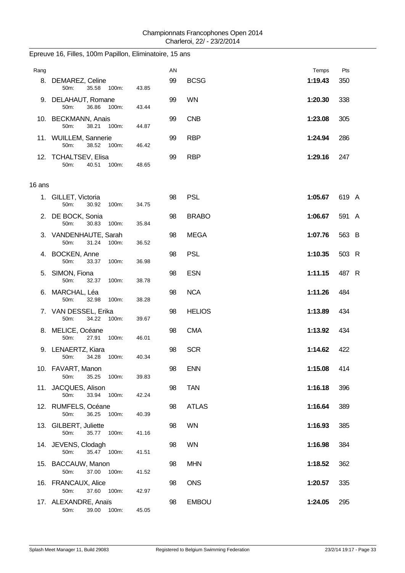| Rang   | 8. DEMAREZ, Celine                                                |                | AN<br>99 | <b>BCSG</b>   | Temps<br>1:19.43 | Pts<br>350 |
|--------|-------------------------------------------------------------------|----------------|----------|---------------|------------------|------------|
|        | 50m:<br>35.58 100m:<br>9. DELAHAUT, Romane<br>50m:<br>36.86 100m: | 43.85<br>43.44 | 99       | <b>WN</b>     | 1:20.30          | 338        |
|        | 10. BECKMANN, Anais<br>38.21<br>50m:<br>100m:                     | 44.87          | 99       | <b>CNB</b>    | 1:23.08          | 305        |
|        | 11. WUILLEM, Sannerie<br>50m:<br>38.52 100m:                      | 46.42          | 99       | <b>RBP</b>    | 1:24.94          | 286        |
|        | 12. TCHALTSEV, Elisa<br>50m:<br>40.51 100m:                       | 48.65          | 99       | <b>RBP</b>    | 1:29.16          | 247        |
| 16 ans |                                                                   |                |          |               |                  |            |
|        | 1. GILLET, Victoria<br>30.92<br>50m:<br>100m:                     | 34.75          | 98       | <b>PSL</b>    | 1:05.67          | 619 A      |
|        | 2. DE BOCK, Sonia<br>50m:<br>30.83<br>100m:                       | 35.84          | 98       | <b>BRABO</b>  | 1:06.67          | 591 A      |
|        | 3. VANDENHAUTE, Sarah<br>50m:<br>31.24<br>100m:                   | 36.52          | 98       | <b>MEGA</b>   | 1:07.76          | 563 B      |
|        | 4. BOCKEN, Anne<br>50m:<br>33.37<br>100m:                         | 36.98          | 98       | <b>PSL</b>    | 1:10.35          | 503 R      |
|        | 5. SIMON, Fiona<br>50m:<br>32.37<br>100m:                         | 38.78          | 98       | <b>ESN</b>    | 1:11.15          | 487 R      |
|        | 6. MARCHAL, Léa<br>50m:<br>32.98<br>100m:                         | 38.28          | 98       | <b>NCA</b>    | 1:11.26          | 484        |
|        | 7. VAN DESSEL, Erika<br>34.22<br>100m:<br>50m:                    | 39.67          | 98       | <b>HELIOS</b> | 1:13.89          | 434        |
|        | 8. MELICE, Océane<br>50m:<br>27.91<br>100m:                       | 46.01          | 98       | <b>CMA</b>    | 1:13.92          | 434        |
|        | 9. LENAERTZ, Kiara<br>50m:<br>34.28<br>100m:                      | 40.34          | 98       | <b>SCR</b>    | 1:14.62          | 422        |
|        | 10. FAVART, Manon<br>35.25<br>50m:<br>100m:                       | 39.83          | 98       | <b>ENN</b>    | 1:15.08          | 414        |
|        | 11. JACQUES, Alison<br>50m:<br>33.94<br>100m:                     | 42.24          | 98       | <b>TAN</b>    | 1:16.18          | 396        |
|        | 12. RUMFELS, Océane<br>36.25<br>100m:<br>50m:                     | 40.39          | 98       | <b>ATLAS</b>  | 1:16.64          | 389        |
|        | 13. GILBERT, Juliette<br>50m:<br>35.77<br>100m:                   | 41.16          | 98       | <b>WN</b>     | 1:16.93          | 385        |
|        | 14. JEVENS, Clodagh<br>35.47 100m:<br>50m:                        | 41.51          | 98       | <b>WN</b>     | 1:16.98          | 384        |
|        | 15. BACCAUW, Manon<br>37.00<br>50m:<br>100m:                      | 41.52          | 98       | <b>MHN</b>    | 1:18.52          | 362        |
|        | 16. FRANCAUX, Alice<br>50m:<br>37.60<br>100m:                     | 42.97          | 98       | <b>ONS</b>    | 1:20.57          | 335        |
|        | 17. ALEXANDRE, Anaïs<br>39.00 100m:<br>50m:                       | 45.05          | 98       | <b>EMBOU</b>  | 1:24.05          | 295        |

### Epreuve 16, Filles, 100m Papillon, Eliminatoire, 15 ans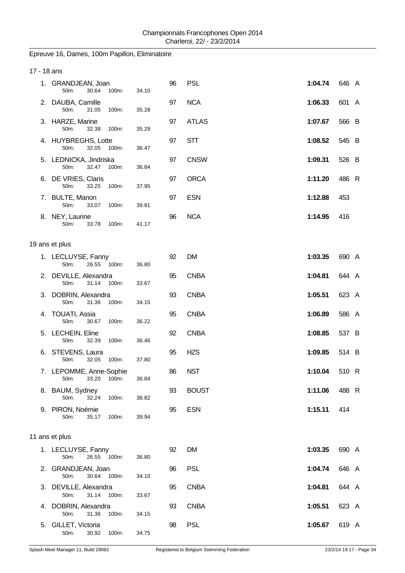## Epreuve 16, Dames, 100m Papillon, Eliminatoire

| 17 - 18 ans |                                                   |       |    |              |         |       |
|-------------|---------------------------------------------------|-------|----|--------------|---------|-------|
|             | 1. GRANDJEAN, Joan<br>30.64<br>100m:<br>50m:      | 34.10 | 96 | <b>PSL</b>   | 1:04.74 | 646 A |
|             | 2. DAUBA, Camille<br>50m:<br>31.05<br>100m:       | 35.28 | 97 | <b>NCA</b>   | 1:06.33 | 601 A |
|             | 3. HARZE, Marine<br>50m:<br>32.38<br>100m:        | 35.29 | 97 | <b>ATLAS</b> | 1:07.67 | 566 B |
|             | 4. HUYBREGHS, Lotte<br>32.05<br>50m:<br>100m:     | 36.47 | 97 | <b>STT</b>   | 1:08.52 | 545 B |
|             | 5. LEDNICKA, Jindriska<br>50m:<br>32.47<br>100m:  | 36.84 | 97 | <b>CNSW</b>  | 1:09.31 | 526 B |
|             | 6. DE VRIES, Claris<br>33.25<br>50m:<br>100m:     | 37.95 | 97 | <b>ORCA</b>  | 1:11.20 | 486 R |
|             | 7. BULTE, Manon<br>50m:<br>33.07<br>100m:         | 39.81 | 97 | <b>ESN</b>   | 1:12.88 | 453   |
|             | 8. NEY, Laurine<br>50m:<br>33.78<br>100m:         | 41.17 | 96 | <b>NCA</b>   | 1:14.95 | 416   |
|             | 19 ans et plus                                    |       |    |              |         |       |
|             | 1. LECLUYSE, Fanny<br>26.55<br>100m:<br>50m:      | 36.80 | 92 | <b>DM</b>    | 1:03.35 | 690 A |
|             | 2. DEVILLE, Alexandra<br>31.14<br>50m:<br>100m:   | 33.67 | 95 | <b>CNBA</b>  | 1:04.81 | 644 A |
|             | 3. DOBRIN, Alexandra<br>50m:<br>31.36<br>100m:    | 34.15 | 93 | <b>CNBA</b>  | 1:05.51 | 623 A |
|             | 4. TOUATI, Assia<br>50m:<br>30.67<br>100m:        | 36.22 | 95 | <b>CNBA</b>  | 1:06.89 | 586 A |
|             | 5. LECHEIN, Eline<br>50m:<br>32.39<br>100m:       | 36.46 | 92 | <b>CNBA</b>  | 1:08.85 | 537 B |
|             | 6. STEVENS, Laura<br>32.05<br>100m:<br>50m:       | 37.80 | 95 | <b>HZS</b>   | 1:09.85 | 514 B |
|             | 7. LEPOMME, Anne-Sophie<br>50m:<br>33.20<br>100m: | 36.84 | 86 | <b>NST</b>   | 1:10.04 | 510 R |
|             | 8. BAUM, Sydney<br>50m:<br>32.24<br>100m:         | 38.82 | 93 | <b>BOUST</b> | 1:11.06 | 488 R |
|             | 9. PIRON, Noémie<br>50m:<br>35.17<br>100m:        | 39.94 | 95 | <b>ESN</b>   | 1:15.11 | 414   |
|             | 11 ans et plus                                    |       |    |              |         |       |
|             | 1. LECLUYSE, Fanny<br>50m:<br>26.55<br>100m:      | 36.80 | 92 | <b>DM</b>    | 1:03.35 | 690 A |
|             | 2. GRANDJEAN, Joan<br>30.64<br>50m:<br>100m:      | 34.10 | 96 | <b>PSL</b>   | 1:04.74 | 646 A |
|             | 3. DEVILLE, Alexandra<br>31.14 100m:<br>50m:      | 33.67 | 95 | <b>CNBA</b>  | 1:04.81 | 644 A |
|             | 4. DOBRIN, Alexandra<br>50m:<br>31.36<br>100m:    | 34.15 | 93 | <b>CNBA</b>  | 1:05.51 | 623 A |
|             | 5. GILLET, Victoria<br>50m:<br>30.92 100m:        | 34.75 | 98 | <b>PSL</b>   | 1:05.67 | 619 A |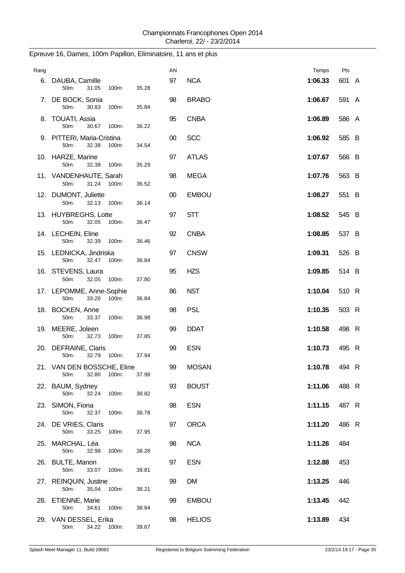| Rang |                                                      |       | AN     |               | Temps   | Pts   |  |
|------|------------------------------------------------------|-------|--------|---------------|---------|-------|--|
|      | 6. DAUBA, Camille<br>50m:<br>31.05<br>100m:          | 35.28 | 97     | <b>NCA</b>    | 1:06.33 | 601 A |  |
|      | 7. DE BOCK, Sonia<br>50m:<br>30.83<br>100m:          | 35.84 | 98     | <b>BRABO</b>  | 1:06.67 | 591 A |  |
|      | 8. TOUATI, Assia<br>50m:<br>30.67<br>100m:           | 36.22 | 95     | <b>CNBA</b>   | 1:06.89 | 586 A |  |
|      | 9. PITTERI, Maria-Cristina<br>32.38<br>100m:<br>50m: | 34.54 | $00\,$ | <b>SCC</b>    | 1:06.92 | 585 B |  |
|      | 10. HARZE, Marine<br>50m:<br>32.38<br>100m:          | 35.29 | 97     | <b>ATLAS</b>  | 1:07.67 | 566 B |  |
|      | 11. VANDENHAUTE, Sarah<br>31.24 100m:<br>50m:        | 36.52 | 98     | <b>MEGA</b>   | 1:07.76 | 563 B |  |
|      | 12. DUMONT, Juliette<br>32.13<br>50m:<br>100m:       | 36.14 | $00\,$ | <b>EMBOU</b>  | 1:08.27 | 551 B |  |
|      | 13. HUYBREGHS, Lotte<br>32.05<br>50m:<br>100m:       | 36.47 | 97     | <b>STT</b>    | 1:08.52 | 545 B |  |
|      | 14. LECHEIN, Eline<br>50m:<br>32.39<br>100m:         | 36.46 | 92     | <b>CNBA</b>   | 1:08.85 | 537 B |  |
|      | 15. LEDNICKA, Jindriska<br>50m:<br>32.47<br>100m:    | 36.84 | 97     | <b>CNSW</b>   | 1:09.31 | 526 B |  |
|      | 16. STEVENS, Laura<br>50m:<br>32.05<br>100m:         | 37.80 | 95     | <b>HZS</b>    | 1:09.85 | 514 B |  |
|      | 17. LEPOMME, Anne-Sophie<br>50m:<br>33.20<br>100m:   | 36.84 | 86     | <b>NST</b>    | 1:10.04 | 510 R |  |
|      | 18. BOCKEN, Anne<br>50m:<br>33.37<br>100m:           | 36.98 | 98     | <b>PSL</b>    | 1:10.35 | 503 R |  |
|      | 19. MEERE, Joleen<br>50m:<br>32.73<br>100m:          | 37.85 | 99     | <b>DDAT</b>   | 1:10.58 | 498 R |  |
|      | 20. DEFRAINE, Claris<br>32.79<br>100m:<br>50m:       | 37.94 | 99     | <b>ESN</b>    | 1:10.73 | 495 R |  |
|      | 21. VAN DEN BOSSCHE, Eline<br>32.80<br>100m:<br>50m: | 37.98 | 99     | <b>MOSAN</b>  | 1:10.78 | 494 R |  |
|      | 22. BAUM, Sydney<br>50m:<br>32.24<br>100m:           | 38.82 | 93     | <b>BOUST</b>  | 1:11.06 | 488 R |  |
|      | 23. SIMON, Fiona<br>50m:<br>32.37<br>100m:           | 38.78 | 98     | <b>ESN</b>    | 1:11.15 | 487 R |  |
|      | 24. DE VRIES, Claris<br>50m:<br>33.25<br>100m:       | 37.95 | 97     | <b>ORCA</b>   | 1:11.20 | 486 R |  |
|      | 25. MARCHAL, Léa<br>50m:<br>100m:<br>32.98           | 38.28 | 98     | <b>NCA</b>    | 1:11.26 | 484   |  |
|      | 26. BULTE, Manon<br>50m:<br>33.07<br>100m:           | 39.81 | 97     | <b>ESN</b>    | 1:12.88 | 453   |  |
|      | 27. REINQUIN, Justine<br>50m:<br>35.04<br>100m:      | 38.21 | 99     | <b>DM</b>     | 1:13.25 | 446   |  |
|      | 28. ETIENNE, Marie<br>50m:<br>34.61<br>100m:         | 38.84 | 99     | <b>EMBOU</b>  | 1:13.45 | 442   |  |
|      | 29. VAN DESSEL, Erika<br>50m:<br>34.22<br>100m:      | 39.67 | 98     | <b>HELIOS</b> | 1:13.89 | 434   |  |

### Epreuve 16, Dames, 100m Papillon, Eliminatoire, 11 ans et plus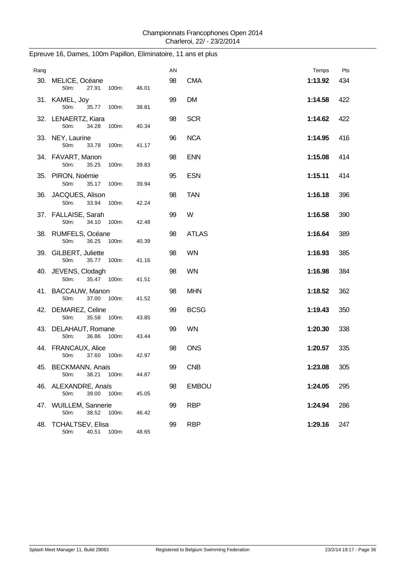| Rang |                                                 |       | AN |              | Temps   | Pts |
|------|-------------------------------------------------|-------|----|--------------|---------|-----|
|      | 30. MELICE, Océane<br>50m:<br>27.91<br>100m:    | 46.01 | 98 | <b>CMA</b>   | 1:13.92 | 434 |
|      | 31. KAMEL, Joy<br>50m:<br>35.77<br>100m:        | 38.81 | 99 | <b>DM</b>    | 1:14.58 | 422 |
|      | 32. LENAERTZ, Kiara<br>50m:<br>34.28<br>100m:   | 40.34 | 98 | <b>SCR</b>   | 1:14.62 | 422 |
|      | 33. NEY, Laurine<br>50m:<br>33.78<br>100m:      | 41.17 | 96 | <b>NCA</b>   | 1:14.95 | 416 |
|      | 34. FAVART, Manon<br>50m:<br>35.25<br>100m:     | 39.83 | 98 | <b>ENN</b>   | 1:15.08 | 414 |
|      | 35. PIRON, Noémie<br>50m:<br>35.17<br>100m:     | 39.94 | 95 | <b>ESN</b>   | 1:15.11 | 414 |
|      | 36. JACQUES, Alison<br>50m:<br>33.94<br>100m:   | 42.24 | 98 | <b>TAN</b>   | 1:16.18 | 396 |
|      | 37. FALLAISE, Sarah<br>50m:<br>34.10<br>100m:   | 42.48 | 99 | W            | 1:16.58 | 390 |
|      | 38. RUMFELS, Océane<br>50m:<br>36.25<br>100m:   | 40.39 | 98 | <b>ATLAS</b> | 1:16.64 | 389 |
|      | 39. GILBERT, Juliette<br>50m:<br>35.77<br>100m: | 41.16 | 98 | <b>WN</b>    | 1:16.93 | 385 |
|      | 40. JEVENS, Clodagh<br>50m:<br>35.47 100m:      | 41.51 | 98 | <b>WN</b>    | 1:16.98 | 384 |
|      | 41. BACCAUW, Manon<br>50m:<br>37.00<br>100m:    | 41.52 | 98 | <b>MHN</b>   | 1:18.52 | 362 |
|      | 42. DEMAREZ, Celine<br>50m:<br>35.58<br>100m:   | 43.85 | 99 | <b>BCSG</b>  | 1:19.43 | 350 |
|      | 43. DELAHAUT, Romane<br>50m:<br>36.86<br>100m:  | 43.44 | 99 | <b>WN</b>    | 1:20.30 | 338 |
|      | 44. FRANCAUX, Alice<br>37.60<br>100m:<br>50m:   | 42.97 | 98 | <b>ONS</b>   | 1:20.57 | 335 |
|      | 45. BECKMANN, Anais<br>38.21<br>100m:<br>50m:   | 44.87 | 99 | <b>CNB</b>   | 1:23.08 | 305 |
|      | 46. ALEXANDRE, Anaïs<br>39.00<br>50m:<br>100m:  | 45.05 | 98 | <b>EMBOU</b> | 1:24.05 | 295 |
|      | 47. WUILLEM, Sannerie<br>50m:<br>38.52<br>100m: | 46.42 | 99 | <b>RBP</b>   | 1:24.94 | 286 |
|      | 48. TCHALTSEV, Elisa<br>50m:<br>40.51<br>100m:  | 48.65 | 99 | <b>RBP</b>   | 1:29.16 | 247 |

### Epreuve 16, Dames, 100m Papillon, Eliminatoire, 11 ans et plus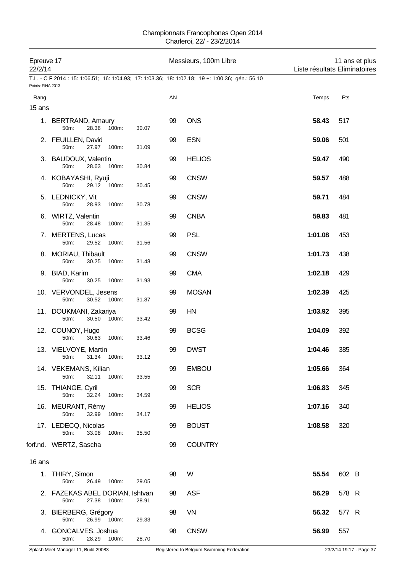#### Championnats Francophones Open 2014 Charleroi, 22/ - 23/2/2014

| Epreuve 17<br>22/2/14 | T.L. - C F 2014 : 15: 1:06.51; 16: 1:04.93; 17: 1:03.36; 18: 1:02.18; 19 +: 1:00.36; gén.: 56.10 |       |    | Messieurs, 100m Libre | Liste résultats Eliminatoires | 11 ans et plus |
|-----------------------|--------------------------------------------------------------------------------------------------|-------|----|-----------------------|-------------------------------|----------------|
| Points: FINA 2013     |                                                                                                  |       |    |                       |                               |                |
| Rang<br>15 ans        |                                                                                                  |       | AN |                       | Temps                         | Pts            |
|                       | 1. BERTRAND, Amaury<br>50m:<br>28.36<br>100m:                                                    | 30.07 | 99 | <b>ONS</b>            | 58.43                         | 517            |
|                       | 2. FEUILLEN, David<br>50m:<br>27.97<br>100m:                                                     | 31.09 | 99 | <b>ESN</b>            | 59.06                         | 501            |
|                       | 3. BAUDOUX, Valentin<br>50m:<br>28.63<br>100m:                                                   | 30.84 | 99 | <b>HELIOS</b>         | 59.47                         | 490            |
|                       | 4. KOBAYASHI, Ryuji<br>50m:<br>29.12 100m:                                                       | 30.45 | 99 | <b>CNSW</b>           | 59.57                         | 488            |
|                       | 5. LEDNICKY, Vit<br>50m:<br>28.93<br>100m:                                                       | 30.78 | 99 | <b>CNSW</b>           | 59.71                         | 484            |
|                       | 6. WIRTZ, Valentin<br>50m:<br>100m:<br>28.48                                                     | 31.35 | 99 | <b>CNBA</b>           | 59.83                         | 481            |
|                       | 7. MERTENS, Lucas<br>50m:<br>29.52<br>100m:                                                      | 31.56 | 99 | <b>PSL</b>            | 1:01.08                       | 453            |
|                       | 8. MORIAU, Thibault<br>50m:<br>30.25<br>100m:                                                    | 31.48 | 99 | <b>CNSW</b>           | 1:01.73                       | 438            |
|                       | 9. BIAD, Karim<br>50m:<br>30.25<br>100m:                                                         | 31.93 | 99 | <b>CMA</b>            | 1:02.18                       | 429            |
|                       | 10. VERVONDEL, Jesens<br>30.52 100m:<br>50m:                                                     | 31.87 | 99 | <b>MOSAN</b>          | 1:02.39                       | 425            |
|                       | 11. DOUKMANI, Zakariya<br>50m:<br>30.50<br>100m:                                                 | 33.42 | 99 | HN                    | 1:03.92                       | 395            |
|                       | 12. COUNOY, Hugo<br>50m:<br>30.63<br>100m:                                                       | 33.46 | 99 | <b>BCSG</b>           | 1:04.09                       | 392            |
|                       | 13. VIELVOYE, Martin<br>50m: 31.34 100m:                                                         | 33.12 | 99 | <b>DWST</b>           | 1:04.46                       | 385            |
|                       | 14. VEKEMANS, Kilian<br>32.11<br>50m:<br>100m:                                                   | 33.55 | 99 | <b>EMBOU</b>          | 1:05.66                       | 364            |
|                       | 15. THIANGE, Cyril<br>50m:<br>32.24<br>100m:                                                     | 34.59 | 99 | <b>SCR</b>            | 1:06.83                       | 345            |
|                       | 16. MEURANT, Rémy<br>50m:<br>32.99 100m:                                                         | 34.17 | 99 | <b>HELIOS</b>         | 1:07.16                       | 340            |
|                       | 17. LEDECQ, Nicolas<br>50m:<br>33.08<br>100m:                                                    | 35.50 | 99 | <b>BOUST</b>          | 1:08.58                       | 320            |
|                       | forf.nd. WERTZ, Sascha                                                                           |       | 99 | <b>COUNTRY</b>        |                               |                |
| 16 ans                |                                                                                                  |       |    |                       |                               |                |
|                       | 1. THIRY, Simon<br>50m:<br>26.49 100m:                                                           | 29.05 | 98 | W                     | 55.54                         | 602 B          |
|                       | 2. FAZEKAS ABEL DORIAN, Ishtvan<br>27.38 100m:<br>50m:                                           | 28.91 | 98 | <b>ASF</b>            | 56.29                         | 578 R          |
|                       | 3. BIERBERG, Grégory<br>50m:<br>26.99 100m:                                                      | 29.33 | 98 | <b>VN</b>             | 56.32                         | 577 R          |
|                       | 4. GONCALVES, Joshua<br>28.29 100m:<br>50m:                                                      | 28.70 | 98 | <b>CNSW</b>           | 56.99                         | 557            |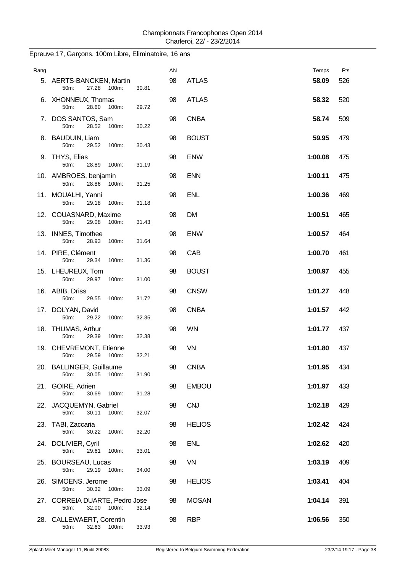| Rang |                                                       |       | AN |               | Temps   | Pts |
|------|-------------------------------------------------------|-------|----|---------------|---------|-----|
|      | 5. AERTS-BANCKEN, Martin<br>50m:<br>27.28 100m:       | 30.81 | 98 | <b>ATLAS</b>  | 58.09   | 526 |
|      | 6. XHONNEUX, Thomas<br>50m:<br>28.60 100m:            | 29.72 | 98 | <b>ATLAS</b>  | 58.32   | 520 |
|      | 7. DOS SANTOS, Sam<br>50m:<br>28.52<br>100m:          | 30.22 | 98 | <b>CNBA</b>   | 58.74   | 509 |
|      | 8. BAUDUIN, Liam<br>50m:<br>29.52<br>100m:            | 30.43 | 98 | <b>BOUST</b>  | 59.95   | 479 |
|      | 9. THYS, Elias<br>50m:<br>28.89<br>100m:              | 31.19 | 98 | <b>ENW</b>    | 1:00.08 | 475 |
|      | 10. AMBROES, benjamin<br>28.86<br>100m:<br>50m:       | 31.25 | 98 | <b>ENN</b>    | 1:00.11 | 475 |
|      | 11. MOUALHI, Yanni<br>50m:<br>29.18<br>100m:          | 31.18 | 98 | <b>ENL</b>    | 1:00.36 | 469 |
|      | 12. COUASNARD, Maxime<br>50m:<br>29.08<br>100m:       | 31.43 | 98 | <b>DM</b>     | 1:00.51 | 465 |
|      | 13. INNES, Timothee<br>50m:<br>28.93<br>100m:         | 31.64 | 98 | <b>ENW</b>    | 1:00.57 | 464 |
|      | 14. PIRE, Clément<br>50m:<br>29.34<br>100m:           | 31.36 | 98 | CAB           | 1:00.70 | 461 |
|      | 15. LHEUREUX, Tom<br>50m:<br>29.97<br>100m:           | 31.00 | 98 | <b>BOUST</b>  | 1:00.97 | 455 |
|      | 16. ABIB, Driss<br>50m:<br>29.55<br>100m:             | 31.72 | 98 | <b>CNSW</b>   | 1:01.27 | 448 |
|      | 17. DOLYAN, David<br>50m:<br>29.22<br>100m:           | 32.35 | 98 | <b>CNBA</b>   | 1:01.57 | 442 |
|      | 18. THUMAS, Arthur<br>50m:<br>29.39<br>100m:          | 32.38 | 98 | <b>WN</b>     | 1:01.77 | 437 |
|      | 19. CHEVREMONT, Etienne<br>29.59<br>100m:<br>50m:     | 32.21 | 98 | VN            | 1:01.80 | 437 |
|      | 20. BALLINGER, Guillaume<br>30.05<br>100m:<br>50m:    | 31.90 | 98 | <b>CNBA</b>   | 1:01.95 | 434 |
|      | 21. GOIRE, Adrien<br>50m:<br>30.69<br>100m:           | 31.28 | 98 | <b>EMBOU</b>  | 1:01.97 | 433 |
|      | 22. JACQUEMYN, Gabriel<br>50m:<br>30.11<br>100m:      | 32.07 | 98 | <b>CNJ</b>    | 1:02.18 | 429 |
|      | 23. TABI, Zaccaria<br>30.22<br>50m:<br>100m:          | 32.20 | 98 | <b>HELIOS</b> | 1:02.42 | 424 |
|      | 24. DOLIVIER, Cyril<br>50m:<br>29.61<br>100m:         | 33.01 | 98 | <b>ENL</b>    | 1:02.62 | 420 |
|      | 25. BOURSEAU, Lucas<br>50m:<br>29.19<br>100m:         | 34.00 | 98 | VN            | 1:03.19 | 409 |
|      | 26. SIMOENS, Jerome<br>50m:<br>30.32 100m:            | 33.09 | 98 | <b>HELIOS</b> | 1:03.41 | 404 |
|      | 27. CORREIA DUARTE, Pedro Jose<br>50m:<br>32.00 100m: | 32.14 | 98 | <b>MOSAN</b>  | 1:04.14 | 391 |
|      | 28. CALLEWAERT, Corentin<br>50m:<br>32.63 100m:       | 33.93 | 98 | <b>RBP</b>    | 1:06.56 | 350 |

## Epreuve 17, Garçons, 100m Libre, Eliminatoire, 16 ans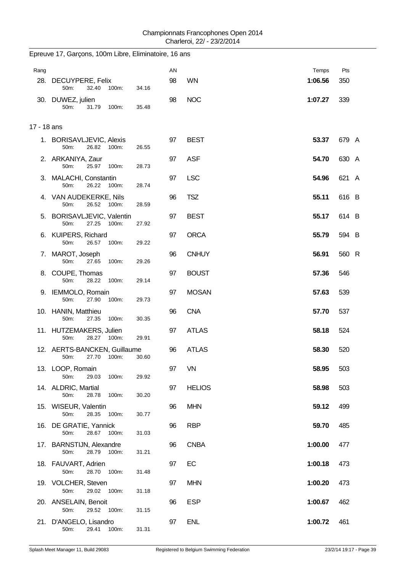| Rang        |                                                        |       | AN |               | Temps   | Pts   |
|-------------|--------------------------------------------------------|-------|----|---------------|---------|-------|
|             | 28. DECUYPERE, Felix<br>50m:<br>32.40<br>100m:         | 34.16 | 98 | <b>WN</b>     | 1:06.56 | 350   |
|             | 30. DUWEZ, julien<br>50m:<br>31.79<br>100m:            | 35.48 | 98 | <b>NOC</b>    | 1:07.27 | 339   |
| 17 - 18 ans |                                                        |       |    |               |         |       |
|             | 1. BORISAVLJEVIC, Alexis<br>26.82 100m:<br>50m:        | 26.55 | 97 | <b>BEST</b>   | 53.37   | 679 A |
|             | 2. ARKANIYA, Zaur<br>50m:<br>25.97<br>100m:            | 28.73 | 97 | <b>ASF</b>    | 54.70   | 630 A |
|             | 3. MALACHI, Constantin<br>26.22<br>50m:<br>100m:       | 28.74 | 97 | <b>LSC</b>    | 54.96   | 621 A |
|             | 4. VAN AUDEKERKE, Nils<br>26.52 100m:<br>50m:          | 28.59 | 96 | <b>TSZ</b>    | 55.11   | 616 B |
|             | 5. BORISAVLJEVIC, Valentin<br>27.25 100m:<br>50m:      | 27.92 | 97 | <b>BEST</b>   | 55.17   | 614 B |
|             | 6. KUIPERS, Richard<br>50m:<br>26.57<br>100m:          | 29.22 | 97 | <b>ORCA</b>   | 55.79   | 594 B |
|             | 7. MAROT, Joseph<br>50m:<br>27.65<br>100m:             | 29.26 | 96 | <b>CNHUY</b>  | 56.91   | 560 R |
|             | 8. COUPE, Thomas<br>50m:<br>28.22<br>100m:             | 29.14 | 97 | <b>BOUST</b>  | 57.36   | 546   |
|             | 9. IEMMOLO, Romain<br>27.90<br>50m:<br>100m:           | 29.73 | 97 | <b>MOSAN</b>  | 57.63   | 539   |
|             | 10. HANIN, Matthieu<br>50m:<br>27.35<br>100m:          | 30.35 | 96 | <b>CNA</b>    | 57.70   | 537   |
|             | 11. HUTZEMAKERS, Julien<br>50m:<br>28.27 100m:         | 29.91 | 97 | <b>ATLAS</b>  | 58.18   | 524   |
|             | 12. AERTS-BANCKEN, Guillaume<br>27.70<br>50m:<br>100m: | 30.60 | 96 | <b>ATLAS</b>  | 58.30   | 520   |
|             | 13. LOOP, Romain<br>50m:<br>29.03<br>100m:             | 29.92 | 97 | <b>VN</b>     | 58.95   | 503   |
|             | 14. ALDRIC, Martial<br>50m:<br>28.78<br>100m:          | 30.20 | 97 | <b>HELIOS</b> | 58.98   | 503   |
|             | 15. WISEUR, Valentin<br>28.35<br>50m:<br>100m:         | 30.77 | 96 | <b>MHN</b>    | 59.12   | 499   |
|             | 16. DE GRATIE, Yannick<br>50m:<br>28.67 100m:          | 31.03 | 96 | <b>RBP</b>    | 59.70   | 485   |
|             | 17. BARNSTIJN, Alexandre<br>50m:<br>28.79<br>100m:     | 31.21 | 96 | <b>CNBA</b>   | 1:00.00 | 477   |
|             | 18. FAUVART, Adrien<br>50m:<br>28.70<br>100m:          | 31.48 | 97 | EC            | 1:00.18 | 473   |
|             | 19. VOLCHER, Steven<br>29.02<br>50m:<br>100m:          | 31.18 | 97 | <b>MHN</b>    | 1:00.20 | 473   |
|             | 20. ANSELAIN, Benoit<br>29.52<br>50m:<br>100m:         | 31.15 | 96 | <b>ESP</b>    | 1:00.67 | 462   |
|             | 21. D'ANGELO, Lisandro<br>50m:<br>29.41<br>100m:       | 31.31 | 97 | <b>ENL</b>    | 1:00.72 | 461   |

## Epreuve 17, Garçons, 100m Libre, Eliminatoire, 16 ans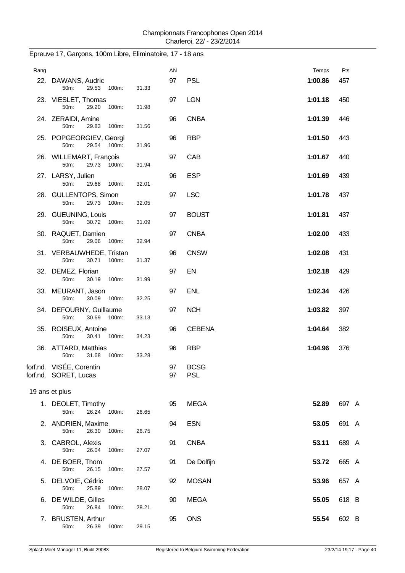| Rang |                                                             |       | AN       |                           | Temps   | Pts   |
|------|-------------------------------------------------------------|-------|----------|---------------------------|---------|-------|
|      | 22. DAWANS, Audric<br>29.53 100m:<br>50m:                   | 31.33 | 97       | <b>PSL</b>                | 1:00.86 | 457   |
|      | 23. VIESLET, Thomas<br>29.20<br>50m:<br>100m:               | 31.98 | 97       | <b>LGN</b>                | 1:01.18 | 450   |
|      | 24. ZERAIDI, Amine<br>50m:<br>29.83<br>100m:                | 31.56 | 96       | <b>CNBA</b>               | 1:01.39 | 446   |
|      | 25. POPGEORGIEV, Georgi<br>29.54 100m:<br>50m:              | 31.96 | 96       | <b>RBP</b>                | 1:01.50 | 443   |
|      | 26. WILLEMART, François<br>50 <sub>m</sub> :<br>29.73 100m: | 31.94 | 97       | CAB                       | 1:01.67 | 440   |
|      | 27. LARSY, Julien<br>50m:<br>29.68<br>100m:                 | 32.01 | 96       | <b>ESP</b>                | 1:01.69 | 439   |
|      | 28. GULLENTOPS, Simon<br>29.73<br>50m:<br>100m:             | 32.05 | 97       | <b>LSC</b>                | 1:01.78 | 437   |
|      | 29. GUEUNING, Louis<br>50m:<br>30.72 100m:                  | 31.09 | 97       | <b>BOUST</b>              | 1:01.81 | 437   |
|      | 30. RAQUET, Damien<br>50m:<br>29.06<br>100m:                | 32.94 | 97       | <b>CNBA</b>               | 1:02.00 | 433   |
|      | 31. VERBAUWHEDE, Tristan<br>50m:<br>30.71<br>100m:          | 31.37 | 96       | <b>CNSW</b>               | 1:02.08 | 431   |
|      | 32. DEMEZ, Florian<br>50m:<br>30.19<br>100m:                | 31.99 | 97       | EN                        | 1:02.18 | 429   |
|      | 33. MEURANT, Jason<br>50m:<br>30.09 100m:                   | 32.25 | 97       | <b>ENL</b>                | 1:02.34 | 426   |
|      | 34. DEFOURNY, Guillaume<br>30.69 100m:<br>50m:              | 33.13 | 97       | <b>NCH</b>                | 1:03.82 | 397   |
|      | 35. ROISEUX, Antoine<br>50m:<br>30.41 100m:                 | 34.23 | 96       | <b>CEBENA</b>             | 1:04.64 | 382   |
|      | 36. ATTARD, Matthias<br>31.68<br>100m:<br>50m:              | 33.28 | 96       | <b>RBP</b>                | 1:04.96 | 376   |
|      | forf.nd. VISÉE, Corentin<br>forf.nd. SORET, Lucas           |       | 97<br>97 | <b>BCSG</b><br><b>PSL</b> |         |       |
|      | 19 ans et plus                                              |       |          |                           |         |       |
|      | 1. DEOLET, Timothy<br>26.24 100m:<br>50m:                   | 26.65 | 95       | <b>MEGA</b>               | 52.89   | 697 A |
|      | 2. ANDRIEN, Maxime<br>50m:<br>26.30<br>100m:                | 26.75 | 94       | <b>ESN</b>                | 53.05   | 691 A |
|      | 3. CABROL, Alexis<br>50m:<br>26.04<br>100m:                 | 27.07 | 91       | <b>CNBA</b>               | 53.11   | 689 A |
|      | 4. DE BOER, Thom<br>50m:<br>26.15<br>100m:                  | 27.57 | 91       | De Dolfijn                | 53.72   | 665 A |
|      | 5. DELVOIE, Cédric<br>50m:<br>25.89<br>100m:                | 28.07 | 92       | <b>MOSAN</b>              | 53.96   | 657 A |
|      | 6. DE WILDE, Gilles<br>50m:<br>26.84<br>100m:               | 28.21 | 90       | <b>MEGA</b>               | 55.05   | 618 B |
|      | 7. BRUSTEN, Arthur<br>50m:<br>26.39 100m:                   | 29.15 | 95       | <b>ONS</b>                | 55.54   | 602 B |

# Epreuve 17, Garçons, 100m Libre, Eliminatoire, 17 - 18 ans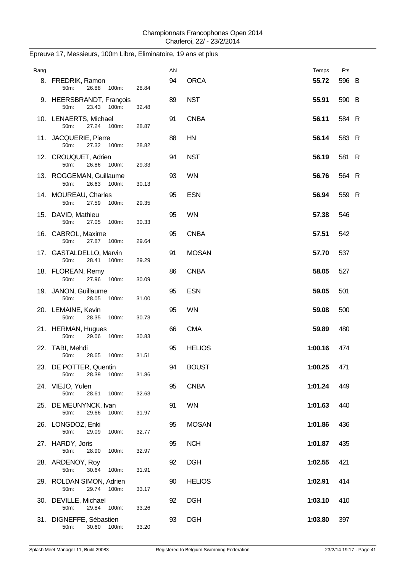| Rang |                                                    |       | AN |               | Temps   | Pts   |  |
|------|----------------------------------------------------|-------|----|---------------|---------|-------|--|
|      | 8. FREDRIK, Ramon<br>26.88<br>100m:<br>50m:        | 28.84 | 94 | <b>ORCA</b>   | 55.72   | 596 B |  |
|      | 9. HEERSBRANDT, François<br>50m:<br>23.43<br>100m: | 32.48 | 89 | <b>NST</b>    | 55.91   | 590 B |  |
|      | 10. LENAERTS, Michael<br>27.24 100m:<br>50m:       | 28.87 | 91 | <b>CNBA</b>   | 56.11   | 584 R |  |
|      | 11. JACQUERIE, Pierre<br>50m:<br>27.32 100m:       | 28.82 | 88 | HN            | 56.14   | 583 R |  |
|      | 12. CROUQUET, Adrien<br>50m:<br>26.86<br>100m:     | 29.33 | 94 | <b>NST</b>    | 56.19   | 581 R |  |
|      | 13. ROGGEMAN, Guillaume<br>26.63 100m:<br>50m:     | 30.13 | 93 | <b>WN</b>     | 56.76   | 564 R |  |
|      | 14. MOUREAU, Charles<br>27.59<br>50m:<br>100m:     | 29.35 | 95 | <b>ESN</b>    | 56.94   | 559 R |  |
|      | 15. DAVID, Mathieu<br>50m:<br>27.05<br>100m:       | 30.33 | 95 | <b>WN</b>     | 57.38   | 546   |  |
|      | 16. CABROL, Maxime<br>50m:<br>27.87<br>100m:       | 29.64 | 95 | <b>CNBA</b>   | 57.51   | 542   |  |
|      | 17. GASTALDELLO, Marvin<br>50m:<br>28.41<br>100m:  | 29.29 | 91 | <b>MOSAN</b>  | 57.70   | 537   |  |
|      | 18. FLOREAN, Remy<br>50m:<br>27.96 100m:           | 30.09 | 86 | <b>CNBA</b>   | 58.05   | 527   |  |
|      | 19. JANON, Guillaume<br>50m:<br>28.05<br>100m:     | 31.00 | 95 | <b>ESN</b>    | 59.05   | 501   |  |
|      | 20. LEMAINE, Kevin<br>50m:<br>28.35<br>100m:       | 30.73 | 95 | <b>WN</b>     | 59.08   | 500   |  |
|      | 21. HERMAN, Hugues<br>29.06<br>50m:<br>100m:       | 30.83 | 66 | <b>CMA</b>    | 59.89   | 480   |  |
|      | 22. TABI, Mehdi<br>50m:<br>28.65<br>100m:          | 31.51 | 95 | <b>HELIOS</b> | 1:00.16 | 474   |  |
|      | 23. DE POTTER, Quentin<br>50m:<br>28.39<br>100m:   | 31.86 | 94 | <b>BOUST</b>  | 1:00.25 | 471   |  |
|      | 24. VIEJO, Yulen<br>28.61<br>50m:<br>100m:         | 32.63 | 95 | <b>CNBA</b>   | 1:01.24 | 449   |  |
|      | 25. DE MEUNYNCK, Ivan<br>29.66<br>50m:<br>100m:    | 31.97 | 91 | <b>WN</b>     | 1:01.63 | 440   |  |
|      | 26. LONGDOZ, Enki<br>50m:<br>29.09<br>100m:        | 32.77 | 95 | <b>MOSAN</b>  | 1:01.86 | 436   |  |
|      | 27. HARDY, Joris<br>50m:<br>28.90<br>100m:         | 32.97 | 95 | <b>NCH</b>    | 1:01.87 | 435   |  |
|      | 28. ARDENOY, Roy<br>30.64<br>50m:<br>100m:         | 31.91 | 92 | <b>DGH</b>    | 1:02.55 | 421   |  |
|      | 29. ROLDAN SIMON, Adrien<br>50m:<br>29.74 100m:    | 33.17 | 90 | <b>HELIOS</b> | 1:02.91 | 414   |  |
|      | 30. DEVILLE, Michael<br>50m:<br>29.84<br>100m:     | 33.26 | 92 | <b>DGH</b>    | 1:03.10 | 410   |  |
|      | 31. DIGNEFFE, Sébastien<br>50m: 30.60 100m:        | 33.20 | 93 | <b>DGH</b>    | 1:03.80 | 397   |  |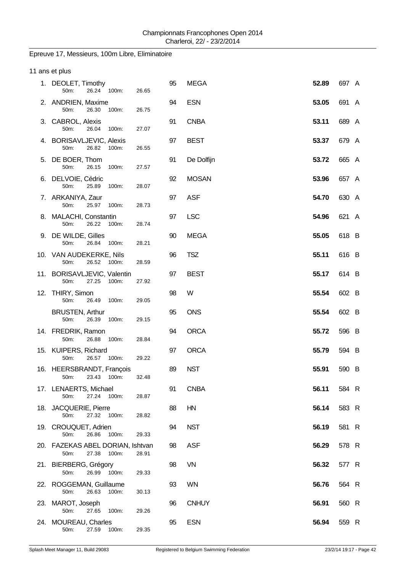### Epreuve 17, Messieurs, 100m Libre, Eliminatoire

|    | 11 ans et plus                                             |       |    |              |       |       |  |
|----|------------------------------------------------------------|-------|----|--------------|-------|-------|--|
|    | 1. DEOLET, Timothy<br>26.24<br>100m:<br>50m:               | 26.65 | 95 | <b>MEGA</b>  | 52.89 | 697 A |  |
|    | 2. ANDRIEN, Maxime<br>50m:<br>26.30<br>100m:               | 26.75 | 94 | <b>ESN</b>   | 53.05 | 691 A |  |
|    | 3. CABROL, Alexis<br>50m:<br>26.04<br>100m:                | 27.07 | 91 | <b>CNBA</b>  | 53.11 | 689 A |  |
|    | 4. BORISAVLJEVIC, Alexis<br>50m:<br>26.82<br>100m:         | 26.55 | 97 | <b>BEST</b>  | 53.37 | 679 A |  |
| 5. | DE BOER, Thom<br>50m:<br>26.15<br>100m:                    | 27.57 | 91 | De Dolfijn   | 53.72 | 665 A |  |
|    | 6. DELVOIE, Cédric<br>50m:<br>25.89<br>100m:               | 28.07 | 92 | <b>MOSAN</b> | 53.96 | 657 A |  |
|    | 7. ARKANIYA, Zaur<br>50m:<br>25.97<br>100m:                | 28.73 | 97 | <b>ASF</b>   | 54.70 | 630 A |  |
|    | 8. MALACHI, Constantin<br>26.22<br>50m:<br>100m:           | 28.74 | 97 | <b>LSC</b>   | 54.96 | 621 A |  |
|    | 9. DE WILDE, Gilles<br>26.84<br>50m:<br>100m:              | 28.21 | 90 | <b>MEGA</b>  | 55.05 | 618 B |  |
|    | 10. VAN AUDEKERKE, Nils<br>50m:<br>26.52<br>100m:          | 28.59 | 96 | <b>TSZ</b>   | 55.11 | 616 B |  |
|    | 11. BORISAVLJEVIC, Valentin<br>27.25<br>50m:<br>100m:      | 27.92 | 97 | <b>BEST</b>  | 55.17 | 614 B |  |
|    | 12. THIRY, Simon<br>50m:<br>26.49<br>100m:                 | 29.05 | 98 | W            | 55.54 | 602 B |  |
|    | <b>BRUSTEN, Arthur</b><br>50m:<br>26.39<br>100m:           | 29.15 | 95 | <b>ONS</b>   | 55.54 | 602 B |  |
|    | 14. FREDRIK, Ramon<br>50m:<br>26.88<br>100m:               | 28.84 | 94 | <b>ORCA</b>  | 55.72 | 596 B |  |
|    | 15. KUIPERS, Richard<br>26.57 100m:<br>50m:                | 29.22 | 97 | <b>ORCA</b>  | 55.79 | 594 B |  |
|    | 16. HEERSBRANDT, François<br>50m:<br>23.43<br>100m:        | 32.48 | 89 | <b>NST</b>   | 55.91 | 590 B |  |
|    | 17. LENAERTS, Michael<br>27.24 100m:<br>50m:               | 28.87 | 91 | <b>CNBA</b>  | 56.11 | 584 R |  |
|    | 18. JACQUERIE, Pierre<br>27.32<br>100m:<br>50m:            | 28.82 | 88 | HN           | 56.14 | 583 R |  |
|    | 19. CROUQUET, Adrien<br>50m:<br>26.86<br>100m:             | 29.33 | 94 | <b>NST</b>   | 56.19 | 581 R |  |
|    | 20. FAZEKAS ABEL DORIAN, Ishtvan<br>27.38<br>100m:<br>50m: | 28.91 | 98 | <b>ASF</b>   | 56.29 | 578 R |  |
|    | 21. BIERBERG, Grégory<br>26.99<br>50m:<br>100m:            | 29.33 | 98 | VN           | 56.32 | 577 R |  |
|    | 22. ROGGEMAN, Guillaume<br>50m:<br>26.63<br>100m:          | 30.13 | 93 | <b>WN</b>    | 56.76 | 564 R |  |
|    | 23. MAROT, Joseph<br>50m:<br>27.65<br>100m:                | 29.26 | 96 | <b>CNHUY</b> | 56.91 | 560 R |  |
|    | 24. MOUREAU, Charles<br>50m:<br>27.59<br>100m:             | 29.35 | 95 | <b>ESN</b>   | 56.94 | 559 R |  |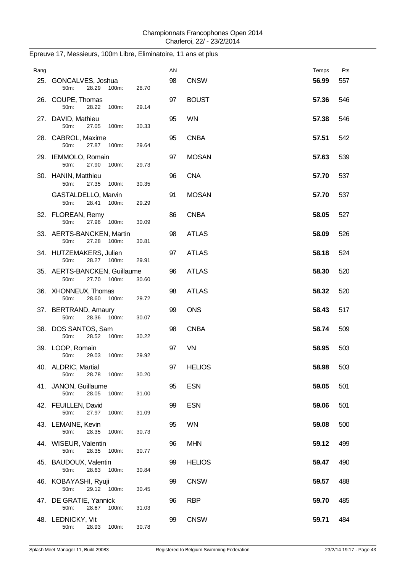| Rang |                                                        |       | AN |               | Temps | Pts |
|------|--------------------------------------------------------|-------|----|---------------|-------|-----|
|      | 25. GONCALVES, Joshua<br>28.29<br>100m:<br>50m:        | 28.70 | 98 | <b>CNSW</b>   | 56.99 | 557 |
|      | 26. COUPE, Thomas<br>50m:<br>28.22<br>100m:            | 29.14 | 97 | <b>BOUST</b>  | 57.36 | 546 |
|      | 27. DAVID, Mathieu<br>50m:<br>27.05<br>100m:           | 30.33 | 95 | <b>WN</b>     | 57.38 | 546 |
|      | 28. CABROL, Maxime<br>27.87<br>100m:<br>50m:           | 29.64 | 95 | <b>CNBA</b>   | 57.51 | 542 |
|      | 29. IEMMOLO, Romain<br>50m:<br>27.90<br>100m:          | 29.73 | 97 | <b>MOSAN</b>  | 57.63 | 539 |
|      | 30. HANIN, Matthieu<br>50m:<br>27.35<br>100m:          | 30.35 | 96 | <b>CNA</b>    | 57.70 | 537 |
|      | GASTALDELLO, Marvin<br>28.41<br>50m:<br>100m:          | 29.29 | 91 | <b>MOSAN</b>  | 57.70 | 537 |
|      | 32. FLOREAN, Remy<br>50m:<br>27.96<br>100m:            | 30.09 | 86 | <b>CNBA</b>   | 58.05 | 527 |
|      | 33. AERTS-BANCKEN, Martin<br>27.28<br>50m:<br>100m:    | 30.81 | 98 | <b>ATLAS</b>  | 58.09 | 526 |
|      | 34. HUTZEMAKERS, Julien<br>28.27 100m:<br>50m:         | 29.91 | 97 | <b>ATLAS</b>  | 58.18 | 524 |
|      | 35. AERTS-BANCKEN, Guillaume<br>50m:<br>27.70<br>100m: | 30.60 | 96 | <b>ATLAS</b>  | 58.30 | 520 |
|      | 36. XHONNEUX, Thomas<br>50m:<br>28.60<br>100m:         | 29.72 | 98 | <b>ATLAS</b>  | 58.32 | 520 |
|      | 37. BERTRAND, Amaury<br>50m:<br>28.36<br>100m:         | 30.07 | 99 | <b>ONS</b>    | 58.43 | 517 |
|      | 38. DOS SANTOS, Sam<br>28.52<br>50m:<br>100m:          | 30.22 | 98 | <b>CNBA</b>   | 58.74 | 509 |
|      | 39. LOOP, Romain<br>50m:<br>100m:<br>29.03             | 29.92 | 97 | VN            | 58.95 | 503 |
|      | 40. ALDRIC, Martial<br>50m:<br>28.78<br>100m:          | 30.20 | 97 | <b>HELIOS</b> | 58.98 | 503 |
|      | 41. JANON, Guillaume<br>50m:<br>28.05<br>100m:         | 31.00 | 95 | <b>ESN</b>    | 59.05 | 501 |
|      | 42. FEUILLEN, David<br>50m:<br>27.97<br>100m:          | 31.09 | 99 | <b>ESN</b>    | 59.06 | 501 |
|      | 43. LEMAINE, Kevin<br>50m:<br>28.35<br>100m:           | 30.73 | 95 | <b>WN</b>     | 59.08 | 500 |
|      | 44. WISEUR, Valentin<br>50m:<br>28.35<br>100m:         | 30.77 | 96 | <b>MHN</b>    | 59.12 | 499 |
|      | 45. BAUDOUX, Valentin<br>50m:<br>28.63<br>100m:        | 30.84 | 99 | <b>HELIOS</b> | 59.47 | 490 |
|      | 46. KOBAYASHI, Ryuji<br>50m:<br>29.12 100m:            | 30.45 | 99 | <b>CNSW</b>   | 59.57 | 488 |
|      | 47. DE GRATIE, Yannick<br>50m:<br>28.67<br>100m:       | 31.03 | 96 | <b>RBP</b>    | 59.70 | 485 |
|      | 48. LEDNICKY, Vit<br>50m:<br>28.93 100m:               | 30.78 | 99 | <b>CNSW</b>   | 59.71 | 484 |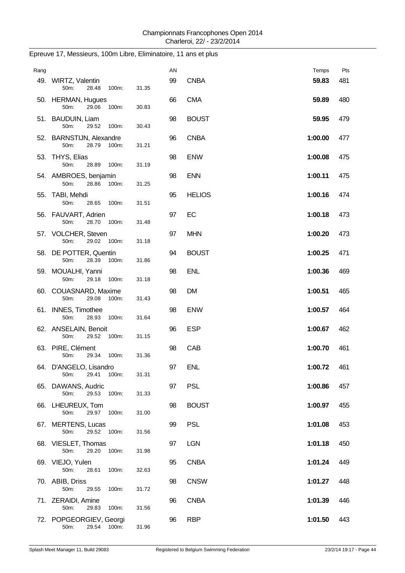| Rang |                                                    |       | AN |               | Temps   | Pts |
|------|----------------------------------------------------|-------|----|---------------|---------|-----|
|      | 49. WIRTZ, Valentin<br>50m:<br>28.48<br>100m:      | 31.35 | 99 | <b>CNBA</b>   | 59.83   | 481 |
|      | 50. HERMAN, Hugues<br>50m:<br>29.06<br>100m:       | 30.83 | 66 | <b>CMA</b>    | 59.89   | 480 |
|      | 51. BAUDUIN, Liam<br>50m:<br>29.52<br>100m:        | 30.43 | 98 | <b>BOUST</b>  | 59.95   | 479 |
|      | 52. BARNSTIJN, Alexandre<br>28.79<br>100m:<br>50m: | 31.21 | 96 | <b>CNBA</b>   | 1:00.00 | 477 |
|      | 53. THYS, Elias<br>50m:<br>28.89<br>100m:          | 31.19 | 98 | <b>ENW</b>    | 1:00.08 | 475 |
|      | 54. AMBROES, benjamin<br>50m:<br>28.86<br>100m:    | 31.25 | 98 | <b>ENN</b>    | 1:00.11 | 475 |
|      | 55. TABI, Mehdi<br>50m:<br>28.65<br>100m:          | 31.51 | 95 | <b>HELIOS</b> | 1:00.16 | 474 |
|      | 56. FAUVART, Adrien<br>50m:<br>28.70<br>100m:      | 31.48 | 97 | EC            | 1:00.18 | 473 |
|      | 57. VOLCHER, Steven<br>50m:<br>29.02<br>100m:      | 31.18 | 97 | <b>MHN</b>    | 1:00.20 | 473 |
|      | 58. DE POTTER, Quentin<br>50m:<br>28.39<br>100m:   | 31.86 | 94 | <b>BOUST</b>  | 1:00.25 | 471 |
|      | 59. MOUALHI, Yanni<br>50m:<br>29.18<br>100m:       | 31.18 | 98 | <b>ENL</b>    | 1:00.36 | 469 |
|      | 60. COUASNARD, Maxime<br>50m:<br>29.08<br>100m:    | 31.43 | 98 | <b>DM</b>     | 1:00.51 | 465 |
|      | 61. INNES, Timothee<br>50m:<br>28.93<br>100m:      | 31.64 | 98 | <b>ENW</b>    | 1:00.57 | 464 |
|      | 62. ANSELAIN, Benoit<br>50m:<br>29.52<br>100m:     | 31.15 | 96 | <b>ESP</b>    | 1:00.67 | 462 |
|      | 63. PIRE, Clément<br>29.34<br>100m:<br>50m:        | 31.36 | 98 | CAB           | 1:00.70 | 461 |
|      | 64. D'ANGELO, Lisandro<br>29.41<br>100m:<br>50m:   | 31.31 | 97 | <b>ENL</b>    | 1:00.72 | 461 |
|      | 65. DAWANS, Audric<br>50m:<br>29.53<br>100m:       | 31.33 | 97 | <b>PSL</b>    | 1:00.86 | 457 |
|      | 66. LHEUREUX, Tom<br>50m:<br>29.97<br>100m:        | 31.00 | 98 | <b>BOUST</b>  | 1:00.97 | 455 |
|      | 67. MERTENS, Lucas<br>50m:<br>29.52<br>100m:       | 31.56 | 99 | <b>PSL</b>    | 1:01.08 | 453 |
|      | 68. VIESLET, Thomas<br>50m:<br>29.20<br>100m:      | 31.98 | 97 | <b>LGN</b>    | 1:01.18 | 450 |
|      | 69. VIEJO, Yulen<br>50m:<br>28.61<br>100m:         | 32.63 | 95 | <b>CNBA</b>   | 1:01.24 | 449 |
|      | 70. ABIB, Driss<br>50m:<br>29.55<br>100m:          | 31.72 | 98 | <b>CNSW</b>   | 1:01.27 | 448 |
|      | 71. ZERAIDI, Amine<br>50m:<br>29.83<br>100m:       | 31.56 | 96 | <b>CNBA</b>   | 1:01.39 | 446 |
|      | 72. POPGEORGIEV, Georgi<br>50m:<br>29.54 100m:     | 31.96 | 96 | <b>RBP</b>    | 1:01.50 | 443 |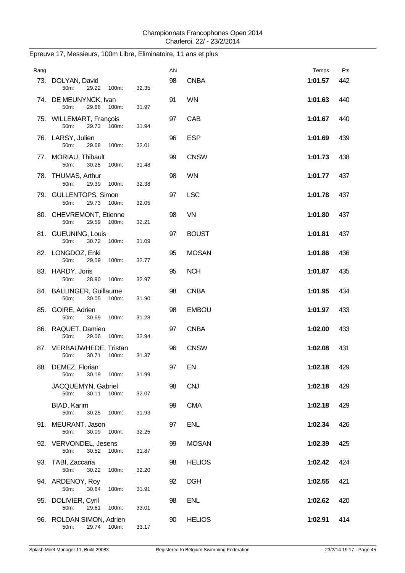| Rang |                                                    |       | AN |               | Temps   | Pts |
|------|----------------------------------------------------|-------|----|---------------|---------|-----|
|      | 73. DOLYAN, David<br>50m:<br>29.22<br>100m:        | 32.35 | 98 | <b>CNBA</b>   | 1:01.57 | 442 |
|      | 74. DE MEUNYNCK, Ivan<br>29.66<br>50m:<br>100m:    | 31.97 | 91 | <b>WN</b>     | 1:01.63 | 440 |
|      | 75. WILLEMART, François<br>50m:<br>29.73<br>100m:  | 31.94 | 97 | CAB           | 1:01.67 | 440 |
|      | 76. LARSY, Julien<br>50m:<br>29.68<br>100m:        | 32.01 | 96 | <b>ESP</b>    | 1:01.69 | 439 |
|      | 77. MORIAU, Thibault<br>50m:<br>30.25<br>100m:     | 31.48 | 99 | <b>CNSW</b>   | 1:01.73 | 438 |
|      | 78. THUMAS, Arthur<br>50m:<br>29.39<br>100m:       | 32.38 | 98 | <b>WN</b>     | 1:01.77 | 437 |
|      | 79. GULLENTOPS, Simon<br>29.73<br>50m:<br>100m:    | 32.05 | 97 | <b>LSC</b>    | 1:01.78 | 437 |
|      | 80. CHEVREMONT, Etienne<br>29.59<br>50m:<br>100m:  | 32.21 | 98 | <b>VN</b>     | 1:01.80 | 437 |
|      | 81. GUEUNING, Louis<br>50m:<br>30.72<br>100m:      | 31.09 | 97 | <b>BOUST</b>  | 1:01.81 | 437 |
|      | 82. LONGDOZ, Enki<br>50m:<br>29.09<br>100m:        | 32.77 | 95 | <b>MOSAN</b>  | 1:01.86 | 436 |
|      | 83. HARDY, Joris<br>50m:<br>28.90<br>100m:         | 32.97 | 95 | <b>NCH</b>    | 1:01.87 | 435 |
|      | 84. BALLINGER, Guillaume<br>50m:<br>30.05<br>100m: | 31.90 | 98 | <b>CNBA</b>   | 1:01.95 | 434 |
|      | 85. GOIRE, Adrien<br>50m:<br>30.69<br>100m:        | 31.28 | 98 | <b>EMBOU</b>  | 1:01.97 | 433 |
|      | 86. RAQUET, Damien<br>50m:<br>29.06<br>100m:       | 32.94 | 97 | <b>CNBA</b>   | 1:02.00 | 433 |
|      | 87. VERBAUWHEDE, Tristan<br>30.71<br>100m:<br>50m: | 31.37 | 96 | <b>CNSW</b>   | 1:02.08 | 431 |
|      | 88. DEMEZ, Florian<br>30.19<br>50m:<br>100m:       | 31.99 | 97 | EN            | 1:02.18 | 429 |
|      | JACQUEMYN, Gabriel<br>50m:<br>30.11<br>100m:       | 32.07 | 98 | <b>CNJ</b>    | 1:02.18 | 429 |
|      | BIAD, Karim<br>50m:<br>30.25<br>100m:              | 31.93 | 99 | <b>CMA</b>    | 1:02.18 | 429 |
|      | 91. MEURANT, Jason<br>50m:<br>30.09<br>100m:       | 32.25 | 97 | <b>ENL</b>    | 1:02.34 | 426 |
|      | 92. VERVONDEL, Jesens<br>30.52<br>50m:<br>100m:    | 31.87 | 99 | <b>MOSAN</b>  | 1:02.39 | 425 |
|      | 93. TABI, Zaccaria<br>50m:<br>30.22<br>100m:       | 32.20 | 98 | <b>HELIOS</b> | 1:02.42 | 424 |
|      | 94. ARDENOY, Roy<br>50m:<br>30.64<br>100m:         | 31.91 | 92 | <b>DGH</b>    | 1:02.55 | 421 |
|      | 95. DOLIVIER, Cyril<br>50m:<br>29.61<br>100m:      | 33.01 | 98 | <b>ENL</b>    | 1:02.62 | 420 |
|      | 96. ROLDAN SIMON, Adrien<br>50m:<br>29.74 100m:    | 33.17 | 90 | <b>HELIOS</b> | 1:02.91 | 414 |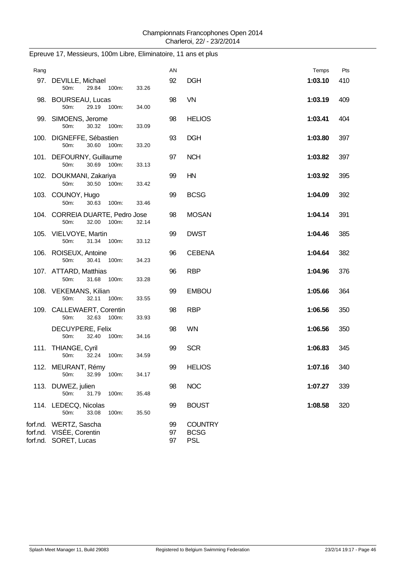| Rang |                                                                             |       | AN             |                                             | Temps   | Pts |
|------|-----------------------------------------------------------------------------|-------|----------------|---------------------------------------------|---------|-----|
|      | 97. DEVILLE, Michael<br>50m:<br>29.84 100m:                                 | 33.26 | 92             | <b>DGH</b>                                  | 1:03.10 | 410 |
|      | 98. BOURSEAU, Lucas<br>50m:<br>29.19<br>100m:                               | 34.00 | 98             | VN                                          | 1:03.19 | 409 |
|      | 99. SIMOENS, Jerome<br>50m:<br>30.32 100m:                                  | 33.09 | 98             | <b>HELIOS</b>                               | 1:03.41 | 404 |
|      | 100. DIGNEFFE, Sébastien<br>50m:<br>30.60<br>100m:                          | 33.20 | 93             | <b>DGH</b>                                  | 1:03.80 | 397 |
|      | 101. DEFOURNY, Guillaume<br>50m:<br>30.69<br>100m:                          | 33.13 | 97             | <b>NCH</b>                                  | 1:03.82 | 397 |
|      | 102. DOUKMANI, Zakariya<br>50m:<br>30.50<br>100m:                           | 33.42 | 99             | HN                                          | 1:03.92 | 395 |
|      | 103. COUNOY, Hugo<br>50m:<br>30.63<br>100m:                                 | 33.46 | 99             | <b>BCSG</b>                                 | 1:04.09 | 392 |
|      | 104. CORREIA DUARTE, Pedro Jose<br>32.00<br>100m:<br>50m:                   | 32.14 | 98             | <b>MOSAN</b>                                | 1:04.14 | 391 |
|      | 105. VIELVOYE, Martin<br>50m:<br>31.34 100m:                                | 33.12 | 99             | <b>DWST</b>                                 | 1:04.46 | 385 |
|      | 106. ROISEUX, Antoine<br>50m:<br>30.41<br>100m:                             | 34.23 | 96             | <b>CEBENA</b>                               | 1:04.64 | 382 |
|      | 107. ATTARD, Matthias<br>50m:<br>31.68 100m:                                | 33.28 | 96             | <b>RBP</b>                                  | 1:04.96 | 376 |
|      | 108. VEKEMANS, Kilian                                                       |       | 99             | <b>EMBOU</b>                                | 1:05.66 | 364 |
|      | 50m:<br>32.11 100m:<br>109. CALLEWAERT, Corentin                            | 33.55 | 98             | <b>RBP</b>                                  | 1:06.56 | 350 |
|      | 50m:<br>32.63 100m:<br>DECUYPERE, Felix                                     | 33.93 | 98             | <b>WN</b>                                   | 1:06.56 | 350 |
|      | 50m:<br>32.40<br>100m:                                                      | 34.16 |                |                                             | 1:06.83 |     |
|      | 111. THIANGE, Cyril<br>50m:<br>32.24 100m:                                  | 34.59 | 99             | <b>SCR</b>                                  |         | 345 |
|      | 112. MEURANT, Rémy<br>32.99<br>50m:<br>100m:                                | 34.17 | 99             | <b>HELIOS</b>                               | 1:07.16 | 340 |
|      | 113. DUWEZ, julien<br>50m:<br>31.79<br>100m:                                | 35.48 | 98             | <b>NOC</b>                                  | 1:07.27 | 339 |
|      | 114. LEDECQ, Nicolas<br>50m:<br>33.08<br>100m:                              | 35.50 | 99             | <b>BOUST</b>                                | 1:08.58 | 320 |
|      | forf.nd. WERTZ, Sascha<br>forf.nd. VISÉE, Corentin<br>forf.nd. SORET, Lucas |       | 99<br>97<br>97 | <b>COUNTRY</b><br><b>BCSG</b><br><b>PSL</b> |         |     |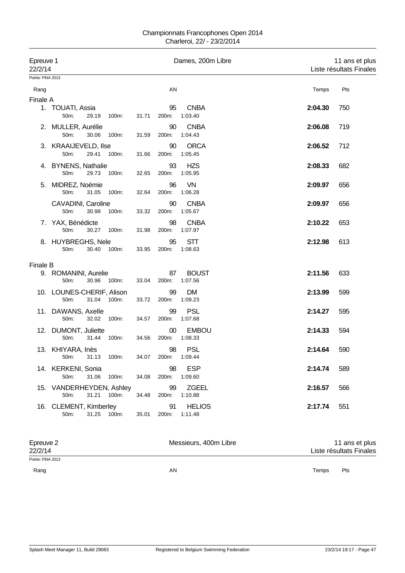#### Championnats Francophones Open 2014 Charleroi, 22/ - 23/2/2014

| Epreuve 1<br>22/2/14 |                                       |             |       |       |                     | Dames, 200m Libre        |  |         | 11 ans et plus<br>Liste résultats Finales |  |
|----------------------|---------------------------------------|-------------|-------|-------|---------------------|--------------------------|--|---------|-------------------------------------------|--|
| Points: FINA 2013    |                                       |             |       |       |                     |                          |  |         |                                           |  |
| Rang                 |                                       |             |       |       | AN                  |                          |  | Temps   | Pts                                       |  |
| Finale A             |                                       |             |       |       |                     |                          |  |         |                                           |  |
|                      | 1. TOUATI, Assia<br>50m:              | 29.19       | 100m: | 31.71 | 95<br>200m:         | <b>CNBA</b><br>1:03.40   |  | 2:04.30 | 750                                       |  |
|                      | 2. MULLER, Aurélie<br>50m:            | 30.06       | 100m: | 31.59 | 90<br>200m:         | <b>CNBA</b><br>1:04.43   |  | 2:06.08 | 719                                       |  |
|                      | 3. KRAAIJEVELD, Ilse<br>50m:          | 29.41       | 100m: | 31.66 | 90<br>200m:         | <b>ORCA</b><br>1:05.45   |  | 2:06.52 | 712                                       |  |
|                      | 4. BYNENS, Nathalie<br>50m:           | 29.73       | 100m: | 32.65 | 93<br>200m:         | <b>HZS</b><br>1:05.95    |  | 2:08.33 | 682                                       |  |
|                      | 5. MIDREZ, Noémie<br>50m:             | 31.05       | 100m: | 32.64 | 96<br>200m:         | VN<br>1:06.28            |  | 2:09.97 | 656                                       |  |
|                      | CAVADINI, Caroline<br>50m:            | 30.98       | 100m: | 33.32 | 90<br>200m:         | <b>CNBA</b><br>1:05.67   |  | 2:09.97 | 656                                       |  |
|                      | 7. YAX, Bénédicte<br>50m:             | 30.27       | 100m: | 31.98 | 98<br>200m:         | <b>CNBA</b><br>1:07.97   |  | 2:10.22 | 653                                       |  |
|                      | 8. HUYBREGHS, Nele<br>50m:            | 30.40       | 100m: | 33.95 | 95<br>200m:         | <b>STT</b><br>1:08.63    |  | 2:12.98 | 613                                       |  |
| <b>Finale B</b>      |                                       |             |       |       |                     |                          |  |         |                                           |  |
|                      | 9. ROMANINI, Aurelie<br>50m:          | 30.96 100m: |       | 33.04 | 87<br>200m:         | <b>BOUST</b><br>1:07.56  |  | 2:11.56 | 633                                       |  |
|                      | 10. LOUNES-CHERIF, Alison<br>50m:     | 31.04 100m: |       | 33.72 | 99<br>200m:         | DM<br>1:09.23            |  | 2:13.99 | 599                                       |  |
|                      | 11. DAWANS, Axelle<br>50m:            | 32.02       | 100m: | 34.57 | 99<br>200m:         | <b>PSL</b><br>1:07.68    |  | 2:14.27 | 595                                       |  |
|                      | 12. DUMONT, Juliette<br>50m:          | 31.44       | 100m: | 34.56 | $00\,$<br>200m:     | <b>EMBOU</b><br>1:08.33  |  | 2:14.33 | 594                                       |  |
|                      | 13. KHIYARA, Inès<br>50m: 31.13 100m: |             |       | 34.07 | 98<br>200m: 1:09.44 | <b>PSL</b>               |  | 2:14.64 | 590                                       |  |
|                      | 14. KERKENI, Sonia<br>50m:            | 31.06       | 100m: | 34.08 | 98<br>200m:         | <b>ESP</b><br>1:09.60    |  | 2:14.74 | 589                                       |  |
|                      | 15. VANDERHEYDEN, Ashley<br>50m:      | 31.21       | 100m: | 34.48 | 99<br>200m:         | <b>ZGEEL</b><br>1:10.88  |  | 2:16.57 | 566                                       |  |
|                      | 16. CLEMENT, Kimberley<br>50m:        | 31.25 100m: |       | 35.01 | 91<br>200m:         | <b>HELIOS</b><br>1:11.48 |  | 2:17.74 | 551                                       |  |
|                      |                                       |             |       |       |                     |                          |  |         |                                           |  |

| Epreuve 2<br>22/2/14 | Messieurs, 400m Libre | 11 ans et plus<br>Liste résultats Finales |  |  |
|----------------------|-----------------------|-------------------------------------------|--|--|
| Points: FINA 2013    |                       |                                           |  |  |
| Rang                 | AN                    | Pts<br>Temps                              |  |  |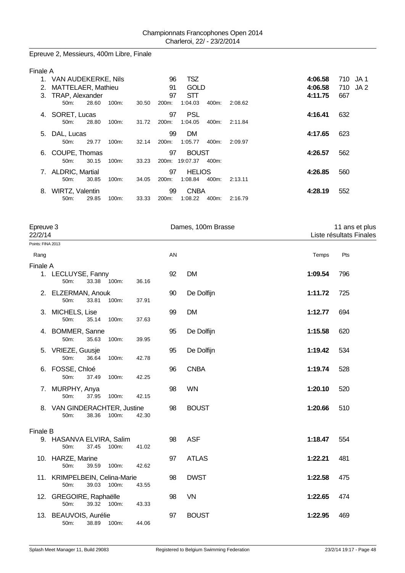Epreuve 2, Messieurs, 400m Libre, Finale

| Finale A |                           |       |          |       |                    |               |       |         |         |          |
|----------|---------------------------|-------|----------|-------|--------------------|---------------|-------|---------|---------|----------|
|          | VAN AUDEKERKE, Nils       |       |          |       | 96                 | <b>TSZ</b>    |       |         | 4:06.58 | 710 JA1  |
| 2.       | <b>MATTELAER, Mathieu</b> |       |          |       | 91                 | <b>GOLD</b>   |       |         | 4:06.58 | 710 JA 2 |
| 3.       | TRAP, Alexander           |       |          |       | 97                 | <b>STT</b>    |       |         | 4:11.75 | 667      |
|          | $50m$ :                   | 28.60 | $100m$ : | 30.50 | 200m:              | 1:04.03       | 400m: | 2:08.62 |         |          |
| 4.       | SORET, Lucas              |       |          |       | 97                 | <b>PSL</b>    |       |         | 4:16.41 | 632      |
|          | 50m:                      | 28.80 | 100m:    | 31.72 | 200m:              | 1:04.05       | 400m: | 2:11.84 |         |          |
| 5.       | DAL, Lucas                |       |          |       | 99                 | <b>DM</b>     |       |         | 4:17.65 | 623      |
|          | 50m                       | 29.77 | $100m$ : | 32.14 | 200m:              | 1:05.77       | 400m: | 2:09.97 |         |          |
| 6.       | COUPE, Thomas             |       |          |       | 97                 | <b>BOUST</b>  |       |         | 4:26.57 | 562      |
|          | $50m$ :                   | 30.15 | $100m$ : | 33.23 | 200m:              | 19:07.37      | 400m: |         |         |          |
| 7.       | <b>ALDRIC, Martial</b>    |       |          |       | 97                 | <b>HELIOS</b> |       |         | 4:26.85 | 560      |
|          | 50m:                      | 30.85 | $100m$ : | 34.05 | 200m:              | 1:08.84       | 400m: | 2:13.11 |         |          |
| 8.       | <b>WIRTZ, Valentin</b>    |       |          |       | 99                 | <b>CNBA</b>   |       |         | 4:28.19 | 552      |
|          | 50m:                      | 29.85 | 100m:    | 33.33 | 200 <sub>m</sub> : | 1:08.22       | 400m: | 2:16.79 |         |          |

|                   | Epreuve 3<br>22/2/14                                                |       |    | Dames, 100m Brasse |         | 11 ans et plus<br>Liste résultats Finales |  |
|-------------------|---------------------------------------------------------------------|-------|----|--------------------|---------|-------------------------------------------|--|
| Points: FINA 2013 |                                                                     |       |    |                    |         |                                           |  |
| Rang              |                                                                     |       | AN |                    | Temps   | Pts                                       |  |
| Finale A          | 1. LECLUYSE, Fanny<br>33.38 100m:<br>50m:                           | 36.16 | 92 | <b>DM</b>          | 1:09.54 | 796                                       |  |
|                   | 2. ELZERMAN, Anouk<br>100m:<br>50m:<br>33.81                        | 37.91 | 90 | De Dolfijn         | 1:11.72 | 725                                       |  |
|                   | 3. MICHELS, Lise<br>50m:<br>35.14<br>100m:                          | 37.63 | 99 | <b>DM</b>          | 1:12.77 | 694                                       |  |
|                   | 4. BOMMER, Sanne<br>50m:<br>35.63<br>100m:                          | 39.95 | 95 | De Dolfijn         | 1:15.58 | 620                                       |  |
|                   | 5. VRIEZE, Guusje<br>50m:<br>36.64<br>100m:                         | 42.78 | 95 | De Dolfijn         | 1:19.42 | 534                                       |  |
|                   | 6. FOSSE, Chloé<br>50m:<br>37.49<br>100m:                           | 42.25 | 96 | <b>CNBA</b>        | 1:19.74 | 528                                       |  |
|                   | 7. MURPHY, Anya<br>50m:<br>37.95<br>100m:                           | 42.15 | 98 | <b>WN</b>          | 1:20.10 | 520                                       |  |
|                   | 8. VAN GINDERACHTER, Justine<br>38.36<br>100m:<br>50 <sub>m</sub> : | 42.30 | 98 | <b>BOUST</b>       | 1:20.66 | 510                                       |  |
| <b>Finale B</b>   |                                                                     |       |    |                    |         |                                           |  |
|                   | 9. HASANVA ELVIRA, Salim<br>37.45<br>100m:<br>50m:                  | 41.02 | 98 | <b>ASF</b>         | 1:18.47 | 554                                       |  |
|                   | 10. HARZE, Marine<br>50m:<br>39.59<br>100m:                         | 42.62 | 97 | <b>ATLAS</b>       | 1:22.21 | 481                                       |  |
|                   | 11. KRIMPELBEIN, Celina-Marie<br>50m:<br>39.03<br>100m:             | 43.55 | 98 | <b>DWST</b>        | 1:22.58 | 475                                       |  |
|                   | 12. GREGOIRE, Raphaëlle<br>50m:<br>39.32 100m:                      | 43.33 | 98 | VN                 | 1:22.65 | 474                                       |  |
|                   | 13. BEAUVOIS, Aurélie<br>50m:<br>38.89<br>100m:                     | 44.06 | 97 | <b>BOUST</b>       | 1:22.95 | 469                                       |  |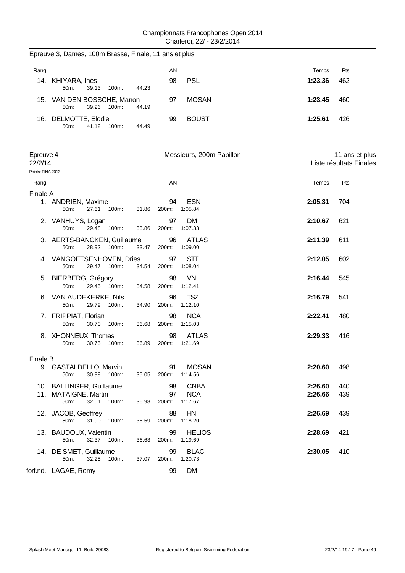|      | Epreuve 3, Dames, 100m Brasse, Finale, 11 ans et plus |          |       |    |              |         |     |
|------|-------------------------------------------------------|----------|-------|----|--------------|---------|-----|
| Rang |                                                       |          |       | ΑN |              | Temps   | Pts |
|      | 14. KHIYARA, Inès<br>39.13<br>$50m$ :                 | $100m$ : | 44.23 | 98 | <b>PSL</b>   | 1:23.36 | 462 |
|      | 15. VAN DEN BOSSCHE, Manon<br>39.26<br>$50m$ :        | $100m$ : | 44.19 | 97 | <b>MOSAN</b> | 1:23.45 | 460 |
|      | 16. DELMOTTE, Elodie<br>41.12<br>$50m$ :              | 100m:    | 44.49 | 99 | <b>BOUST</b> | 1:25.61 | 426 |

| Epreuve 4<br>22/2/14 |                                                                            |                            | Messieurs, 200m Papillon             |                    | 11 ans et plus<br>Liste résultats Finales |  |  |
|----------------------|----------------------------------------------------------------------------|----------------------------|--------------------------------------|--------------------|-------------------------------------------|--|--|
| Points: FINA 2013    |                                                                            |                            |                                      |                    |                                           |  |  |
| Rang                 |                                                                            | AN                         |                                      | Temps              | Pts                                       |  |  |
| Finale A             |                                                                            |                            |                                      |                    |                                           |  |  |
|                      | 1. ANDRIEN, Maxime<br>27.61 100m:<br>50m:                                  | 94<br>31.86<br>200m:       | <b>ESN</b><br>1:05.84                | 2:05.31            | 704                                       |  |  |
|                      | 2. VANHUYS, Logan<br>50m:<br>29.48<br>100m:                                | 97<br>33.86<br>200m:       | <b>DM</b><br>1:07.33                 | 2:10.67            | 621                                       |  |  |
|                      | 3. AERTS-BANCKEN, Guillaume<br>28.92 100m:<br>50m:                         | 96<br>33.47<br>200m:       | <b>ATLAS</b><br>1:09.00              | 2:11.39            | 611                                       |  |  |
|                      | 4. VANGOETSENHOVEN, Dries<br>50m:<br>29.47 100m:                           | 97<br>34.54<br>200m:       | <b>STT</b><br>1:08.04                | 2:12.05            | 602                                       |  |  |
|                      | 5. BIERBERG, Grégory<br>29.45 100m:<br>50m:                                | 98<br>34.58<br>200m:       | <b>VN</b><br>1:12.41                 | 2:16.44            | 545                                       |  |  |
|                      | 6. VAN AUDEKERKE, Nils<br>29.79 100m:<br>50m:                              | 96<br>34.90<br>200m:       | <b>TSZ</b><br>1:12.10                | 2:16.79            | 541                                       |  |  |
|                      | 7. FRIPPIAT, Florian<br>30.70<br>50m:<br>100m:                             | 98<br>36.68<br>200m:       | <b>NCA</b><br>1:15.03                | 2:22.41            | 480                                       |  |  |
|                      | 8. XHONNEUX, Thomas<br>50m:<br>30.75 100m:                                 | 98<br>200m:<br>36.89       | <b>ATLAS</b><br>1:21.69              | 2:29.33            | 416                                       |  |  |
| Finale B             |                                                                            |                            |                                      |                    |                                           |  |  |
|                      | 9. GASTALDELLO, Marvin<br>30.99 100m:<br>50m:                              | 91<br>35.05<br>200m:       | <b>MOSAN</b><br>1:14.56              | 2:20.60            | 498                                       |  |  |
|                      | 10. BALLINGER, Guillaume<br>11. MATAIGNE, Martin<br>50m:<br>32.01<br>100m: | 98<br>97<br>36.98<br>200m: | <b>CNBA</b><br><b>NCA</b><br>1:17.67 | 2:26.60<br>2:26.66 | 440<br>439                                |  |  |
|                      | 12. JACOB, Geoffrey<br>31.90<br>50m:<br>100m:                              | 88<br>200m:<br>36.59       | HN<br>1:18.20                        | 2:26.69            | 439                                       |  |  |
|                      | 13. BAUDOUX, Valentin<br>32.37 100m:<br>50m:                               | 99<br>200m:<br>36.63       | <b>HELIOS</b><br>1:19.69             | 2:28.69            | 421                                       |  |  |
|                      | 14. DE SMET, Guillaume<br>32.25 100m:<br>$50m$ :                           | 99<br>200m:<br>37.07       | <b>BLAC</b><br>1:20.73               | 2:30.05            | 410                                       |  |  |
|                      | forf.nd. LAGAE, Remy                                                       | 99                         | <b>DM</b>                            |                    |                                           |  |  |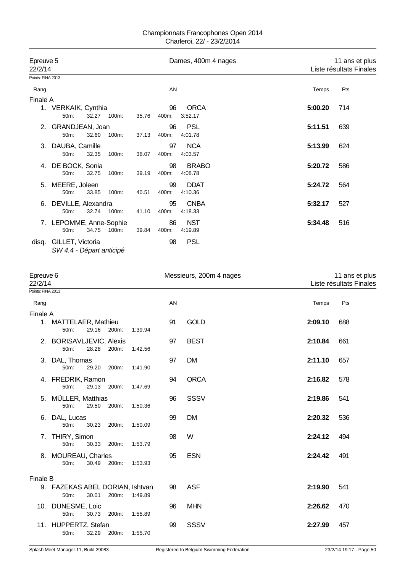| Epreuve 5<br>22/2/14 |                                              |       |       |       |             | Dames, 400m 4 nages     |         | 11 ans et plus<br>Liste résultats Finales |  |  |
|----------------------|----------------------------------------------|-------|-------|-------|-------------|-------------------------|---------|-------------------------------------------|--|--|
| Points: FINA 2013    |                                              |       |       |       |             |                         |         |                                           |  |  |
| Rang                 |                                              |       |       |       | AN          |                         | Temps   | Pts                                       |  |  |
| <b>Finale A</b>      |                                              |       |       |       |             |                         |         |                                           |  |  |
| 1.                   | VERKAIK, Cynthia<br>50m:                     | 32.27 | 100m: | 35.76 | 96<br>400m: | <b>ORCA</b><br>3:52.17  | 5:00.20 | 714                                       |  |  |
| 2.                   | GRANDJEAN, Joan<br>50m:                      | 32.60 | 100m: | 37.13 | 96<br>400m: | <b>PSL</b><br>4:01.78   | 5:11.51 | 639                                       |  |  |
| 3.                   | DAUBA, Camille<br>50m:                       | 32.35 | 100m: | 38.07 | 97<br>400m: | <b>NCA</b><br>4:03.57   | 5:13.99 | 624                                       |  |  |
| 4.                   | DE BOCK, Sonia<br>50 <sub>m</sub> :          | 32.75 | 100m: | 39.19 | 98<br>400m: | <b>BRABO</b><br>4:08.78 | 5:20.72 | 586                                       |  |  |
| 5.                   | MEERE, Joleen<br>50 <sub>m</sub> :           | 33.85 | 100m: | 40.51 | 99<br>400m: | <b>DDAT</b><br>4:10.36  | 5:24.72 | 564                                       |  |  |
| 6.                   | DEVILLE, Alexandra<br>50m:                   | 32.74 | 100m: | 41.10 | 95<br>400m: | <b>CNBA</b><br>4:18.33  | 5:32.17 | 527                                       |  |  |
|                      | 7. LEPOMME, Anne-Sophie<br>50m:              | 34.75 | 100m: | 39.84 | 86<br>400m: | <b>NST</b><br>4:19.89   | 5:34.48 | 516                                       |  |  |
| disg.                | GILLET, Victoria<br>SW 4.4 - Départ anticipé |       |       |       | 98          | <b>PSL</b>              |         |                                           |  |  |

| Epreuve 6<br>22/2/14 |                                         |       |       |         |    | Messieurs, 200m 4 nages | 11 ans et plus<br>Liste résultats Finales |     |
|----------------------|-----------------------------------------|-------|-------|---------|----|-------------------------|-------------------------------------------|-----|
| Points: FINA 2013    |                                         |       |       |         |    |                         |                                           |     |
| Rang                 |                                         |       |       |         | AN |                         | Temps                                     | Pts |
| Finale A             |                                         |       |       |         |    |                         |                                           |     |
|                      | 1. MATTELAER, Mathieu<br>$50m$ :        | 29.16 | 200m: | 1:39.94 | 91 | <b>GOLD</b>             | 2:09.10                                   | 688 |
|                      | 2. BORISAVLJEVIC, Alexis<br>50m:        | 28.28 | 200m: | 1:42.56 | 97 | <b>BEST</b>             | 2:10.84                                   | 661 |
|                      | 3. DAL, Thomas<br>50m:                  | 29.20 | 200m: | 1:41.90 | 97 | <b>DM</b>               | 2:11.10                                   | 657 |
|                      | 4. FREDRIK, Ramon<br>50m:               | 29.13 | 200m: | 1:47.69 | 94 | <b>ORCA</b>             | 2:16.82                                   | 578 |
|                      | 5. MÜLLER, Matthias<br>50m:             | 29.50 | 200m: | 1:50.36 | 96 | <b>SSSV</b>             | 2:19.86                                   | 541 |
|                      | 6. DAL, Lucas<br>50m:                   | 30.23 | 200m: | 1:50.09 | 99 | <b>DM</b>               | 2:20.32                                   | 536 |
|                      | 7. THIRY, Simon<br>50m:                 | 30.33 | 200m: | 1:53.79 | 98 | W                       | 2:24.12                                   | 494 |
|                      | 8. MOUREAU, Charles<br>50m:             | 30.49 | 200m: | 1:53.93 | 95 | <b>ESN</b>              | 2:24.42                                   | 491 |
| <b>Finale B</b>      |                                         |       |       |         |    |                         |                                           |     |
|                      | 9. FAZEKAS ABEL DORIAN, Ishtvan<br>50m: | 30.01 | 200m: | 1:49.89 | 98 | <b>ASF</b>              | 2:19.90                                   | 541 |
|                      | 10. DUNESME, Loic<br>50m:               | 30.73 | 200m: | 1:55.89 | 96 | <b>MHN</b>              | 2:26.62                                   | 470 |
|                      | 11. HUPPERTZ, Stefan<br>50m:            | 32.29 | 200m: | 1:55.70 | 99 | SSSV                    | 2:27.99                                   | 457 |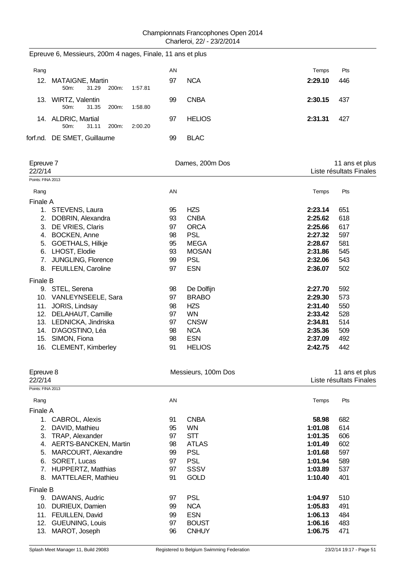|      |                                |       |                    | Epreuve 6, Messieurs, 200m 4 nages, Finale, 11 ans et plus |    |               |         |     |
|------|--------------------------------|-------|--------------------|------------------------------------------------------------|----|---------------|---------|-----|
| Rang |                                |       |                    |                                                            | ΑN |               | Temps   | Pts |
| 12.  | <b>MATAIGNE, Martin</b><br>50m | 31.29 | 200m:              | 1:57.81                                                    | 97 | <b>NCA</b>    | 2:29.10 | 446 |
| 13.  | WIRTZ, Valentin<br>$50m$ :     | 31.35 | 200m:              | 1:58.80                                                    | 99 | <b>CNBA</b>   | 2:30.15 | 437 |
|      | 14. ALDRIC, Martial<br>$50m$ : | 31.11 | 200 <sub>m</sub> : | 2:00.20                                                    | 97 | <b>HELIOS</b> | 2:31.31 | 427 |
|      | forf.nd. DE SMET, Guillaume    |       |                    |                                                            | 99 | <b>BLAC</b>   |         |     |

| Epreuve 7                           |                           |           | Dames, 200m Dos     | 11 ans et plus          |                         |  |
|-------------------------------------|---------------------------|-----------|---------------------|-------------------------|-------------------------|--|
| 22/2/14                             |                           |           |                     |                         | Liste résultats Finales |  |
| Points: FINA 2013                   |                           |           |                     |                         |                         |  |
| Rang                                |                           | <b>AN</b> |                     | Temps                   | Pts                     |  |
| Finale A                            |                           |           |                     |                         |                         |  |
| 1.                                  | STEVENS, Laura            | 95        | <b>HZS</b>          | 2:23.14                 | 651                     |  |
| 2.                                  | DOBRIN, Alexandra         | 93        | <b>CNBA</b>         | 2:25.62                 | 618                     |  |
| 3.                                  | DE VRIES, Claris          | 97        | <b>ORCA</b>         | 2:25.66                 | 617                     |  |
| 4.                                  | <b>BOCKEN, Anne</b>       | 98        | <b>PSL</b>          | 2:27.32                 | 597                     |  |
| 5.                                  | <b>GOETHALS, Hilkje</b>   | 95        | <b>MEGA</b>         | 2:28.67                 | 581                     |  |
| 6.                                  | LHOST, Elodie             | 93        | <b>MOSAN</b>        | 2:31.86                 | 545                     |  |
| 7.                                  | JUNGLING, Florence        | 99        | <b>PSL</b>          | 2:32.06                 | 543                     |  |
|                                     | 8. FEUILLEN, Caroline     | 97        | <b>ESN</b>          | 2:36.07                 | 502                     |  |
| <b>Finale B</b>                     |                           |           |                     |                         |                         |  |
|                                     | 9. STEL, Serena           | 98        | De Dolfijn          | 2:27.70                 | 592                     |  |
|                                     | 10. VANLEYNSEELE, Sara    | 97        | <b>BRABO</b>        | 2:29.30                 | 573                     |  |
| 11.                                 | JORIS, Lindsay            | 98        | <b>HZS</b>          | 2:31.40                 | 550                     |  |
| 12.                                 | DELAHAUT, Camille         | 97        | <b>WN</b>           | 2:33.42                 | 528                     |  |
|                                     | 13. LEDNICKA, Jindriska   | 97        | <b>CNSW</b>         | 2:34.81                 | 514                     |  |
| 14.                                 | D'AGOSTINO, Léa           | 98        | <b>NCA</b>          | 2:35.36                 | 509                     |  |
| 15.                                 | SIMON, Fiona              | 98        | <b>ESN</b>          | 2:37.09                 | 492                     |  |
| 16.                                 | <b>CLEMENT, Kimberley</b> | 91        | <b>HELIOS</b>       | 2:42.75                 | 442                     |  |
| Epreuve 8                           |                           |           | Messieurs, 100m Dos |                         | 11 ans et plus          |  |
| 22/2/14<br><b>D.J.L. FILLA 0040</b> |                           |           |                     | Liste résultats Finales |                         |  |

| Points: FINA 2013 |                           |    |              |         |     |
|-------------------|---------------------------|----|--------------|---------|-----|
| Rang              |                           | AN |              | Temps   | Pts |
| Finale A          |                           |    |              |         |     |
|                   | CABROL, Alexis            | 91 | <b>CNBA</b>  | 58.98   | 682 |
| 2.                | DAVID, Mathieu            | 95 | <b>WN</b>    | 1:01.08 | 614 |
| 3.                | TRAP, Alexander           | 97 | STT          | 1:01.35 | 606 |
| 4.                | AERTS-BANCKEN, Martin     | 98 | <b>ATLAS</b> | 1:01.49 | 602 |
| 5.                | MARCOURT, Alexandre       | 99 | <b>PSL</b>   | 1:01.68 | 597 |
| 6.                | SORET, Lucas              | 97 | <b>PSL</b>   | 1:01.94 | 589 |
|                   | <b>HUPPERTZ, Matthias</b> | 97 | SSSV         | 1:03.89 | 537 |
| 8.                | MATTELAER, Mathieu        | 91 | <b>GOLD</b>  | 1:10.40 | 401 |
| Finale B          |                           |    |              |         |     |
| 9.                | DAWANS, Audric            | 97 | <b>PSL</b>   | 1:04.97 | 510 |
| 10.               | DURIEUX, Damien           | 99 | <b>NCA</b>   | 1:05.83 | 491 |
| 11.               | FEUILLEN, David           | 99 | <b>ESN</b>   | 1:06.13 | 484 |
| 12.               | <b>GUEUNING, Louis</b>    | 97 | <b>BOUST</b> | 1:06.16 | 483 |
| 13.               | MAROT, Joseph             | 96 | <b>CNHUY</b> | 1:06.75 | 471 |
|                   |                           |    |              |         |     |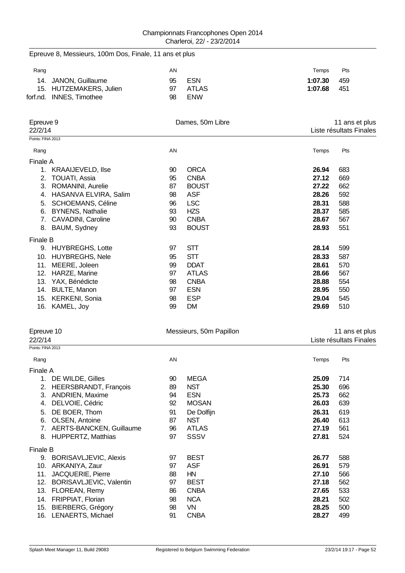| Epreuve 8, Messieurs, 100m Dos, Finale, 11 ans et plus |          |                             |                |                         |
|--------------------------------------------------------|----------|-----------------------------|----------------|-------------------------|
| Rang                                                   | AN       |                             | Temps          | Pts                     |
| 14. JANON, Guillaume                                   | 95       | <b>ESN</b>                  | 1:07.30        | 459                     |
| 15. HUTZEMAKERS, Julien                                | 97       | <b>ATLAS</b>                | 1:07.68        | 451                     |
| forf.nd. INNES, Timothee                               | 98       | <b>ENW</b>                  |                |                         |
|                                                        |          |                             |                |                         |
| Epreuve 9                                              |          | Dames, 50m Libre            |                | 11 ans et plus          |
| 22/2/14<br>Points: FINA 2013                           |          |                             |                | Liste résultats Finales |
|                                                        |          |                             |                |                         |
| Rang                                                   | AN       |                             | Temps          | Pts                     |
| Finale A                                               |          |                             |                |                         |
| 1. KRAAIJEVELD, Ilse                                   | 90       | <b>ORCA</b>                 | 26.94          | 683                     |
| 2. TOUATI, Assia                                       | 95       | <b>CNBA</b>                 | 27.12          | 669                     |
| 3. ROMANINI, Aurelie                                   | 87       | <b>BOUST</b><br><b>ASF</b>  | 27.22<br>28.26 | 662<br>592              |
| 4. HASANVA ELVIRA, Salim                               | 98       |                             | 28.31          |                         |
| 5. SCHOEMANS, Céline                                   | 96<br>93 | <b>LSC</b><br><b>HZS</b>    | 28.37          | 588<br>585              |
| 6. BYNENS, Nathalie<br>7. CAVADINI, Caroline           | 90       | <b>CNBA</b>                 | 28.67          | 567                     |
| 8. BAUM, Sydney                                        | 93       | <b>BOUST</b>                | 28.93          | 551                     |
|                                                        |          |                             |                |                         |
| Finale B                                               |          |                             |                |                         |
| 9. HUYBREGHS, Lotte                                    | 97       | <b>STT</b>                  | 28.14          | 599                     |
| 10. HUYBREGHS, Nele                                    | 95       | <b>STT</b>                  | 28.33          | 587                     |
| 11. MEERE, Joleen                                      | 99       | <b>DDAT</b>                 | 28.61          | 570                     |
| 12. HARZE, Marine                                      | 97<br>98 | <b>ATLAS</b><br><b>CNBA</b> | 28.66<br>28.88 | 567<br>554              |
| 13. YAX, Bénédicte<br>14. BULTE, Manon                 | 97       | <b>ESN</b>                  | 28.95          | 550                     |
| 15. KERKENI, Sonia                                     | 98       | <b>ESP</b>                  | 29.04          | 545                     |
| 16. KAMEL, Joy                                         | 99       | <b>DM</b>                   | 29.69          | 510                     |
|                                                        |          |                             |                |                         |
| Epreuve 10                                             |          | Messieurs, 50m Papillon     |                | 11 ans et plus          |
| 22/2/14                                                |          |                             |                | Liste résultats Finales |
| Points: FINA 2013                                      |          |                             |                |                         |
| Rang                                                   | AN       |                             | Temps          | Pts                     |
| Finale A                                               |          |                             |                |                         |
| 1. DE WILDE, Gilles                                    | 90       | <b>MEGA</b>                 | 25.09          | 714                     |
| 2. HEERSBRANDT, François                               | 89       | <b>NST</b>                  | 25.30          | 696                     |
| 3. ANDRIEN, Maxime                                     | 94       | <b>ESN</b>                  | 25.73          | 662                     |
| 4. DELVOIE, Cédric                                     | 92       | <b>MOSAN</b>                | 26.03          | 639                     |
| 5. DE BOER, Thom                                       | 91       | De Dolfijn                  | 26.31          | 619                     |
| 6. OLSEN, Antoine                                      | 87       | <b>NST</b>                  | 26.40          | 613                     |
| 7. AERTS-BANCKEN, Guillaume                            | 96       | <b>ATLAS</b>                | 27.19          | 561                     |
| 8. HUPPERTZ, Matthias                                  | 97       | SSSV                        | 27.81          | 524                     |
| Finale B                                               |          |                             |                |                         |
| 9. BORISAVLJEVIC, Alexis                               | 97       | <b>BEST</b>                 | 26.77          | 588                     |
| 10. ARKANIYA, Zaur                                     | 97       | <b>ASF</b>                  | 26.91          | 579                     |
| 11. JACQUERIE, Pierre                                  | 88       | HN                          | 27.10          | 566                     |
| 12. BORISAVLJEVIC, Valentin                            | 97       | <b>BEST</b>                 | 27.18          | 562                     |
| 13. FLOREAN, Remy                                      | 86       | <b>CNBA</b>                 | 27.65          | 533                     |
| 14. FRIPPIAT, Florian                                  | 98       | <b>NCA</b>                  | 28.21          | 502                     |
| 15. BIERBERG, Grégory                                  | 98       | <b>VN</b>                   | 28.25          | 500                     |
| 16. LENAERTS, Michael                                  | 91       | <b>CNBA</b>                 | 28.27          | 499                     |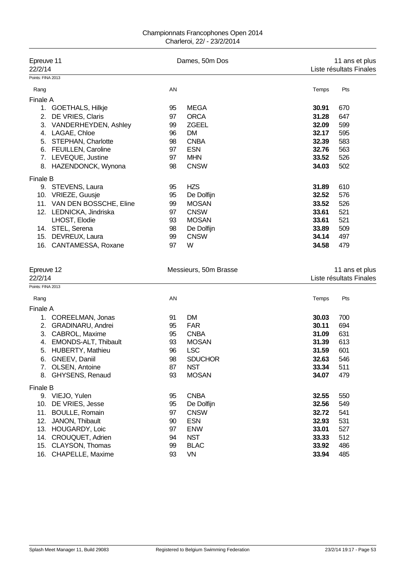#### Championnats Francophones Open 2014 Charleroi, 22/ - 23/2/2014

| Epreuve 11<br>22/2/14                      |    | Dames, 50m Dos        |       | 11 ans et plus<br>Liste résultats Finales |
|--------------------------------------------|----|-----------------------|-------|-------------------------------------------|
| Points: FINA 2013                          |    |                       |       |                                           |
| Rang                                       | AN |                       | Temps | Pts                                       |
| <b>Finale A</b>                            |    |                       |       |                                           |
| 1. GOETHALS, Hilkje                        | 95 | <b>MEGA</b>           | 30.91 | 670                                       |
| DE VRIES, Claris<br>2.                     | 97 | <b>ORCA</b>           | 31.28 | 647                                       |
| VANDERHEYDEN, Ashley<br>3.                 | 99 | <b>ZGEEL</b>          | 32.09 | 599                                       |
| LAGAE, Chloe<br>4.                         | 96 | <b>DM</b>             | 32.17 | 595                                       |
| <b>STEPHAN, Charlotte</b><br>5.            | 98 | <b>CNBA</b>           | 32.39 | 583                                       |
| 6. FEUILLEN, Caroline                      | 97 | <b>ESN</b>            | 32.76 | 563                                       |
| LEVEQUE, Justine<br>7.                     | 97 | <b>MHN</b>            | 33.52 | 526                                       |
| HAZENDONCK, Wynona<br>8.                   | 98 | <b>CNSW</b>           | 34.03 | 502                                       |
| <b>Finale B</b>                            |    |                       |       |                                           |
| 9. STEVENS, Laura                          | 95 | <b>HZS</b>            | 31.89 | 610                                       |
| 10. VRIEZE, Guusje                         | 95 | De Dolfijn            | 32.52 | 576                                       |
| 11. VAN DEN BOSSCHE, Eline                 | 99 | <b>MOSAN</b>          | 33.52 | 526                                       |
| 12. LEDNICKA, Jindriska                    | 97 | <b>CNSW</b>           | 33.61 | 521                                       |
| LHOST, Elodie                              | 93 | <b>MOSAN</b>          | 33.61 | 521                                       |
| 14. STEL, Serena                           | 98 | De Dolfijn            | 33.89 | 509                                       |
| 15. DEVREUX, Laura                         | 99 | <b>CNSW</b>           | 34.14 | 497                                       |
| 16. CANTAMESSA, Roxane                     | 97 | W                     | 34.58 | 479                                       |
| Epreuve 12                                 |    | Messieurs, 50m Brasse |       | 11 ans et plus                            |
| 22/2/14                                    |    |                       |       | Liste résultats Finales                   |
| Points: FINA 2013                          |    |                       |       |                                           |
| Rang                                       | AN |                       | Temps | Pts                                       |
| <b>Finale A</b>                            |    |                       |       |                                           |
| 1. COREELMAN, Jonas                        | 91 | <b>DM</b>             | 30.03 | 700                                       |
| <b>GRADINARU, Andrei</b><br>2.             | 95 | <b>FAR</b>            | 30.11 | 694                                       |
| CABROL, Maxime<br>3.                       | 95 | <b>CNBA</b>           | 31.09 | 631                                       |
| EMONDS-ALT, Thibault<br>4.                 | 93 | <b>MOSAN</b>          | 31.39 | 613                                       |
| <b>HUBERTY, Mathieu</b><br>5.              | 96 | <b>LSC</b>            | 31.59 | 601                                       |
| GNEEV, Daniil<br>6.                        | 98 | <b>SDUCHOR</b>        | 32.63 | 546                                       |
| OLSEN, Antoine<br>7.                       | 87 | <b>NST</b>            | 33.34 | 511                                       |
| GHYSENS, Renaud<br>8.                      | 93 | <b>MOSAN</b>          | 34.07 | 479                                       |
| <b>Finale B</b>                            |    |                       |       |                                           |
| 9. VIEJO, Yulen                            | 95 | <b>CNBA</b>           | 32.55 | 550                                       |
| DE VRIES, Jesse<br>10.                     | 95 | De Dolfijn            | 32.56 | 549                                       |
| 11.<br><b>BOULLE, Romain</b>               | 97 | <b>CNSW</b>           | 32.72 | 541                                       |
| JANON, Thibault<br>12.                     | 90 | <b>ESN</b>            | 32.93 | 531                                       |
| HOUGARDY, Loic<br>13.                      | 97 | <b>ENW</b>            | 33.01 | 527                                       |
| 14.<br>CROUQUET, Adrien                    | 94 | <b>NST</b>            | 33.33 | 512                                       |
| 15.<br>CLAYSON, Thomas<br>CHAPELLE, Maxime | 99 | <b>BLAC</b>           | 33.92 | 486                                       |
| 16.                                        | 93 | <b>VN</b>             | 33.94 | 485                                       |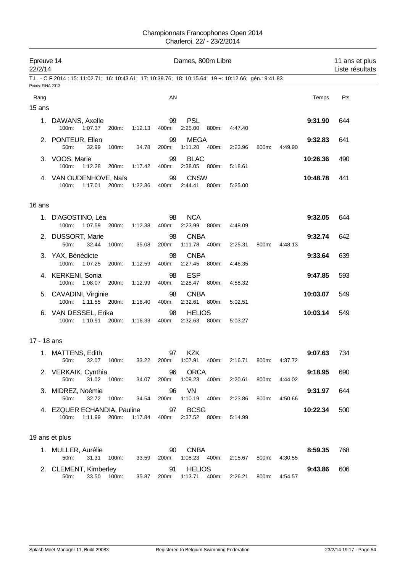| 22/2/14           | Epreuve 14<br>Dames, 800m Libre                                                                         |               |         |             |                               |       |                             |       | 11 ans et plus<br>Liste résultats |          |     |
|-------------------|---------------------------------------------------------------------------------------------------------|---------------|---------|-------------|-------------------------------|-------|-----------------------------|-------|-----------------------------------|----------|-----|
|                   | T.L. - C F 2014 : 15: 11:02.71; 16: 10:43.61; 17: 10:39.76; 18: 10:15.64; 19 +: 10:12.66; gén.: 9:41.83 |               |         |             |                               |       |                             |       |                                   |          |     |
| Points: FINA 2013 |                                                                                                         |               |         |             |                               |       |                             |       |                                   |          |     |
| Rang              |                                                                                                         |               |         | AN          |                               |       |                             |       |                                   | Temps    | Pts |
| 15 ans            |                                                                                                         |               |         |             |                               |       |                             |       |                                   |          |     |
|                   | 1. DAWANS, Axelle<br>100m:<br>1:07.37                                                                   | 200m:         | 1:12.13 | 99<br>400m: | <b>PSL</b><br>2:25.00         | 800m: | 4:47.40                     |       |                                   | 9:31.90  | 644 |
|                   | 2. PONTEUR, Ellen<br>50m:<br>32.99                                                                      | 100m:         | 34.78   | 99<br>200m: | <b>MEGA</b><br>1:11.20 400m:  |       | 2:23.96                     | 800m: | 4:49.90                           | 9:32.83  | 641 |
|                   | 3. VOOS, Marie<br>100m:<br>1:12.28                                                                      | 200m:         | 1:17.42 | 99<br>400m: | <b>BLAC</b><br>2:38.05 800m:  |       | 5:18.61                     |       |                                   | 10:26.36 | 490 |
|                   | 4. VAN OUDENHOVE, Naïs<br>100m:<br>1:17.01                                                              | 200m:         | 1:22.36 | 99<br>400m: | <b>CNSW</b><br>2:44.41        | 800m: | 5:25.00                     |       |                                   | 10:48.78 | 441 |
| 16 ans            |                                                                                                         |               |         |             |                               |       |                             |       |                                   |          |     |
|                   | 1. D'AGOSTINO, Léa<br>1:07.59<br>100m:                                                                  | 200m:         | 1:12.38 | 98<br>400m: | <b>NCA</b><br>2:23.99         | 800m: | 4:48.09                     |       |                                   | 9:32.05  | 644 |
|                   | 2. DUSSORT, Marie<br>50m:<br>32.44                                                                      | 100m:         | 35.08   | 98<br>200m: | <b>CNBA</b><br>1:11.78  400m: |       | 2:25.31                     | 800m: | 4:48.13                           | 9:32.74  | 642 |
|                   | 3. YAX, Bénédicte<br>100m:<br>1:07.25                                                                   | 200m:         | 1:12.59 | 98<br>400m: | <b>CNBA</b><br>2:27.45        | 800m: | 4.46.35                     |       |                                   | 9:33.64  | 639 |
|                   | 4. KERKENI, Sonia<br>100m:<br>1:08.07                                                                   | 200m:         | 1:12.99 | 98<br>400m: | <b>ESP</b><br>2:28.47         | 800m: | 4:58.32                     |       |                                   | 9:47.85  | 593 |
|                   | 5. CAVADINI, Virginie<br>100m:                                                                          | 1:11.55 200m: | 1:16.40 | 98<br>400m: | <b>CNBA</b><br>2:32.61 800m:  |       | 5:02.51                     |       |                                   | 10:03.07 | 549 |
|                   | 6. VAN DESSEL, Erika<br>100m:<br>1:10.91                                                                | 200m:         | 1:16.33 | 98<br>400m: | <b>HELIOS</b><br>2:32.63      | 800m: | 5:03.27                     |       |                                   | 10:03.14 | 549 |
| 17 - 18 ans       |                                                                                                         |               |         |             |                               |       |                             |       |                                   |          |     |
|                   | 1. MATTENS, Edith<br>50m:<br>32.07                                                                      | 100m:         | 33.22   | 97<br>200m: | <b>KZK</b><br>1:07.91         | 400m: | 2:16.71                     | 800m: | 4:37.72                           | 9:07.63  | 734 |
|                   | 2. VERKAIK, Cynthia<br>50m:                                                                             | 31.02 100m:   | 34.07   | 96<br>200m: | <b>ORCA</b><br>1:09.23        | 400m: | 2:20.61                     | 800m: | 4:44.02                           | 9:18.95  | 690 |
|                   | 3. MIDREZ, Noémie<br>32.72<br>50m:                                                                      | 100m:         | 34.54   | 96<br>200m: | VN<br>1:10.19  400m:          |       | 2:23.86                     | 800m: | 4:50.66                           | 9:31.97  | 644 |
|                   | 4. EZQUER ECHANDIA, Pauline<br>100m:<br>1:11.99                                                         | 200m:         | 1:17.84 | 97<br>400m: | <b>BCSG</b><br>2:37.52 800m:  |       | 5:14.99                     |       |                                   | 10:22.34 | 500 |
|                   | 19 ans et plus                                                                                          |               |         |             |                               |       |                             |       |                                   |          |     |
|                   | 1. MULLER, Aurélie<br>50m:<br>31.31                                                                     | 100m:         | 33.59   | 90<br>200m: | <b>CNBA</b><br>1:08.23  400m: |       | 2:15.67                     | 800m: | 4:30.55                           | 8:59.35  | 768 |
|                   | 2. CLEMENT, Kimberley<br>33.50<br>50m:                                                                  | 100m:         | 35.87   | 91          | <b>HELIOS</b>                 |       | 200m: 1:13.71 400m: 2:26.21 | 800m: | 4:54.57                           | 9:43.86  | 606 |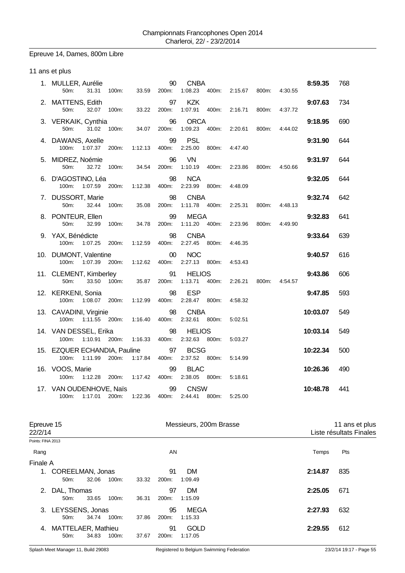# Epreuve 14, Dames, 800m Libre

### 11 ans et plus

| 1. MULLER, Aurélie<br>50m:<br>31.31               | 100m:<br>33.59   | 90<br>200m: | <b>CNBA</b><br>1:08.23<br>400m:   | 2:15.67 | 800m: | 4:30.55 | 8:59.35  | 768 |
|---------------------------------------------------|------------------|-------------|-----------------------------------|---------|-------|---------|----------|-----|
| 2. MATTENS, Edith<br>50m:<br>32.07 100m:          | 33.22            | 97<br>200m: | <b>KZK</b><br>1:07.91<br>400m:    | 2:16.71 | 800m: | 4:37.72 | 9:07.63  | 734 |
| 3. VERKAIK, Cynthia<br>31.02<br>50 <sub>m</sub> : | 100m:<br>34.07   | 96<br>200m: | <b>ORCA</b><br>1:09.23 400m:      | 2:20.61 | 800m: | 4:44.02 | 9:18.95  | 690 |
| 4. DAWANS, Axelle<br>100m:<br>1:07.37             | 200m:<br>1:12.13 | 99<br>400m: | <b>PSL</b><br>2:25.00<br>800m:    | 4:47.40 |       |         | 9:31.90  | 644 |
| 5. MIDREZ, Noémie<br>50m:<br>32.72                | 100m:<br>34.54   | 96<br>200m: | <b>VN</b><br>1:10.19<br>400m:     | 2:23.86 | 800m: | 4:50.66 | 9:31.97  | 644 |
| 6. D'AGOSTINO, Léa<br>100m:<br>1:07.59            | 200m:<br>1:12.38 | 98<br>400m: | <b>NCA</b><br>2:23.99<br>800m:    | 4:48.09 |       |         | 9:32.05  | 644 |
| 7. DUSSORT, Marie<br>50m:<br>32.44                | 100m:<br>35.08   | 98<br>200m: | <b>CNBA</b><br>1:11.78  400m:     | 2:25.31 | 800m: | 4:48.13 | 9:32.74  | 642 |
| 8. PONTEUR, Ellen<br>$50m$ :<br>32.99             | 100m:<br>34.78   | 99<br>200m: | <b>MEGA</b><br>1:11.20  400m:     | 2:23.96 | 800m: | 4:49.90 | 9:32.83  | 641 |
| 9. YAX, Bénédicte<br>100m:<br>1:07.25             | 1:12.59<br>200m: | 98<br>400m: | <b>CNBA</b><br>2:27.45<br>800m:   | 4:46.35 |       |         | 9:33.64  | 639 |
| 10. DUMONT, Valentine<br>1:07.39 200m:<br>100m:   | 1:12.62          | 00<br>400m: | <b>NOC</b><br>2:27.13<br>800m:    | 4:53.43 |       |         | 9:40.57  | 616 |
| 11. CLEMENT, Kimberley<br>50m:<br>33.50 100m:     | 35.87            | 91<br>200m: | <b>HELIOS</b><br>1:13.71<br>400m: | 2:26.21 | 800m: | 4:54.57 | 9:43.86  | 606 |
| 12. KERKENI, Sonia<br>100m:<br>1:08.07 200m:      | 1:12.99          | 98<br>400m: | <b>ESP</b><br>2:28.47 800m:       | 4:58.32 |       |         | 9:47.85  | 593 |
| 13. CAVADINI, Virginie<br>100m:<br>1:11.55        | 200m:<br>1:16.40 | 98<br>400m: | <b>CNBA</b><br>2:32.61 800m:      | 5:02.51 |       |         | 10:03.07 | 549 |
| 14. VAN DESSEL, Erika<br>1:10.91 200m:<br>100m:   | 1:16.33          | 98<br>400m: | <b>HELIOS</b><br>2:32.63 800m:    | 5:03.27 |       |         | 10:03.14 | 549 |
| 15. EZQUER ECHANDIA, Pauline<br>100m:<br>1:11.99  | 1:17.84<br>200m: | 97<br>400m: | <b>BCSG</b><br>2:37.52 800m:      | 5:14.99 |       |         | 10:22.34 | 500 |
| 16. VOOS, Marie<br>100m:<br>1:12.28 200m:         | 1:17.42          | 99<br>400m: | <b>BLAC</b><br>2:38.05 800m:      | 5:18.61 |       |         | 10:26.36 | 490 |
| 17. VAN OUDENHOVE, Naïs<br>100m: 1:17.01 200m:    | 1:22.36          | 99<br>400m: | <b>CNSW</b><br>800m:<br>2:44.41   | 5:25.00 |       |         | 10:48.78 | 441 |

| Epreuve 15<br>22/2/14 |                           |       |          |       | Messieurs, 200m Brasse |             | 11 ans et plus<br>Liste résultats Finales |     |  |
|-----------------------|---------------------------|-------|----------|-------|------------------------|-------------|-------------------------------------------|-----|--|
| Points: FINA 2013     |                           |       |          |       |                        |             |                                           |     |  |
| Rang                  |                           |       |          |       | AN                     |             | Temps                                     | Pts |  |
| Finale A              |                           |       |          |       |                        |             |                                           |     |  |
|                       | 1. COREELMAN, Jonas       |       |          |       | 91                     | <b>DM</b>   | 2:14.87                                   | 835 |  |
|                       | $50m$ :                   | 32.06 | $100m$ : | 33.32 | 200m:                  | 1:09.49     |                                           |     |  |
| 2.                    | DAL, Thomas               |       |          |       | 97                     | <b>DM</b>   | 2:25.05                                   | 671 |  |
|                       | 50m:                      | 33.65 | 100m:    | 36.31 | 200m:                  | 1:15.09     |                                           |     |  |
|                       | 3. LEYSSENS, Jonas        |       |          |       | 95                     | MEGA        | 2:27.93                                   | 632 |  |
|                       | $50m$ :                   | 34.74 | 100m:    | 37.86 | 200m:                  | 1:15.33     |                                           |     |  |
| 4.                    | <b>MATTELAER, Mathieu</b> |       |          |       | 91                     | <b>GOLD</b> | 2:29.55                                   | 612 |  |
|                       | 50m:                      | 34.83 | 100m:    | 37.67 | 200m:                  | 1:17.05     |                                           |     |  |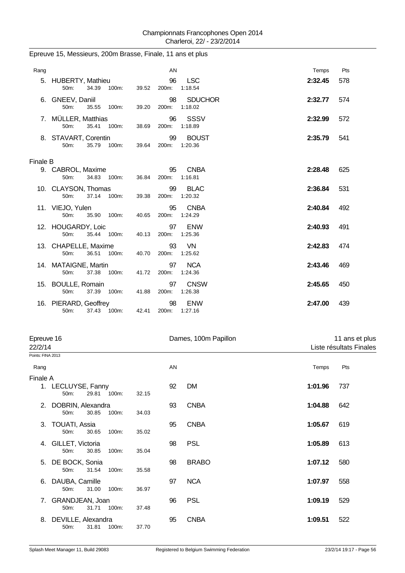| Rang     |                                                          | AN                   |                           | Temps   | Pts |
|----------|----------------------------------------------------------|----------------------|---------------------------|---------|-----|
|          | 5. HUBERTY, Mathieu<br>34.39 100m:<br>50 <sub>m</sub> :  | 96<br>39.52 200m:    | LSC<br>1:18.54            | 2:32.45 | 578 |
|          | 6. GNEEV, Daniil<br>50 <sub>m</sub> :<br>35.55 100m:     | 98<br>200m:<br>39.20 | <b>SDUCHOR</b><br>1:18.02 | 2:32.77 | 574 |
|          | 7. MÜLLER, Matthias<br>35.41 100m:<br>50 <sub>m</sub> :  | 96<br>200m:<br>38.69 | SSSV<br>1:18.89           | 2:32.99 | 572 |
|          | 8. STAVART, Corentin<br>35.79 100m:<br>50m:              | 99<br>39.64<br>200m: | <b>BOUST</b><br>1:20.36   | 2:35.79 | 541 |
| Finale B |                                                          |                      |                           |         |     |
|          | 9. CABROL, Maxime<br>34.83<br>50 <sub>m</sub> :<br>100m: | 95<br>36.84<br>200m: | <b>CNBA</b><br>1:16.81    | 2:28.48 | 625 |
|          | 10. CLAYSON, Thomas<br>37.14 100m:<br>50 <sub>m</sub> :  | 99<br>39.38<br>200m: | <b>BLAC</b><br>1:20.32    | 2:36.84 | 531 |
|          | 11. VIEJO, Yulen<br>35.90 100m:<br>$50m$ :               | 95<br>200m:<br>40.65 | <b>CNBA</b><br>1:24.29    | 2:40.84 | 492 |
|          | 12. HOUGARDY, Loic<br>35.44 100m:<br>50 <sub>m</sub> :   | 97<br>40.13<br>200m: | <b>ENW</b><br>1:25.36     | 2:40.93 | 491 |
|          | 13. CHAPELLE, Maxime<br>36.51 100m:<br>50m:              | 93<br>40.70<br>200m: | <b>VN</b><br>1:25.62      | 2:42.83 | 474 |
|          | 14. MATAIGNE, Martin<br>50 <sub>m</sub> :<br>37.38 100m: | 97<br>41.72<br>200m: | <b>NCA</b><br>1:24.36     | 2:43.46 | 469 |
|          | 15. BOULLE, Romain<br>37.39<br>50m:<br>100m:             | 97<br>41.88<br>200m: | <b>CNSW</b><br>1:26.38    | 2:45.65 | 450 |
|          | 16. PIERARD, Geoffrey<br>37.43 100m:<br>50m:             | 98<br>200m:<br>42.41 | <b>ENW</b><br>1:27.16     | 2:47.00 | 439 |

### Epreuve 15, Messieurs, 200m Brasse, Finale, 11 ans et plus

| Epreuve 16        |                                     |       |       |       |    | Dames, 100m Papillon | 11 ans et plus          |     |  |
|-------------------|-------------------------------------|-------|-------|-------|----|----------------------|-------------------------|-----|--|
| 22/2/14           |                                     |       |       |       |    |                      | Liste résultats Finales |     |  |
| Points: FINA 2013 |                                     |       |       |       |    |                      |                         |     |  |
| Rang              |                                     |       |       |       | AN |                      | Temps                   | Pts |  |
| Finale A          |                                     |       |       |       |    |                      |                         |     |  |
|                   | 1. LECLUYSE, Fanny<br>50m:          | 29.81 | 100m: | 32.15 | 92 | <b>DM</b>            | 1:01.96                 | 737 |  |
| 2.                | DOBRIN, Alexandra<br>50m:           | 30.85 | 100m: | 34.03 | 93 | <b>CNBA</b>          | 1:04.88                 | 642 |  |
| 3.                | TOUATI, Assia<br>50m:               | 30.65 | 100m: | 35.02 | 95 | <b>CNBA</b>          | 1:05.67                 | 619 |  |
| 4.                | GILLET, Victoria<br>50m:            | 30.85 | 100m: | 35.04 | 98 | <b>PSL</b>           | 1:05.89                 | 613 |  |
|                   | 5. DE BOCK, Sonia<br>50m:           | 31.54 | 100m: | 35.58 | 98 | <b>BRABO</b>         | 1:07.12                 | 580 |  |
| 6.                | DAUBA, Camille<br>50 <sub>m</sub> : | 31.00 | 100m: | 36.97 | 97 | <b>NCA</b>           | 1:07.97                 | 558 |  |
| 7.                | GRANDJEAN, Joan<br>50m:             | 31.71 | 100m: | 37.48 | 96 | <b>PSL</b>           | 1:09.19                 | 529 |  |
|                   | 8. DEVILLE, Alexandra<br>50m:       | 31.81 | 100m: | 37.70 | 95 | <b>CNBA</b>          | 1:09.51                 | 522 |  |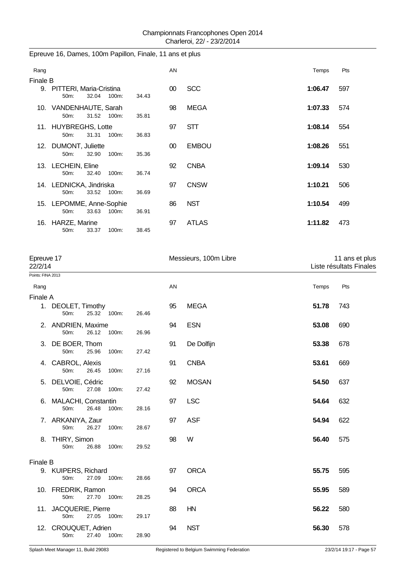## Epreuve 16, Dames, 100m Papillon, Finale, 11 ans et plus

| Rang     |                                                       |       | AN     |              | Temps   | Pts |  |  |
|----------|-------------------------------------------------------|-------|--------|--------------|---------|-----|--|--|
| Finale B |                                                       |       |        |              |         |     |  |  |
|          | 9. PITTERI, Maria-Cristina<br>32.04<br>50m:<br>100m:  | 34.43 | 00     | <b>SCC</b>   | 1:06.47 | 597 |  |  |
|          | 10. VANDENHAUTE, Sarah<br>31.52 100m:<br>50m:         | 35.81 | 98     | <b>MEGA</b>  | 1:07.33 | 574 |  |  |
|          | 11. HUYBREGHS, Lotte<br>31.31<br>100m:<br>$50m$ :     | 36.83 | 97     | <b>STT</b>   | 1:08.14 | 554 |  |  |
|          | 12. DUMONT, Juliette<br>100m:<br>32.90<br>50m:        | 35.36 | $00\,$ | <b>EMBOU</b> | 1:08.26 | 551 |  |  |
|          | 13. LECHEIN, Eline<br>32.40<br>$50m$ :<br>$100m$ :    | 36.74 | 92     | <b>CNBA</b>  | 1:09.14 | 530 |  |  |
|          | 14. LEDNICKA, Jindriska<br>33.52<br>100m:<br>50m      | 36.69 | 97     | <b>CNSW</b>  | 1:10.21 | 506 |  |  |
|          | 15. LEPOMME, Anne-Sophie<br>33.63<br>100m:<br>$50m$ : | 36.91 | 86     | <b>NST</b>   | 1:10.54 | 499 |  |  |
| 16.      | HARZE, Marine<br>33.37<br>100m:<br>$50m$ :            | 38.45 | 97     | <b>ATLAS</b> | 1:11.82 | 473 |  |  |

| Epreuve 17<br>22/2/14 |                                                        |       |    | Messieurs, 100m Libre |       | 11 ans et plus<br>Liste résultats Finales |  |
|-----------------------|--------------------------------------------------------|-------|----|-----------------------|-------|-------------------------------------------|--|
| Points: FINA 2013     |                                                        |       |    |                       |       |                                           |  |
| Rang                  |                                                        |       | AN |                       | Temps | Pts                                       |  |
| Finale A              |                                                        |       |    |                       |       |                                           |  |
|                       | 1. DEOLET, Timothy<br>25.32 100m:<br>50 <sub>m</sub> : | 26.46 | 95 | <b>MEGA</b>           | 51.78 | 743                                       |  |
|                       | 2. ANDRIEN, Maxime<br>50m:<br>26.12<br>100m:           | 26.96 | 94 | <b>ESN</b>            | 53.08 | 690                                       |  |
|                       | 3. DE BOER, Thom<br>50m:<br>25.96<br>100m:             | 27.42 | 91 | De Dolfijn            | 53.38 | 678                                       |  |
|                       | 4. CABROL, Alexis<br>50m:<br>26.45<br>100m:            | 27.16 | 91 | <b>CNBA</b>           | 53.61 | 669                                       |  |
| 5.                    | DELVOIE, Cédric<br>50m:<br>27.08<br>100m:              | 27.42 | 92 | <b>MOSAN</b>          | 54.50 | 637                                       |  |
| 6.                    | <b>MALACHI, Constantin</b><br>50m:<br>26.48<br>100m:   | 28.16 | 97 | <b>LSC</b>            | 54.64 | 632                                       |  |
|                       | 7. ARKANIYA, Zaur<br>50m:<br>26.27<br>100m:            | 28.67 | 97 | <b>ASF</b>            | 54.94 | 622                                       |  |
|                       | 8. THIRY, Simon<br>50m:<br>26.88<br>100m:              | 29.52 | 98 | W                     | 56.40 | 575                                       |  |
| <b>Finale B</b>       |                                                        |       |    |                       |       |                                           |  |
|                       | 9. KUIPERS, Richard<br>27.09<br>50m:<br>100m:          | 28.66 | 97 | <b>ORCA</b>           | 55.75 | 595                                       |  |
|                       | 10. FREDRIK, Ramon<br>50m:<br>27.70<br>100m:           | 28.25 | 94 | <b>ORCA</b>           | 55.95 | 589                                       |  |
|                       | 11. JACQUERIE, Pierre<br>50m:<br>27.05<br>100m:        | 29.17 | 88 | HN                    | 56.22 | 580                                       |  |
| 12.                   | CROUQUET, Adrien<br>50m:<br>100m:<br>27.40             | 28.90 | 94 | <b>NST</b>            | 56.30 | 578                                       |  |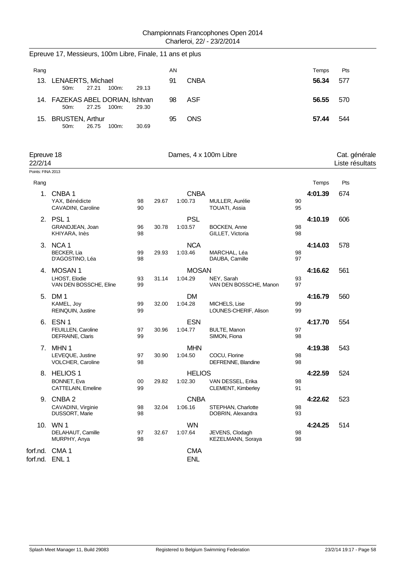| Rang                  |                                                            |          |       | AN |                          |                                         |          | Temps   | Pts                              |
|-----------------------|------------------------------------------------------------|----------|-------|----|--------------------------|-----------------------------------------|----------|---------|----------------------------------|
|                       | 13. LENAERTS, Michael<br>27.21<br>50m:<br>100m:            | 29.13    |       | 91 | <b>CNBA</b>              |                                         |          | 56.34   | 577                              |
|                       | 14. FAZEKAS ABEL DORIAN, Ishtvan<br>27.25<br>100m:<br>50m: | 29.30    |       | 98 | <b>ASF</b>               |                                         |          | 56.55   | 570                              |
|                       | 15. BRUSTEN, Arthur<br>50m:<br>26.75<br>100m:              | 30.69    |       | 95 | <b>ONS</b>               |                                         |          | 57.44   | 544                              |
| Epreuve 18<br>22/2/14 |                                                            |          |       |    |                          | Dames, 4 x 100m Libre                   |          |         | Cat. générale<br>Liste résultats |
| Points: FINA 2013     |                                                            |          |       |    |                          |                                         |          |         |                                  |
| Rang                  |                                                            |          |       |    |                          |                                         |          | Temps   | Pts                              |
| 1.                    | CNBA <sub>1</sub><br>YAX, Bénédicte<br>CAVADINI, Caroline  | 98<br>90 | 29.67 |    | <b>CNBA</b><br>1:00.73   | MULLER, Aurélie<br>TOUATI, Assia        | 90<br>95 | 4:01.39 | 674                              |
|                       | 2. PSL 1<br>GRANDJEAN, Joan<br>KHIYARA, Inès               | 96<br>98 | 30.78 |    | <b>PSL</b><br>1:03.57    | BOCKEN, Anne<br>GILLET, Victoria        | 98<br>98 | 4:10.19 | 606                              |
|                       | 3. NCA 1<br><b>BECKER, Lia</b><br>D'AGOSTINO, Léa          | 99<br>98 | 29.93 |    | <b>NCA</b><br>1:03.46    | MARCHAL, Léa<br>DAUBA, Camille          | 98<br>97 | 4:14.03 | 578                              |
|                       | 4. MOSAN 1                                                 |          |       |    | <b>MOSAN</b>             |                                         |          | 4:16.62 | 561                              |
|                       | LHOST, Elodie<br>VAN DEN BOSSCHE, Eline                    | 93<br>99 | 31.14 |    | 1:04.29                  | NEY, Sarah<br>VAN DEN BOSSCHE, Manon    | 93<br>97 |         |                                  |
|                       | 5. DM 1<br>KAMEL, Joy<br>REINQUIN, Justine                 | 99<br>99 | 32.00 |    | <b>DM</b><br>1:04.28     | MICHELS, Lise<br>LOUNES-CHERIF, Alison  | 99<br>99 | 4:16.79 | 560                              |
| 6.                    | ESN <sub>1</sub><br>FEUILLEN, Caroline<br>DEFRAINE, Claris | 97<br>99 | 30.96 |    | <b>ESN</b><br>1:04.77    | <b>BULTE, Manon</b><br>SIMON, Fiona     | 97<br>98 | 4:17.70 | 554                              |
|                       | 7. MHN 1<br>LEVEQUE, Justine<br>VOLCHER, Caroline          | 97<br>98 | 30.90 |    | <b>MHN</b><br>1:04.50    | COCU, Florine<br>DEFRENNE, Blandine     | 98<br>98 | 4:19.38 | 543                              |
| 8.                    | <b>HELIOS1</b><br><b>BONNET, Eva</b><br>CATTELAIN, Emeline | 00<br>99 | 29.82 |    | <b>HELIOS</b><br>1:02.30 | VAN DESSEL, Erika<br>CLEMENT, Kimberley | 98<br>91 | 4:22.59 | 524                              |
|                       | 9. CNBA 2                                                  |          |       |    | <b>CNBA</b>              |                                         |          | 4:22.62 | 523                              |
|                       | CAVADINI, Virginie<br><b>DUSSORT, Marie</b>                | 98<br>98 | 32.04 |    | 1:06.16                  | STEPHAN, Charlotte<br>DOBRIN, Alexandra | 98<br>93 |         |                                  |
|                       | 10. WN 1<br>DELAHAUT, Camille<br>MURPHY, Anya              | 97<br>98 | 32.67 |    | <b>WN</b><br>1:07.64     | JEVENS, Clodagh<br>KEZELMANN, Soraya    | 98<br>98 | 4:24.25 | 514                              |
|                       | forf.nd. CMA 1<br>forf.nd. ENL 1                           |          |       |    | <b>CMA</b><br><b>ENL</b> |                                         |          |         |                                  |